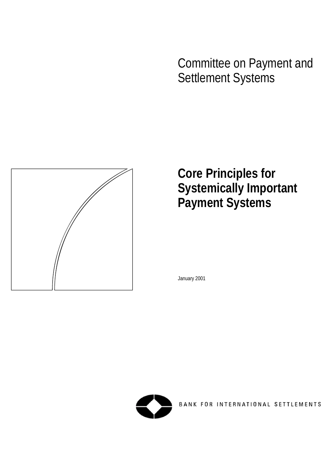Committee on Payment and Settlement Systems



# **Core Principles for Systemically Important Payment Systems**

January 2001



BANK FOR INTERNATIONAL SETTLEMENTS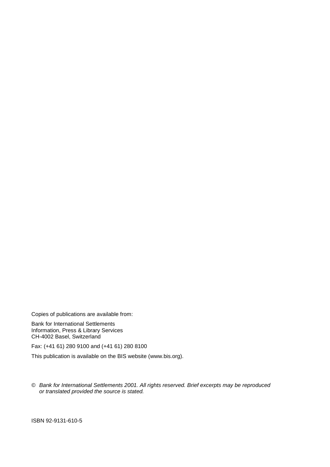Copies of publications are available from:

Bank for International Settlements Information, Press & Library Services CH-4002 Basel, Switzerland

Fax: (+41 61) 280 9100 and (+41 61) 280 8100

This publication is available on the BIS website (www.bis.org).

*© Bank for International Settlements 2001. All rights reserved. Brief excerpts may be reproduced or translated provided the source is stated.*

ISBN 92-9131-610-5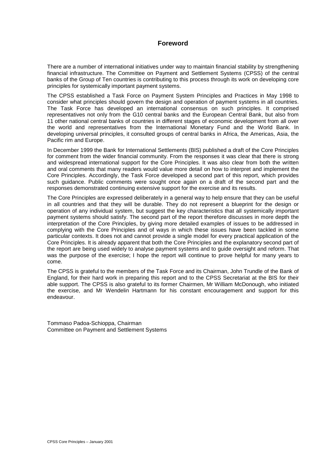## **Foreword**

There are a number of international initiatives under way to maintain financial stability by strengthening financial infrastructure. The Committee on Payment and Settlement Systems (CPSS) of the central banks of the Group of Ten countries is contributing to this process through its work on developing core principles for systemically important payment systems.

The CPSS established a Task Force on Payment System Principles and Practices in May 1998 to consider what principles should govern the design and operation of payment systems in all countries. The Task Force has developed an international consensus on such principles. It comprised representatives not only from the G10 central banks and the European Central Bank, but also from 11 other national central banks of countries in different stages of economic development from all over the world and representatives from the International Monetary Fund and the World Bank. In developing universal principles, it consulted groups of central banks in Africa, the Americas, Asia, the Pacific rim and Europe.

In December 1999 the Bank for International Settlements (BIS) published a draft of the Core Principles for comment from the wider financial community. From the responses it was clear that there is strong and widespread international support for the Core Principles. It was also clear from both the written and oral comments that many readers would value more detail on how to interpret and implement the Core Principles. Accordingly, the Task Force developed a second part of this report, which provides such guidance. Public comments were sought once again on a draft of the second part and the responses demonstrated continuing extensive support for the exercise and its results.

The Core Principles are expressed deliberately in a general way to help ensure that they can be useful in all countries and that they will be durable. They do not represent a blueprint for the design or operation of any individual system, but suggest the key characteristics that all systemically important payment systems should satisfy. The second part of the report therefore discusses in more depth the interpretation of the Core Principles, by giving more detailed examples of issues to be addressed in complying with the Core Principles and of ways in which these issues have been tackled in some particular contexts. It does not and cannot provide a single model for every practical application of the Core Principles. It is already apparent that both the Core Principles and the explanatory second part of the report are being used widely to analyse payment systems and to guide oversight and reform. That was the purpose of the exercise; I hope the report will continue to prove helpful for many years to come.

The CPSS is grateful to the members of the Task Force and its Chairman, John Trundle of the Bank of England, for their hard work in preparing this report and to the CPSS Secretariat at the BIS for their able support. The CPSS is also grateful to its former Chairmen, Mr William McDonough, who initiated the exercise, and Mr Wendelin Hartmann for his constant encouragement and support for this endeavour.

Tommaso Padoa-Schioppa, Chairman Committee on Payment and Settlement Systems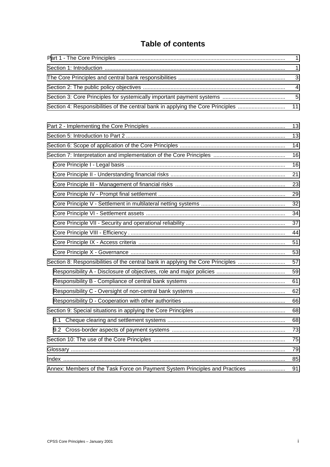## **Table of contents**

|                                                                                       | 1  |  |  |  |  |  |  |  |
|---------------------------------------------------------------------------------------|----|--|--|--|--|--|--|--|
|                                                                                       | 1  |  |  |  |  |  |  |  |
|                                                                                       | 3  |  |  |  |  |  |  |  |
|                                                                                       | 4  |  |  |  |  |  |  |  |
|                                                                                       |    |  |  |  |  |  |  |  |
| Section 4: Responsibilities of the central bank in applying the Core Principles<br>11 |    |  |  |  |  |  |  |  |
|                                                                                       | 13 |  |  |  |  |  |  |  |
|                                                                                       | 13 |  |  |  |  |  |  |  |
|                                                                                       | 14 |  |  |  |  |  |  |  |
|                                                                                       | 16 |  |  |  |  |  |  |  |
|                                                                                       | 16 |  |  |  |  |  |  |  |
|                                                                                       | 21 |  |  |  |  |  |  |  |
|                                                                                       | 23 |  |  |  |  |  |  |  |
|                                                                                       | 29 |  |  |  |  |  |  |  |
|                                                                                       | 32 |  |  |  |  |  |  |  |
|                                                                                       | 34 |  |  |  |  |  |  |  |
|                                                                                       | 37 |  |  |  |  |  |  |  |
|                                                                                       | 44 |  |  |  |  |  |  |  |
|                                                                                       | 51 |  |  |  |  |  |  |  |
|                                                                                       | 53 |  |  |  |  |  |  |  |
| Section 8: Responsibilities of the central bank in applying the Core Principles       | 57 |  |  |  |  |  |  |  |
|                                                                                       | 59 |  |  |  |  |  |  |  |
|                                                                                       | 61 |  |  |  |  |  |  |  |
|                                                                                       | 62 |  |  |  |  |  |  |  |
|                                                                                       | 66 |  |  |  |  |  |  |  |
|                                                                                       | 68 |  |  |  |  |  |  |  |
| 9.1                                                                                   | 68 |  |  |  |  |  |  |  |
|                                                                                       | 73 |  |  |  |  |  |  |  |
|                                                                                       | 75 |  |  |  |  |  |  |  |
| 79                                                                                    |    |  |  |  |  |  |  |  |
|                                                                                       | 85 |  |  |  |  |  |  |  |
| Annex: Members of the Task Force on Payment System Principles and Practices           | 91 |  |  |  |  |  |  |  |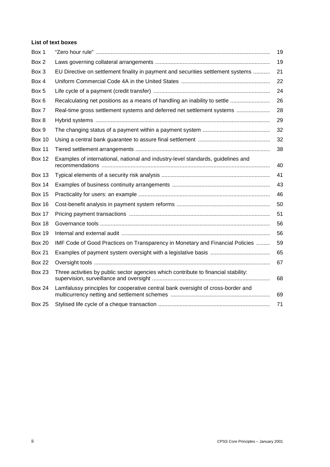## **List of text boxes**

| Box 1         |                                                                                     | 19 |
|---------------|-------------------------------------------------------------------------------------|----|
| Box 2         |                                                                                     | 19 |
| Box 3         | EU Directive on settlement finality in payment and securities settlement systems    | 21 |
| Box 4         |                                                                                     | 22 |
| Box 5         |                                                                                     | 24 |
| Box 6         | Recalculating net positions as a means of handling an inability to settle           | 26 |
| Box 7         | Real-time gross settlement systems and deferred net settlement systems              | 28 |
| Box 8         |                                                                                     | 29 |
| Box 9         |                                                                                     | 32 |
| <b>Box 10</b> |                                                                                     | 32 |
| <b>Box 11</b> |                                                                                     | 38 |
| <b>Box 12</b> | Examples of international, national and industry-level standards, guidelines and    | 40 |
| <b>Box 13</b> |                                                                                     | 41 |
| <b>Box 14</b> |                                                                                     | 43 |
| <b>Box 15</b> |                                                                                     | 46 |
| <b>Box 16</b> |                                                                                     | 50 |
| <b>Box 17</b> |                                                                                     | 51 |
| <b>Box 18</b> |                                                                                     | 56 |
| <b>Box 19</b> |                                                                                     | 56 |
| <b>Box 20</b> | IMF Code of Good Practices on Transparency in Monetary and Financial Policies       | 59 |
| <b>Box 21</b> |                                                                                     | 65 |
| <b>Box 22</b> |                                                                                     | 67 |
| <b>Box 23</b> | Three activities by public sector agencies which contribute to financial stability: | 68 |
| <b>Box 24</b> | Lamfalussy principles for cooperative central bank oversight of cross-border and    | 69 |
| <b>Box 25</b> |                                                                                     | 71 |
|               |                                                                                     |    |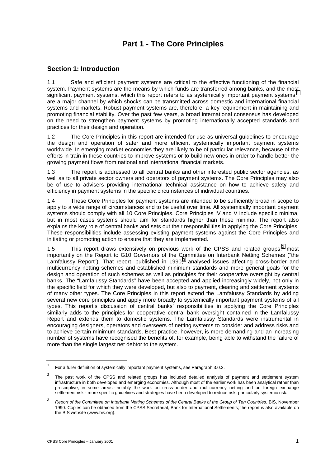## **Part 1 - The Core Principles**

## <span id="page-6-0"></span>**Section 1: Introduction**

1.1 Safe and efficient payment systems are critical to the effective functioning of the financial system. Payment systems are the means by which funds are transferred among banks, and the most significant payment systems, which this report refers to as systemically important payment systems.<sup>1</sup> are a major channel by which shocks can be transmitted across domestic and international financial systems and markets. Robust payment systems are, therefore, a key requirement in maintaining and promoting financial stability. Over the past few years, a broad international consensus has developed on the need to strengthen payment systems by promoting internationally accepted standards and practices for their design and operation.

1.2 The Core Principles in this report are intended for use as universal guidelines to encourage the design and operation of safer and more efficient systemically important payment systems worldwide. In emerging market economies they are likely to be of particular relevance, because of the efforts in train in these countries to improve systems or to build new ones in order to handle better the growing payment flows from national and international financial markets.

1.3 The report is addressed to all central banks and other interested public sector agencies, as well as to all private sector owners and operators of payment systems. The Core Principles may also be of use to advisers providing international technical assistance on how to achieve safety and efficiency in payment systems in the specific circumstances of individual countries.

1.4 These Core Principles for payment systems are intended to be sufficiently broad in scope to apply to a wide range of circumstances and to be useful over time. All systemically important payment systems should comply with all 10 Core Principles. Core Principles IV and V include specific minima, but in most cases systems should aim for standards higher than these minima. The report also explains the key role of central banks and sets out their responsibilities in applying the Core Principles. These responsibilities include assessing existing payment systems against the Core Principles and initiating or promoting action to ensure that they are implemented.

1.5 This report draws extensively on previous work of the CPSS and related groups, $2$  most importantly on the Report to G10 Governors of the Committee on Interbank Netting Schemes ("the Lamfalussy Report"). That report, published in 1990,<sup>3</sup> analysed issues affecting cross-border and multicurrency netting schemes and established minimum standards and more general goals for the design and operation of such schemes as well as principles for their cooperative oversight by central banks. The "Lamfalussy Standards" have been accepted and applied increasingly widely, not only in the specific field for which they were developed, but also to payment, clearing and settlement systems of many other types. The Core Principles in this report extend the Lamfalussy Standards by adding several new core principles and apply more broadly to systemically important payment systems of all types. This report's discussion of central banks' responsibilities in applying the Core Principles similarly adds to the principles for cooperative central bank oversight contained in the Lamfalussy Report and extends them to domestic systems. The Lamfalussy Standards were instrumental in encouraging designers, operators and overseers of netting systems to consider and address risks and to achieve certain minimum standards. Best practice, however, is more demanding and an increasing number of systems have recognised the benefits of, for example, being able to withstand the failure of more than the single largest net debtor to the system.

<sup>&</sup>lt;sup>1</sup> For a fuller definition of systemically important payment systems, see Paragraph 3.0.2.

<sup>&</sup>lt;sup>2</sup> The past work of the CPSS and related groups has included detailed analysis of payment and settlement system infrastructure in both developed and emerging economies. Although most of the earlier work has been analytical rather than prescriptive, in some areas - notably the work on cross-border and multicurrency netting and on foreign exchange settlement risk - more specific guidelines and strategies have been developed to reduce risk, particularly systemic risk.

<sup>3</sup> *Report of the Committee on Interbank Netting Schemes of the Central Banks of the Group of Ten Countries*, BIS, November 1990. Copies can be obtained from the CPSS Secretariat, Bank for International Settlements; the report is also available on the BIS website (www.bis.org).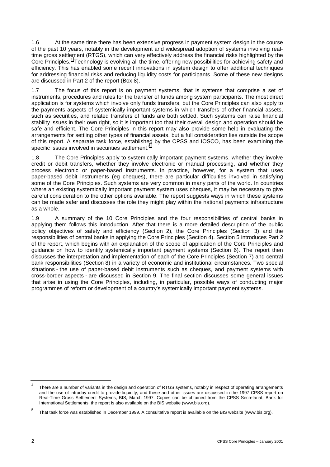1.6 At the same time there has been extensive progress in payment system design in the course of the past 10 years, notably in the development and widespread adoption of systems involving realtime gross settlement (RTGS), which can very effectively address the financial risks highlighted by the Core Principles.<sup>4</sup> Technology is evolving all the time, offering new possibilities for achieving safety and efficiency. This has enabled some recent innovations in system design to offer additional techniques for addressing financial risks and reducing liquidity costs for participants. Some of these new designs are discussed in Part 2 of the report (Box 8).

1.7 The focus of this report is on payment systems, that is systems that comprise a set of instruments, procedures and rules for the transfer of funds among system participants. The most direct application is for systems which involve only funds transfers, but the Core Principles can also apply to the payments aspects of systemically important systems in which transfers of other financial assets, such as securities, and related transfers of funds are both settled. Such systems can raise financial stability issues in their own right, so it is important too that their overall design and operation should be safe and efficient. The Core Principles in this report may also provide some help in evaluating the arrangements for settling other types of financial assets, but a full consideration lies outside the scope of this report. A separate task force, established by the CPSS and IOSCO, has been examining the specific issues involved in securities settlement.<sup>5</sup>

1.8 The Core Principles apply to systemically important payment systems, whether they involve credit or debit transfers, whether they involve electronic or manual processing, and whether they process electronic or paper-based instruments. In practice, however, for a system that uses paper-based debit instruments (eg cheques), there are particular difficulties involved in satisfying some of the Core Principles. Such systems are very common in many parts of the world. In countries where an existing systemically important payment system uses cheques, it may be necessary to give careful consideration to the other options available. The report suggests ways in which these systems can be made safer and discusses the role they might play within the national payments infrastructure as a whole.

1.9 A summary of the 10 Core Principles and the four responsibilities of central banks in applying them follows this introduction. After that there is a more detailed description of the public policy objectives of safety and efficiency (Section 2), the Core Principles (Section 3) and the responsibilities of central banks in applying the Core Principles (Section 4). Section 5 introduces Part 2 of the report, which begins with an explanation of the scope of application of the Core Principles and guidance on how to identify systemically important payment systems (Section 6). The report then discusses the interpretation and implementation of each of the Core Principles (Section 7) and central bank responsibilities (Section 8) in a variety of economic and institutional circumstances. Two special situations - the use of paper-based debit instruments such as cheques, and payment systems with cross-border aspects - are discussed in Section 9. The final section discusses some general issues that arise in using the Core Principles, including, in particular, possible ways of conducting major programmes of reform or development of a country's systemically important payment systems.

<sup>&</sup>lt;sup>4</sup> There are a number of variants in the design and operation of RTGS systems, notably in respect of operating arrangements and the use of intraday credit to provide liquidity, and these and other issues are discussed in the 1997 CPSS report on Real-Time Gross Settlement Systems, BIS, March 1997. Copies can be obtained from the CPSS Secretariat. Bank for International Settlements; the report is also available on the BIS website (www.bis.org).

<sup>5</sup> That task force was established in December 1999. A consultative report is available on the BIS website (www.bis.org).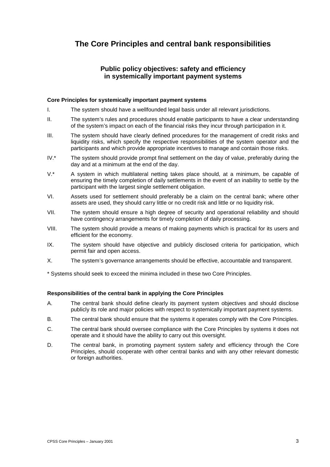## <span id="page-8-0"></span>**The Core Principles and central bank responsibilities**

## **Public policy objectives: safety and efficiency in systemically important payment systems**

### **Core Principles for systemically important payment systems**

- I. The system should have a wellfounded legal basis under all relevant jurisdictions.
- II. The system's rules and procedures should enable participants to have a clear understanding of the system's impact on each of the financial risks they incur through participation in it.
- III. The system should have clearly defined procedures for the management of credit risks and liquidity risks, which specify the respective responsibilities of the system operator and the participants and which provide appropriate incentives to manage and contain those risks.
- IV.\* The system should provide prompt final settlement on the day of value, preferably during the day and at a minimum at the end of the day.
- V.\* A system in which multilateral netting takes place should, at a minimum, be capable of ensuring the timely completion of daily settlements in the event of an inability to settle by the participant with the largest single settlement obligation.
- VI. Assets used for settlement should preferably be a claim on the central bank; where other assets are used, they should carry little or no credit risk and little or no liquidity risk.
- VII. The system should ensure a high degree of security and operational reliability and should have contingency arrangements for timely completion of daily processing.
- VIII. The system should provide a means of making payments which is practical for its users and efficient for the economy.
- IX. The system should have objective and publicly disclosed criteria for participation, which permit fair and open access.
- X. The system's governance arrangements should be effective, accountable and transparent.

\* Systems should seek to exceed the minima included in these two Core Principles.

#### **Responsibilities of the central bank in applying the Core Principles**

- A. The central bank should define clearly its payment system objectives and should disclose publicly its role and major policies with respect to systemically important payment systems.
- B. The central bank should ensure that the systems it operates comply with the Core Principles.
- C. The central bank should oversee compliance with the Core Principles by systems it does not operate and it should have the ability to carry out this oversight.
- D. The central bank, in promoting payment system safety and efficiency through the Core Principles, should cooperate with other central banks and with any other relevant domestic or foreign authorities.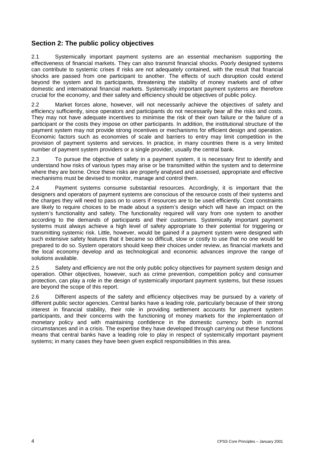## <span id="page-9-0"></span>**Section 2: The public policy objectives**

2.1 Systemically important payment systems are an essential mechanism supporting the effectiveness of financial markets. They can also transmit financial shocks. Poorly designed systems can contribute to systemic crises if risks are not adequately contained, with the result that financial shocks are passed from one participant to another. The effects of such disruption could extend beyond the system and its participants, threatening the stability of money markets and of other domestic and international financial markets. Systemically important payment systems are therefore crucial for the economy, and their safety and efficiency should be objectives of public policy.

2.2 Market forces alone, however, will not necessarily achieve the objectives of safety and efficiency sufficiently, since operators and participants do not necessarily bear all the risks and costs. They may not have adequate incentives to minimise the risk of their own failure or the failure of a participant or the costs they impose on other participants. In addition, the institutional structure of the payment system may not provide strong incentives or mechanisms for efficient design and operation. Economic factors such as economies of scale and barriers to entry may limit competition in the provision of payment systems and services. In practice, in many countries there is a very limited number of payment system providers or a single provider, usually the central bank.

2.3 To pursue the objective of safety in a payment system, it is necessary first to identify and understand how risks of various types may arise or be transmitted within the system and to determine where they are borne. Once these risks are properly analysed and assessed, appropriate and effective mechanisms must be devised to monitor, manage and control them.

2.4 Payment systems consume substantial resources. Accordingly, it is important that the designers and operators of payment systems are conscious of the resource costs of their systems and the charges they will need to pass on to users if resources are to be used efficiently. Cost constraints are likely to require choices to be made about a system's design which will have an impact on the system's functionality and safety. The functionality required will vary from one system to another according to the demands of participants and their customers. Systemically important payment systems must always achieve a high level of safety appropriate to their potential for triggering or transmitting systemic risk. Little, however, would be gained if a payment system were designed with such extensive safety features that it became so difficult, slow or costly to use that no one would be prepared to do so. System operators should keep their choices under review, as financial markets and the local economy develop and as technological and economic advances improve the range of solutions available.

2.5 Safety and efficiency are not the only public policy objectives for payment system design and operation. Other objectives, however, such as crime prevention, competition policy and consumer protection, can play a role in the design of systemically important payment systems, but these issues are beyond the scope of this report.

2.6 Different aspects of the safety and efficiency objectives may be pursued by a variety of different public sector agencies. Central banks have a leading role, particularly because of their strong interest in financial stability, their role in providing settlement accounts for payment system participants, and their concerns with the functioning of money markets for the implementation of monetary policy and with maintaining confidence in the domestic currency both in normal circumstances and in a crisis. The expertise they have developed through carrying out these functions means that central banks have a leading role to play in respect of systemically important payment systems; in many cases they have been given explicit responsibilities in this area.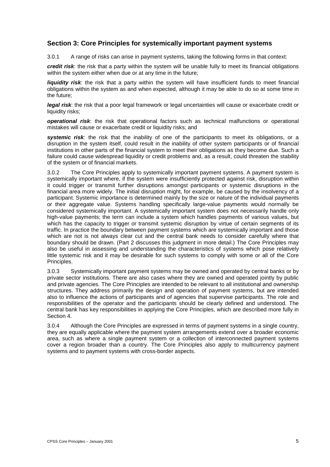## <span id="page-10-0"></span>**Section 3: Core Principles for systemically important payment systems**

3.0.1 A range of risks can arise in payment systems, taking the following forms in that context:

*credit risk*: the risk that a party within the system will be unable fully to meet its financial obligations within the system either when due or at any time in the future;

*liquidity risk*: the risk that a party within the system will have insufficient funds to meet financial obligations within the system as and when expected, although it may be able to do so at some time in the future;

*legal risk*: the risk that a poor legal framework or legal uncertainties will cause or exacerbate credit or liquidity risks;

*operational risk*: the risk that operational factors such as technical malfunctions or operational mistakes will cause or exacerbate credit or liquidity risks; and

*systemic risk*: the risk that the inability of one of the participants to meet its obligations, or a disruption in the system itself, could result in the inability of other system participants or of financial institutions in other parts of the financial system to meet their obligations as they become due. Such a failure could cause widespread liquidity or credit problems and, as a result, could threaten the stability of the system or of financial markets.

3.0.2 The Core Principles apply to systemically important payment systems. A payment system is systemically important where, if the system were insufficiently protected against risk, disruption within it could trigger or transmit further disruptions amongst participants or systemic disruptions in the financial area more widely. The initial disruption might, for example, be caused by the insolvency of a participant. Systemic importance is determined mainly by the size or nature of the individual payments or their aggregate value. Systems handling specifically large-value payments would normally be considered systemically important. A systemically important system does not necessarily handle only high-value payments; the term can include a system which handles payments of various values, but which has the capacity to trigger or transmit systemic disruption by virtue of certain segments of its traffic. In practice the boundary between payment systems which are systemically important and those which are not is not always clear cut and the central bank needs to consider carefully where that boundary should be drawn. (Part 2 discusses this judgment in more detail.) The Core Principles may also be useful in assessing and understanding the characteristics of systems which pose relatively little systemic risk and it may be desirable for such systems to comply with some or all of the Core Principles.

3.0.3 Systemically important payment systems may be owned and operated by central banks or by private sector institutions. There are also cases where they are owned and operated jointly by public and private agencies. The Core Principles are intended to be relevant to all institutional and ownership structures. They address primarily the design and operation of payment systems, but are intended also to influence the actions of participants and of agencies that supervise participants. The role and responsibilities of the operator and the participants should be clearly defined and understood. The central bank has key responsibilities in applying the Core Principles, which are described more fully in Section 4.

3.0.4 Although the Core Principles are expressed in terms of payment systems in a single country, they are equally applicable where the payment system arrangements extend over a broader economic area, such as where a single payment system or a collection of interconnected payment systems cover a region broader than a country. The Core Principles also apply to multicurrency payment systems and to payment systems with cross-border aspects.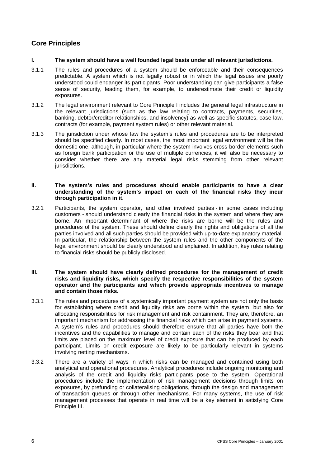## **Core Principles**

### **I. The system should have a well founded legal basis under all relevant jurisdictions.**

- 3.1.1 The rules and procedures of a system should be enforceable and their consequences predictable. A system which is not legally robust or in which the legal issues are poorly understood could endanger its participants. Poor understanding can give participants a false sense of security, leading them, for example, to underestimate their credit or liquidity exposures.
- 3.1.2 The legal environment relevant to Core Principle I includes the general legal infrastructure in the relevant jurisdictions (such as the law relating to contracts, payments, securities, banking, debtor/creditor relationships, and insolvency) as well as specific statutes, case law, contracts (for example, payment system rules) or other relevant material.
- 3.1.3 The jurisdiction under whose law the system's rules and procedures are to be interpreted should be specified clearly. In most cases, the most important legal environment will be the domestic one, although, in particular where the system involves cross-border elements such as foreign bank participation or the use of multiple currencies, it will also be necessary to consider whether there are any material legal risks stemming from other relevant jurisdictions.

#### **II. The system's rules and procedures should enable participants to have a clear understanding of the system's impact on each of the financial risks they incur through participation in it.**

3.2.1 Participants, the system operator, and other involved parties - in some cases including customers - should understand clearly the financial risks in the system and where they are borne. An important determinant of where the risks are borne will be the rules and procedures of the system. These should define clearly the rights and obligations of all the parties involved and all such parties should be provided with up-to-date explanatory material. In particular, the relationship between the system rules and the other components of the legal environment should be clearly understood and explained. In addition, key rules relating to financial risks should be publicly disclosed.

#### **III. The system should have clearly defined procedures for the management of credit risks and liquidity risks, which specify the respective responsibilities of the system operator and the participants and which provide appropriate incentives to manage and contain those risks.**

- 3.3.1 The rules and procedures of a systemically important payment system are not only the basis for establishing where credit and liquidity risks are borne within the system, but also for allocating responsibilities for risk management and risk containment. They are, therefore, an important mechanism for addressing the financial risks which can arise in payment systems. A system's rules and procedures should therefore ensure that all parties have both the incentives and the capabilities to manage and contain each of the risks they bear and that limits are placed on the maximum level of credit exposure that can be produced by each participant. Limits on credit exposure are likely to be particularly relevant in systems involving netting mechanisms.
- 3.3.2 There are a variety of ways in which risks can be managed and contained using both analytical and operational procedures. Analytical procedures include ongoing monitoring and analysis of the credit and liquidity risks participants pose to the system. Operational procedures include the implementation of risk management decisions through limits on exposures, by prefunding or collateralising obligations, through the design and management of transaction queues or through other mechanisms. For many systems, the use of risk management processes that operate in real time will be a key element in satisfying Core Principle III.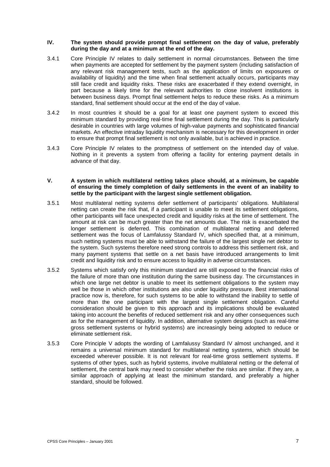#### **IV. The system should provide prompt final settlement on the day of value, preferably during the day and at a minimum at the end of the day.**

- 3.4.1 Core Principle IV relates to daily settlement in normal circumstances. Between the time when payments are accepted for settlement by the payment system (including satisfaction of any relevant risk management tests, such as the application of limits on exposures or availability of liquidity) and the time when final settlement actually occurs, participants may still face credit and liquidity risks. These risks are exacerbated if they extend overnight, in part because a likely time for the relevant authorities to close insolvent institutions is between business days. Prompt final settlement helps to reduce these risks. As a minimum standard, final settlement should occur at the end of the day of value.
- 3.4.2 In most countries it should be a goal for at least one payment system to exceed this minimum standard by providing real-time final settlement during the day. This is particularly desirable in countries with large volumes of high-value payments and sophisticated financial markets. An effective intraday liquidity mechanism is necessary for this development in order to ensure that prompt final settlement is not only available, but is achieved in practice.
- 3.4.3 Core Principle IV relates to the promptness of settlement on the intended day of value. Nothing in it prevents a system from offering a facility for entering payment details in advance of that day.

#### **V. A system in which multilateral netting takes place should, at a minimum, be capable of ensuring the timely completion of daily settlements in the event of an inability to settle by the participant with the largest single settlement obligation.**

- 3.5.1 Most multilateral netting systems defer settlement of participants' obligations. Multilateral netting can create the risk that, if a participant is unable to meet its settlement obligations, other participants will face unexpected credit and liquidity risks at the time of settlement. The amount at risk can be much greater than the net amounts due. The risk is exacerbated the longer settlement is deferred. This combination of multilateral netting and deferred settlement was the focus of Lamfalussy Standard IV, which specified that, at a minimum, such netting systems must be able to withstand the failure of the largest single net debtor to the system. Such systems therefore need strong controls to address this settlement risk, and many payment systems that settle on a net basis have introduced arrangements to limit credit and liquidity risk and to ensure access to liquidity in adverse circumstances.
- 3.5.2 Systems which satisfy only this minimum standard are still exposed to the financial risks of the failure of more than one institution during the same business day. The circumstances in which one large net debtor is unable to meet its settlement obligations to the system may well be those in which other institutions are also under liquidity pressure. Best international practice now is, therefore, for such systems to be able to withstand the inability to settle of more than the one participant with the largest single settlement obligation. Careful consideration should be given to this approach and its implications should be evaluated taking into account the benefits of reduced settlement risk and any other consequences such as for the management of liquidity. In addition, alternative system designs (such as real-time gross settlement systems or hybrid systems) are increasingly being adopted to reduce or eliminate settlement risk.
- 3.5.3 Core Principle V adopts the wording of Lamfalussy Standard IV almost unchanged, and it remains a universal minimum standard for multilateral netting systems, which should be exceeded wherever possible. It is not relevant for real-time gross settlement systems. If systems of other types, such as hybrid systems, involve multilateral netting or the deferral of settlement, the central bank may need to consider whether the risks are similar. If they are, a similar approach of applying at least the minimum standard, and preferably a higher standard, should be followed.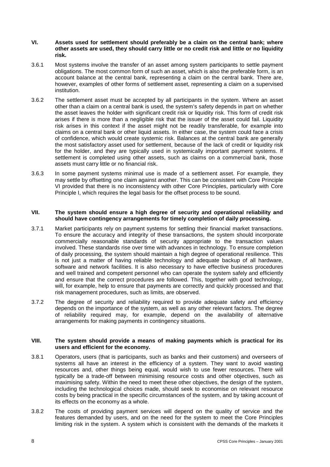#### **VI. Assets used for settlement should preferably be a claim on the central bank; where other assets are used, they should carry little or no credit risk and little or no liquidity risk.**

- 3.6.1 Most systems involve the transfer of an asset among system participants to settle payment obligations. The most common form of such an asset, which is also the preferable form, is an account balance at the central bank, representing a claim on the central bank. There are, however, examples of other forms of settlement asset, representing a claim on a supervised institution.
- 3.6.2 The settlement asset must be accepted by all participants in the system. Where an asset other than a claim on a central bank is used, the system's safety depends in part on whether the asset leaves the holder with significant credit risk or liquidity risk. This form of credit risk arises if there is more than a negligible risk that the issuer of the asset could fail. Liquidity risk arises in this context if the asset might not be readily transferable, for example into claims on a central bank or other liquid assets. In either case, the system could face a crisis of confidence, which would create systemic risk. Balances at the central bank are generally the most satisfactory asset used for settlement, because of the lack of credit or liquidity risk for the holder, and they are typically used in systemically important payment systems. If settlement is completed using other assets, such as claims on a commercial bank, those assets must carry little or no financial risk.
- 3.6.3 In some payment systems minimal use is made of a settlement asset. For example, they may settle by offsetting one claim against another. This can be consistent with Core Principle VI provided that there is no inconsistency with other Core Principles, particularly with Core Principle I, which requires the legal basis for the offset process to be sound.

#### **VII. The system should ensure a high degree of security and operational reliability and should have contingency arrangements for timely completion of daily processing.**

- 3.7.1 Market participants rely on payment systems for settling their financial market transactions. To ensure the accuracy and integrity of these transactions, the system should incorporate commercially reasonable standards of security appropriate to the transaction values involved. These standards rise over time with advances in technology. To ensure completion of daily processing, the system should maintain a high degree of operational resilience. This is not just a matter of having reliable technology and adequate backup of all hardware, software and network facilities. It is also necessary to have effective business procedures and well trained and competent personnel who can operate the system safely and efficiently and ensure that the correct procedures are followed. This, together with good technology, will, for example, help to ensure that payments are correctly and quickly processed and that risk management procedures, such as limits, are observed.
- 3.7.2 The degree of security and reliability required to provide adequate safety and efficiency depends on the importance of the system, as well as any other relevant factors. The degree of reliability required may, for example, depend on the availability of alternative arrangements for making payments in contingency situations.

#### **VIII. The system should provide a means of making payments which is practical for its users and efficient for the economy.**

- 3.8.1 Operators, users (that is participants, such as banks and their customers) and overseers of systems all have an interest in the efficiency of a system. They want to avoid wasting resources and, other things being equal, would wish to use fewer resources. There will typically be a trade-off between minimising resource costs and other objectives, such as maximising safety. Within the need to meet these other objectives, the design of the system, including the technological choices made, should seek to economise on relevant resource costs by being practical in the specific circumstances of the system, and by taking account of its effects on the economy as a whole.
- 3.8.2 The costs of providing payment services will depend on the quality of service and the features demanded by users, and on the need for the system to meet the Core Principles limiting risk in the system. A system which is consistent with the demands of the markets it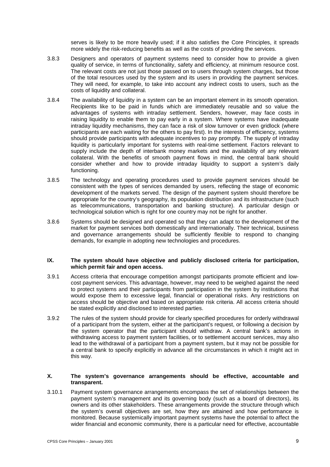serves is likely to be more heavily used; if it also satisfies the Core Principles, it spreads more widely the risk-reducing benefits as well as the costs of providing the services.

- 3.8.3 Designers and operators of payment systems need to consider how to provide a given quality of service, in terms of functionality, safety and efficiency, at minimum resource cost. The relevant costs are not just those passed on to users through system charges, but those of the total resources used by the system and its users in providing the payment services. They will need, for example, to take into account any indirect costs to users, such as the costs of liquidity and collateral.
- 3.8.4 The availability of liquidity in a system can be an important element in its smooth operation. Recipients like to be paid in funds which are immediately reusable and so value the advantages of systems with intraday settlement. Senders, however, may face costs in raising liquidity to enable them to pay early in a system. Where systems have inadequate intraday liquidity mechanisms, they can face a risk of slow turnover or even gridlock (where participants are each waiting for the others to pay first). In the interests of efficiency, systems should provide participants with adequate incentives to pay promptly. The supply of intraday liquidity is particularly important for systems with real-time settlement. Factors relevant to supply include the depth of interbank money markets and the availability of any relevant collateral. With the benefits of smooth payment flows in mind, the central bank should consider whether and how to provide intraday liquidity to support a system's daily functioning.
- 3.8.5 The technology and operating procedures used to provide payment services should be consistent with the types of services demanded by users, reflecting the stage of economic development of the markets served. The design of the payment system should therefore be appropriate for the country's geography, its population distribution and its infrastructure (such as telecommunications, transportation and banking structure). A particular design or technological solution which is right for one country may not be right for another.
- 3.8.6 Systems should be designed and operated so that they can adapt to the development of the market for payment services both domestically and internationally. Their technical, business and governance arrangements should be sufficiently flexible to respond to changing demands, for example in adopting new technologies and procedures.

#### **IX. The system should have objective and publicly disclosed criteria for participation, which permit fair and open access.**

- 3.9.1 Access criteria that encourage competition amongst participants promote efficient and lowcost payment services. This advantage, however, may need to be weighed against the need to protect systems and their participants from participation in the system by institutions that would expose them to excessive legal, financial or operational risks. Any restrictions on access should be objective and based on appropriate risk criteria. All access criteria should be stated explicitly and disclosed to interested parties.
- 3.9.2 The rules of the system should provide for clearly specified procedures for orderly withdrawal of a participant from the system, either at the participant's request, or following a decision by the system operator that the participant should withdraw. A central bank's actions in withdrawing access to payment system facilities, or to settlement account services, may also lead to the withdrawal of a participant from a payment system, but it may not be possible for a central bank to specify explicitly in advance all the circumstances in which it might act in this way.

#### **X. The system's governance arrangements should be effective, accountable and transparent.**

3.10.1 Payment system governance arrangements encompass the set of relationships between the payment system's management and its governing body (such as a board of directors), its owners and its other stakeholders. These arrangements provide the structure through which the system's overall objectives are set, how they are attained and how performance is monitored. Because systemically important payment systems have the potential to affect the wider financial and economic community, there is a particular need for effective, accountable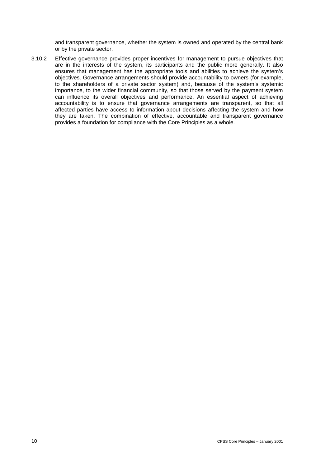and transparent governance, whether the system is owned and operated by the central bank or by the private sector.

3.10.2 Effective governance provides proper incentives for management to pursue objectives that are in the interests of the system, its participants and the public more generally. It also ensures that management has the appropriate tools and abilities to achieve the system's objectives. Governance arrangements should provide accountability to owners (for example, to the shareholders of a private sector system) and, because of the system's systemic importance, to the wider financial community, so that those served by the payment system can influence its overall objectives and performance. An essential aspect of achieving accountability is to ensure that governance arrangements are transparent, so that all affected parties have access to information about decisions affecting the system and how they are taken. The combination of effective, accountable and transparent governance provides a foundation for compliance with the Core Principles as a whole.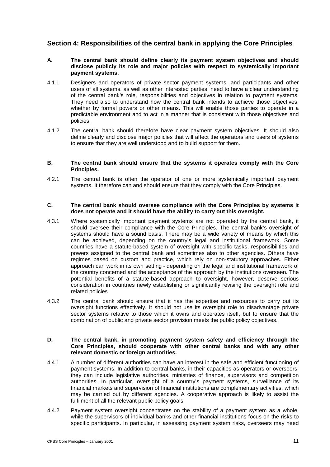## <span id="page-16-0"></span>**Section 4: Responsibilities of the central bank in applying the Core Principles**

- **A. The central bank should define clearly its payment system objectives and should disclose publicly its role and major policies with respect to systemically important payment systems.**
- 4.1.1 Designers and operators of private sector payment systems, and participants and other users of all systems, as well as other interested parties, need to have a clear understanding of the central bank's role, responsibilities and objectives in relation to payment systems. They need also to understand how the central bank intends to achieve those objectives, whether by formal powers or other means. This will enable those parties to operate in a predictable environment and to act in a manner that is consistent with those objectives and policies.
- 4.1.2 The central bank should therefore have clear payment system objectives. It should also define clearly and disclose major policies that will affect the operators and users of systems to ensure that they are well understood and to build support for them.

#### **B. The central bank should ensure that the systems it operates comply with the Core Principles.**

4.2.1 The central bank is often the operator of one or more systemically important payment systems. It therefore can and should ensure that they comply with the Core Principles.

#### **C. The central bank should oversee compliance with the Core Principles by systems it does not operate and it should have the ability to carry out this oversight.**

- 4.3.1 Where systemically important payment systems are not operated by the central bank, it should oversee their compliance with the Core Principles. The central bank's oversight of systems should have a sound basis. There may be a wide variety of means by which this can be achieved, depending on the country's legal and institutional framework. Some countries have a statute-based system of oversight with specific tasks, responsibilities and powers assigned to the central bank and sometimes also to other agencies. Others have regimes based on custom and practice, which rely on non-statutory approaches. Either approach can work in its own setting - depending on the legal and institutional framework of the country concerned and the acceptance of the approach by the institutions overseen. The potential benefits of a statute-based approach to oversight, however, deserve serious consideration in countries newly establishing or significantly revising the oversight role and related policies.
- 4.3.2 The central bank should ensure that it has the expertise and resources to carry out its oversight functions effectively. It should not use its oversight role to disadvantage private sector systems relative to those which it owns and operates itself, but to ensure that the combination of public and private sector provision meets the public policy objectives.

#### **D. The central bank, in promoting payment system safety and efficiency through the Core Principles, should cooperate with other central banks and with any other relevant domestic or foreign authorities.**

- 4.4.1 A number of different authorities can have an interest in the safe and efficient functioning of payment systems. In addition to central banks, in their capacities as operators or overseers, they can include legislative authorities, ministries of finance, supervisors and competition authorities. In particular, oversight of a country's payment systems, surveillance of its financial markets and supervision of financial institutions are complementary activities, which may be carried out by different agencies. A cooperative approach is likely to assist the fulfilment of all the relevant public policy goals.
- 4.4.2 Payment system oversight concentrates on the stability of a payment system as a whole, while the supervisors of individual banks and other financial institutions focus on the risks to specific participants. In particular, in assessing payment system risks, overseers may need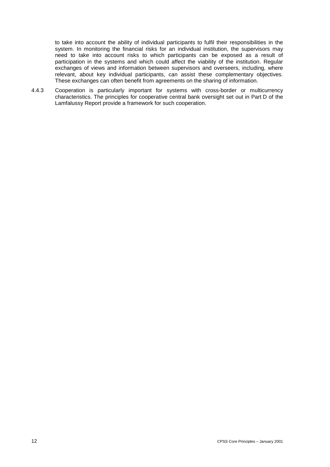to take into account the ability of individual participants to fulfil their responsibilities in the system. In monitoring the financial risks for an individual institution, the supervisors may need to take into account risks to which participants can be exposed as a result of participation in the systems and which could affect the viability of the institution. Regular exchanges of views and information between supervisors and overseers, including, where relevant, about key individual participants, can assist these complementary objectives. These exchanges can often benefit from agreements on the sharing of information.

4.4.3 Cooperation is particularly important for systems with cross-border or multicurrency characteristics. The principles for cooperative central bank oversight set out in Part D of the Lamfalussy Report provide a framework for such cooperation.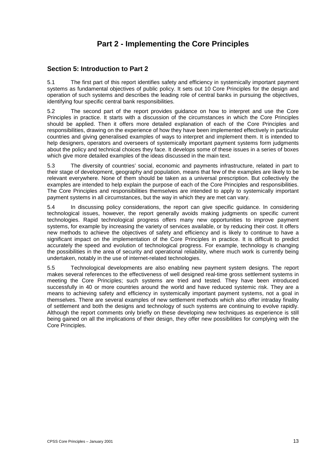## **Part 2 - Implementing the Core Principles**

## <span id="page-18-0"></span>**Section 5: Introduction to Part 2**

5.1 The first part of this report identifies safety and efficiency in systemically important payment systems as fundamental objectives of public policy. It sets out 10 Core Principles for the design and operation of such systems and describes the leading role of central banks in pursuing the objectives, identifying four specific central bank responsibilities.

5.2 The second part of the report provides guidance on how to interpret and use the Core Principles in practice. It starts with a discussion of the circumstances in which the Core Principles should be applied. Then it offers more detailed explanation of each of the Core Principles and responsibilities, drawing on the experience of how they have been implemented effectively in particular countries and giving generalised examples of ways to interpret and implement them. It is intended to help designers, operators and overseers of systemically important payment systems form judgments about the policy and technical choices they face. It develops some of these issues in a series of boxes which give more detailed examples of the ideas discussed in the main text.

5.3 The diversity of countries' social, economic and payments infrastructure, related in part to their stage of development, geography and population, means that few of the examples are likely to be relevant everywhere. None of them should be taken as a universal prescription. But collectively the examples are intended to help explain the purpose of each of the Core Principles and responsibilities. The Core Principles and responsibilities themselves are intended to apply to systemically important payment systems in all circumstances, but the way in which they are met can vary.

5.4 In discussing policy considerations, the report can give specific guidance. In considering technological issues, however, the report generally avoids making judgments on specific current technologies. Rapid technological progress offers many new opportunities to improve payment systems, for example by increasing the variety of services available, or by reducing their cost. It offers new methods to achieve the objectives of safety and efficiency and is likely to continue to have a significant impact on the implementation of the Core Principles in practice. It is difficult to predict accurately the speed and evolution of technological progress. For example, technology is changing the possibilities in the area of security and operational reliability, where much work is currently being undertaken, notably in the use of internet-related technologies.

5.5 Technological developments are also enabling new payment system designs. The report makes several references to the effectiveness of well designed real-time gross settlement systems in meeting the Core Principles; such systems are tried and tested. They have been introduced successfully in 40 or more countries around the world and have reduced systemic risk. They are a means to achieving safety and efficiency in systemically important payment systems, not a goal in themselves. There are several examples of new settlement methods which also offer intraday finality of settlement and both the designs and technology of such systems are continuing to evolve rapidly. Although the report comments only briefly on these developing new techniques as experience is still being gained on all the implications of their design, they offer new possibilities for complying with the Core Principles.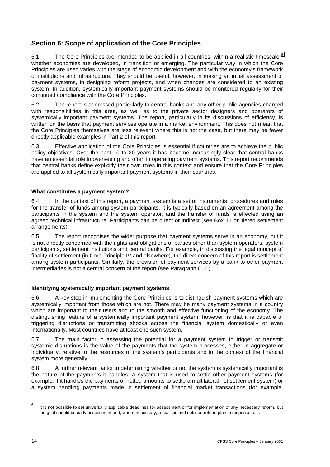## <span id="page-19-0"></span>**Section 6: Scope of application of the Core Principles**

6.1 The Core Principles are intended to be applied in all countries, within a realistic timescale,  $6\overline{6}$ whether economies are developed, in transition or emerging. The particular way in which the Core Principles are used varies with the stage of economic development and with the economy's framework of institutions and infrastructure. They should be useful, however, in making an initial assessment of payment systems, in designing reform projects, and when changes are considered to an existing system. In addition, systemically important payment systems should be monitored regularly for their continued compliance with the Core Principles.

6.2 The report is addressed particularly to central banks and any other public agencies charged with responsibilities in this area, as well as to the private sector designers and operators of systemically important payment systems. The report, particularly in its discussions of efficiency, is written on the basis that payment services operate in a market environment. This does not mean that the Core Principles themselves are less relevant where this is not the case, but there may be fewer directly applicable examples in Part 2 of this report.

6.3 Effective application of the Core Principles is essential if countries are to achieve the public policy objectives. Over the past 10 to 20 years it has become increasingly clear that central banks have an essential role in overseeing and often in operating payment systems. This report recommends that central banks define explicitly their own roles in this context and ensure that the Core Principles are applied to all systemically important payment systems in their countries.

## **What constitutes a payment system?**

6.4 In the context of this report, a payment system is a set of instruments, procedures and rules for the transfer of funds among system participants. It is typically based on an agreement among the participants in the system and the system operator, and the transfer of funds is effected using an agreed technical infrastructure. Participants can be direct or indirect (see Box 11 on tiered settlement arrangements).

6.5 The report recognises the wider purpose that payment systems serve in an economy, but it is not directly concerned with the rights and obligations of parties other than system operators, system participants, settlement institutions and central banks. For example, in discussing the legal concept of finality of settlement (in Core Principle IV and elsewhere), the direct concern of this report is settlement among system participants. Similarly, the provision of payment services by a bank to other payment intermediaries is not a central concern of the report (see Paragraph 6.10).

## **Identifying systemically important payment systems**

6.6 A key step in implementing the Core Principles is to distinguish payment systems which are systemically important from those which are not. There may be many payment systems in a country which are important to their users and to the smooth and effective functioning of the economy. The distinguishing feature of a systemically important payment system, however, is that it is capable of triggering disruptions or transmitting shocks across the financial system domestically or even internationally. Most countries have at least one such system.

6.7 The main factor in assessing the potential for a payment system to trigger or transmit systemic disruptions is the value of the payments that the system processes, either in aggregate or individually, relative to the resources of the system's participants and in the context of the financial system more generally.

6.8 A further relevant factor in determining whether or not the system is systemically important is the nature of the payments it handles. A system that is used to settle other payment systems (for example, if it handles the payments of netted amounts to settle a multilateral net settlement system) or a system handling payments made in settlement of financial market transactions (for example,

<sup>6</sup> It is not possible to set universally applicable deadlines for assessment or for implementation of any necessary reform, but the goal should be early assessment and, where necessary, a realistic and detailed reform plan in response to it.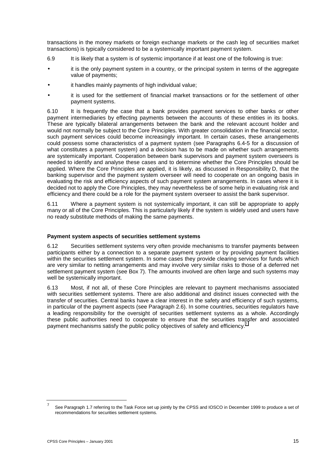transactions in the money markets or foreign exchange markets or the cash leg of securities market transactions) is typically considered to be a systemically important payment system.

- 6.9 It is likely that a system is of systemic importance if at least one of the following is true:
- it is the only payment system in a country, or the principal system in terms of the aggregate value of payments;
- it handles mainly payments of high individual value;
- it is used for the settlement of financial market transactions or for the settlement of other payment systems.

6.10 It is frequently the case that a bank provides payment services to other banks or other payment intermediaries by effecting payments between the accounts of these entities in its books. These are typically bilateral arrangements between the bank and the relevant account holder and would not normally be subject to the Core Principles. With greater consolidation in the financial sector, such payment services could become increasingly important. In certain cases, these arrangements could possess some characteristics of a payment system (see Paragraphs 6.4-5 for a discussion of what constitutes a payment system) and a decision has to be made on whether such arrangements are systemically important. Cooperation between bank supervisors and payment system overseers is needed to identify and analyse these cases and to determine whether the Core Principles should be applied. Where the Core Principles are applied, it is likely, as discussed in Responsibility D, that the banking supervisor and the payment system overseer will need to cooperate on an ongoing basis in evaluating the risk and efficiency aspects of such payment system arrangements. In cases where it is decided not to apply the Core Principles, they may nevertheless be of some help in evaluating risk and efficiency and there could be a role for the payment system overseer to assist the bank supervisor.

6.11 Where a payment system is not systemically important, it can still be appropriate to apply many or all of the Core Principles. This is particularly likely if the system is widely used and users have no ready substitute methods of making the same payments.

#### **Payment system aspects of securities settlement systems**

6.12 Securities settlement systems very often provide mechanisms to transfer payments between participants either by a connection to a separate payment system or by providing payment facilities within the securities settlement system. In some cases they provide clearing services for funds which are very similar to netting arrangements and may involve very similar risks to those of a deferred net settlement payment system (see Box 7). The amounts involved are often large and such systems may well be systemically important.

6.13 Most, if not all, of these Core Principles are relevant to payment mechanisms associated with securities settlement systems. There are also additional and distinct issues connected with the transfer of securities. Central banks have a clear interest in the safety and efficiency of such systems, in particular of the payment aspects (see Paragraph 2.6). In some countries, securities regulators have a leading responsibility for the oversight of securities settlement systems as a whole. Accordingly these public authorities need to cooperate to ensure that the securities transfer and associated payment mechanisms satisfy the public policy objectives of safety and efficiency.<sup>7</sup>

See Paragraph 1.7 referring to the Task Force set up jointly by the CPSS and IOSCO in December 1999 to produce a set of recommendations for securities settlement systems.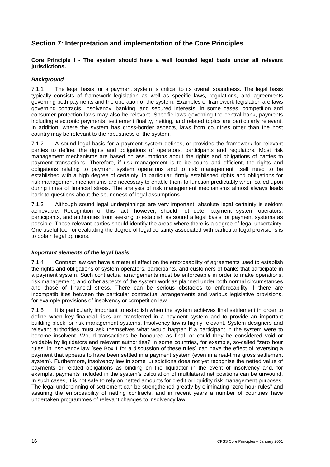## <span id="page-21-0"></span>**Section 7: Interpretation and implementation of the Core Principles**

## **Core Principle I - The system should have a well founded legal basis under all relevant jurisdictions.**

## *Background*

7.1.1 The legal basis for a payment system is critical to its overall soundness. The legal basis typically consists of framework legislation as well as specific laws, regulations, and agreements governing both payments and the operation of the system. Examples of framework legislation are laws governing contracts, insolvency, banking, and secured interests. In some cases, competition and consumer protection laws may also be relevant. Specific laws governing the central bank, payments including electronic payments, settlement finality, netting, and related topics are particularly relevant. In addition, where the system has cross-border aspects, laws from countries other than the host country may be relevant to the robustness of the system.

7.1.2 A sound legal basis for a payment system defines, or provides the framework for relevant parties to define, the rights and obligations of operators, participants and regulators. Most risk management mechanisms are based on assumptions about the rights and obligations of parties to payment transactions. Therefore, if risk management is to be sound and efficient, the rights and obligations relating to payment system operations and to risk management itself need to be established with a high degree of certainty. In particular, firmly established rights and obligations for risk management mechanisms are necessary to enable them to function predictably when called upon during times of financial stress. The analysis of risk management mechanisms almost always leads back to questions about the soundness of legal assumptions.

7.1.3 Although sound legal underpinnings are very important, absolute legal certainty is seldom achievable. Recognition of this fact, however, should not deter payment system operators, participants, and authorities from seeking to establish as sound a legal basis for payment systems as possible. These relevant parties should identify the areas where there is a degree of legal uncertainty. One useful tool for evaluating the degree of legal certainty associated with particular legal provisions is to obtain legal opinions.

## *Important elements of the legal basis*

7.1.4 Contract law can have a material effect on the enforceability of agreements used to establish the rights and obligations of system operators, participants, and customers of banks that participate in a payment system. Such contractual arrangements must be enforceable in order to make operations, risk management, and other aspects of the system work as planned under both normal circumstances and those of financial stress. There can be serious obstacles to enforceability if there are incompatibilities between the particular contractual arrangements and various legislative provisions, for example provisions of insolvency or competition law.

7.1.5 It is particularly important to establish when the system achieves final settlement in order to define when key financial risks are transferred in a payment system and to provide an important building block for risk management systems. Insolvency law is highly relevant. System designers and relevant authorities must ask themselves what would happen if a participant in the system were to become insolvent. Would transactions be honoured as final, or could they be considered void or voidable by liquidators and relevant authorities? In some countries, for example, so-called "zero hour rules" in insolvency law (see Box 1 for a discussion of these rules) can have the effect of reversing a payment that appears to have been settled in a payment system (even in a real-time gross settlement system). Furthermore, insolvency law in some jurisdictions does not yet recognise the netted value of payments or related obligations as binding on the liquidator in the event of insolvency and, for example, payments included in the system's calculation of multilateral net positions can be unwound. In such cases, it is not safe to rely on netted amounts for credit or liquidity risk management purposes. The legal underpinning of settlement can be strengthened greatly by eliminating "zero hour rules" and assuring the enforceability of netting contracts, and in recent years a number of countries have undertaken programmes of relevant changes to insolvency law.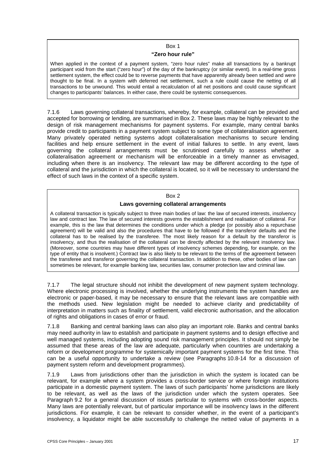## Box 1

## **"Zero hour rule"**

When applied in the context of a payment system, "zero hour rules" make all transactions by a bankrupt participant void from the start ("zero hour") of the day of the bankruptcy (or similar event). In a real-time gross settlement system, the effect could be to reverse payments that have apparently already been settled and were thought to be final. In a system with deferred net settlement, such a rule could cause the netting of all transactions to be unwound. This would entail a recalculation of all net positions and could cause significant changes to participants' balances. In either case, there could be systemic consequences.

7.1.6 Laws governing collateral transactions, whereby, for example, collateral can be provided and accepted for borrowing or lending, are summarised in Box 2. These laws may be highly relevant to the design of risk management mechanisms for payment systems. For example, many central banks provide credit to participants in a payment system subject to some type of collateralisation agreement. Many privately operated netting systems adopt collateralisation mechanisms to secure lending facilities and help ensure settlement in the event of initial failures to settle. In any event, laws governing the collateral arrangements must be scrutinised carefully to assess whether a collateralisation agreement or mechanism will be enforceable in a timely manner as envisaged, including when there is an insolvency. The relevant law may be different according to the type of collateral and the jurisdiction in which the collateral is located, so it will be necessary to understand the effect of such laws in the context of a specific system.

#### Box 2

## **Laws governing collateral arrangements**

A collateral transaction is typically subject to three main bodies of law: the law of secured interests, insolvency law and contract law. The law of secured interests governs the establishment and realisation of collateral. For example, this is the law that determines the conditions under which a pledge (or possibly also a repurchase agreement) will be valid and also the procedures that have to be followed if the transferor defaults and the collateral has to be realised by the transferee. The most likely reason for a default by the transferor is insolvency, and thus the realisation of the collateral can be directly affected by the relevant insolvency law. (Moreover, some countries may have different types of insolvency schemes depending, for example, on the type of entity that is insolvent.) Contract law is also likely to be relevant to the terms of the agreement between the transferee and transferor governing the collateral transaction. In addition to these, other bodies of law can sometimes be relevant, for example banking law, securities law, consumer protection law and criminal law.

7.1.7 The legal structure should not inhibit the development of new payment system technology. Where electronic processing is involved, whether the underlying instruments the system handles are electronic or paper-based, it may be necessary to ensure that the relevant laws are compatible with the methods used. New legislation might be needed to achieve clarity and predictability of interpretation in matters such as finality of settlement, valid electronic authorisation, and the allocation of rights and obligations in cases of error or fraud.

7.1.8 Banking and central banking laws can also play an important role. Banks and central banks may need authority in law to establish and participate in payment systems and to design effective and well managed systems, including adopting sound risk management principles. It should not simply be assumed that these areas of the law are adequate, particularly when countries are undertaking a reform or development programme for systemically important payment systems for the first time. This can be a useful opportunity to undertake a review (see Paragraphs 10.8-14 for a discussion of payment system reform and development programmes).

7.1.9 Laws from jurisdictions other than the jurisdiction in which the system is located can be relevant, for example where a system provides a cross-border service or where foreign institutions participate in a domestic payment system. The laws of such participants' home jurisdictions are likely to be relevant, as well as the laws of the jurisdiction under which the system operates. See Paragraph 9.2 for a general discussion of issues particular to systems with cross-border aspects. Many laws are potentially relevant, but of particular importance will be insolvency laws in the different jurisdictions. For example, it can be relevant to consider whether, in the event of a participant's insolvency, a liquidator might be able successfully to challenge the netted value of payments in a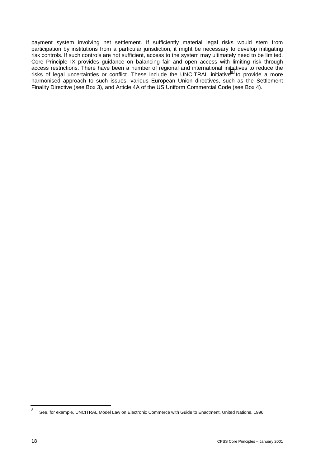payment system involving net settlement. If sufficiently material legal risks would stem from participation by institutions from a particular jurisdiction, it might be necessary to develop mitigating risk controls. If such controls are not sufficient, access to the system may ultimately need to be limited. Core Principle IX provides guidance on balancing fair and open access with limiting risk through access restrictions. There have been a number of regional and international initiatives to reduce the risks of legal uncertainties or conflict. These include the UNCITRAL initiative<sup>8</sup> to provide a more harmonised approach to such issues, various European Union directives, such as the Settlement Finality Directive (see Box 3), and Article 4A of the US Uniform Commercial Code (see Box 4).

<sup>8</sup> See, for example, UNCITRAL Model Law on Electronic Commerce with Guide to Enactment, United Nations, 1996.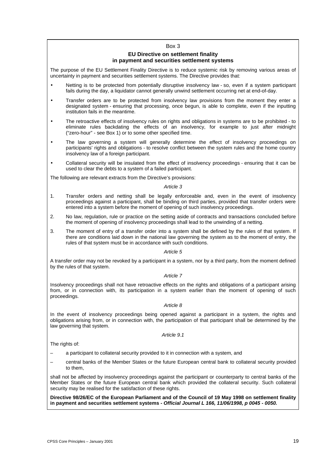#### Box 3

### **EU Directive on settlement finality in payment and securities settlement systems**

The purpose of the EU Settlement Finality Directive is to reduce systemic risk by removing various areas of uncertainty in payment and securities settlement systems. The Directive provides that:

- Netting is to be protected from potentially disruptive insolvency law so, even if a system participant fails during the day, a liquidator cannot generally unwind settlement occurring net at end-of-day.
- Transfer orders are to be protected from insolvency law provisions from the moment they enter a designated system - ensuring that processing, once begun, is able to complete, even if the inputting institution fails in the meantime.
- The retroactive effects of insolvency rules on rights and obligations in systems are to be prohibited to eliminate rules backdating the effects of an insolvency, for example to just after midnight ("zero-hour" - see Box 1) or to some other specified time.
- The law governing a system will generally determine the effect of insolvency proceedings on participants' rights and obligations - to resolve conflict between the system rules and the home country insolvency law of a foreign participant.
- Collateral security will be insulated from the effect of insolvency proceedings ensuring that it can be used to clear the debts to a system of a failed participant.

The following are relevant extracts from the Directive's provisions:

#### *Article 3*

- 1. Transfer orders and netting shall be legally enforceable and, even in the event of insolvency proceedings against a participant, shall be binding on third parties, provided that transfer orders were entered into a system before the moment of opening of such insolvency proceedings.
- 2. No law, regulation, rule or practice on the setting aside of contracts and transactions concluded before the moment of opening of insolvency proceedings shall lead to the unwinding of a netting.
- 3. The moment of entry of a transfer order into a system shall be defined by the rules of that system. If there are conditions laid down in the national law governing the system as to the moment of entry, the rules of that system must be in accordance with such conditions.

#### *Article 5*

A transfer order may not be revoked by a participant in a system, nor by a third party, from the moment defined by the rules of that system.

#### *Article 7*

Insolvency proceedings shall not have retroactive effects on the rights and obligations of a participant arising from, or in connection with, its participation in a system earlier than the moment of opening of such proceedings.

#### *Article 8*

In the event of insolvency proceedings being opened against a participant in a system, the rights and obligations arising from, or in connection with, the participation of that participant shall be determined by the law governing that system.

#### *Article 9.1*

The rights of:

- a participant to collateral security provided to it in connection with a system, and
- central banks of the Member States or the future European central bank to collateral security provided to them,

shall not be affected by insolvency proceedings against the participant or counterparty to central banks of the Member States or the future European central bank which provided the collateral security. Such collateral security may be realised for the satisfaction of these rights.

**Directive 98/26/EC of the European Parliament and of the Council of 19 May 1998 on settlement finality in payment and securities settlement systems -** *Official Journal L 166, 11/06/1998, p 0045 - 0050.*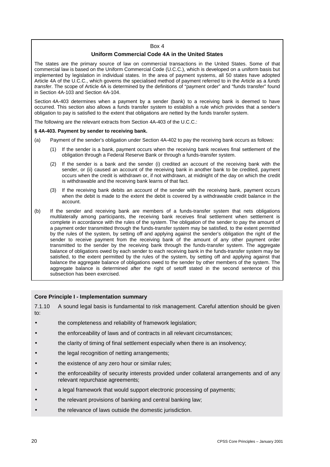#### $Box A$

#### **Uniform Commercial Code 4A in the United States**

The states are the primary source of law on commercial transactions in the United States. Some of that commercial law is based on the Uniform Commercial Code (U.C.C.), which is developed on a uniform basis but implemented by legislation in individual states. In the area of payment systems, all 50 states have adopted Article 4A of the U.C.C., which governs the specialised method of payment referred to in the Article as a *funds transfer*. The scope of Article 4A is determined by the definitions of "payment order" and "funds transfer" found in Section 4A-103 and Section 4A-104.

Section 4A-403 determines when a payment by a sender (bank) to a receiving bank is deemed to have occurred. This section also allows a funds transfer system to establish a rule which provides that a sender's obligation to pay is satisfied to the extent that obligations are netted by the funds transfer system.

The following are the relevant extracts from Section 4A-403 of the U.C.C.:

#### **§ 4A-403. Payment by sender to receiving bank.**

- (a) Payment of the sender's obligation under Section 4A-402 to pay the receiving bank occurs as follows:
	- (1) If the sender is a bank, payment occurs when the receiving bank receives final settlement of the obligation through a Federal Reserve Bank or through a funds-transfer system.
	- (2) If the sender is a bank and the sender (i) credited an account of the receiving bank with the sender, or (ii) caused an account of the receiving bank in another bank to be credited, payment occurs when the credit is withdrawn or, if not withdrawn, at midnight of the day on which the credit is withdrawable and the receiving bank learns of that fact.
	- (3) If the receiving bank debits an account of the sender with the receiving bank, payment occurs when the debit is made to the extent the debit is covered by a withdrawable credit balance in the account.
- (b) If the sender and receiving bank are members of a funds-transfer system that nets obligations multilaterally among participants, the receiving bank receives final settlement when settlement is complete in accordance with the rules of the system. The obligation of the sender to pay the amount of a payment order transmitted through the funds-transfer system may be satisfied, to the extent permitted by the rules of the system, by setting off and applying against the sender's obligation the right of the sender to receive payment from the receiving bank of the amount of any other payment order transmitted to the sender by the receiving bank through the funds-transfer system. The aggregate balance of obligations owed by each sender to each receiving bank in the funds-transfer system may be satisfied, to the extent permitted by the rules of the system, by setting off and applying against that balance the aggregate balance of obligations owed to the sender by other members of the system. The aggregate balance is determined after the right of setoff stated in the second sentence of this subsection has been exercised.

#### **Core Principle I - Implementation summary**

7.1.10 A sound legal basis is fundamental to risk management. Careful attention should be given to:

- the completeness and reliability of framework legislation;
- the enforceability of laws and of contracts in all relevant circumstances;
- the clarity of timing of final settlement especially when there is an insolvency;
- the legal recognition of netting arrangements;
- the existence of any zero hour or similar rules:
- the enforceability of security interests provided under collateral arrangements and of any relevant repurchase agreements;
- a legal framework that would support electronic processing of payments;
- the relevant provisions of banking and central banking law;
- the relevance of laws outside the domestic jurisdiction.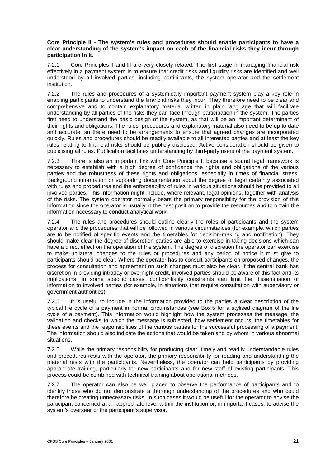#### <span id="page-26-0"></span>**Core Principle II - The system's rules and procedures should enable participants to have a clear understanding of the system's impact on each of the financial risks they incur through participation in it.**

7.2.1 Core Principles II and III are very closely related. The first stage in managing financial risk effectively in a payment system is to ensure that credit risks and liquidity risks are identified and well understood by all involved parties, including participants, the system operator and the settlement institution.

7.2.2 The rules and procedures of a systemically important payment system play a key role in enabling participants to understand the financial risks they incur. They therefore need to be clear and comprehensive and to contain explanatory material written in plain language that will facilitate understanding by all parties of the risks they can face through participation in the system. The parties first need to understand the basic design of the system, as that will be an important determinant of their rights and obligations. The rules, procedures and explanatory material also need to be up to date and accurate, so there need to be arrangements to ensure that agreed changes are incorporated quickly. Rules and procedures should be readily available to all interested parties and at least the key rules relating to financial risks should be publicly disclosed. Active consideration should be given to publicising all rules. Publication facilitates understanding by third-party users of the payment system.

7.2.3 There is also an important link with Core Principle I, because a sound legal framework is necessary to establish with a high degree of confidence the rights and obligations of the various parties and the robustness of these rights and obligations, especially in times of financial stress. Background information or supporting documentation about the degree of legal certainty associated with rules and procedures and the enforceability of rules in various situations should be provided to all involved parties. This information might include, where relevant, legal opinions, together with analysis of the risks. The system operator normally bears the primary responsibility for the provision of this information since the operator is usually in the best position to provide the resources and to obtain the information necessary to conduct analytical work.

7.2.4 The rules and procedures should outline clearly the roles of participants and the system operator and the procedures that will be followed in various circumstances (for example, which parties are to be notified of specific events and the timetables for decision-making and notification). They should make clear the degree of discretion parties are able to exercise in taking decisions which can have a direct effect on the operation of the system. The degree of discretion the operator can exercise to make unilateral changes to the rules or procedures and any period of notice it must give to participants should be clear. Where the operator has to consult participants on proposed changes, the process for consultation and agreement on such changes must also be clear. If the central bank has discretion in providing intraday or overnight credit, involved parties should be aware of this fact and its implications. In some specific cases, confidentiality constraints can limit the dissemination of information to involved parties (for example, in situations that require consultation with supervisory or government authorities).

7.2.5 It is useful to include in the information provided to the parties a clear description of the typical life cycle of a payment in normal circumstances (see Box 5 for a stylised diagram of the life cycle of a payment). This information would highlight how the system processes the message, the validation and checks to which the message is subjected, how settlement occurs, the timetables for these events and the responsibilities of the various parties for the successful processing of a payment. The information should also indicate the actions that would be taken and by whom in various abnormal situations.

7.2.6 While the primary responsibility for producing clear, timely and readily understandable rules and procedures rests with the operator, the primary responsibility for reading and understanding the material rests with the participants. Nevertheless, the operator can help participants by providing appropriate training, particularly for new participants and for new staff of existing participants. This process could be combined with technical training about operational methods.

7.2.7 The operator can also be well placed to observe the performance of participants and to identify those who do not demonstrate a thorough understanding of the procedures and who could therefore be creating unnecessary risks. In such cases it would be useful for the operator to advise the participant concerned at an appropriate level within the institution or, in important cases, to advise the system's overseer or the participant's supervisor.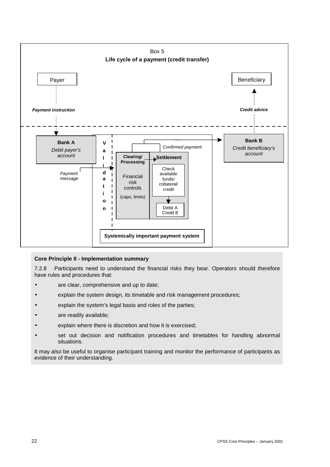

## **Core Principle II - Implementation summary**

7.2.8 Participants need to understand the financial risks they bear. Operators should therefore have rules and procedures that:

- are clear, comprehensive and up to date;
- explain the system design, its timetable and risk management procedures;
- explain the system's legal basis and roles of the parties;
- are readily available;
- explain where there is discretion and how it is exercised;
- set out decision and notification procedures and timetables for handling abnormal situations.

It may also be useful to organise participant training and monitor the performance of participants as evidence of their understanding.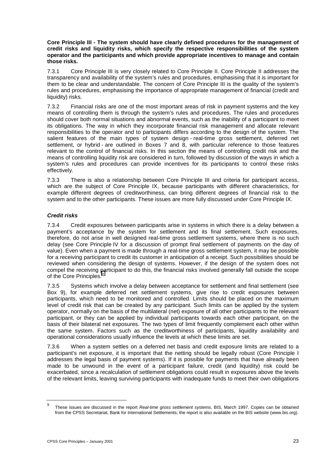#### <span id="page-28-0"></span>**Core Principle III - The system should have clearly defined procedures for the management of credit risks and liquidity risks, which specify the respective responsibilities of the system operator and the participants and which provide appropriate incentives to manage and contain those risks.**

7.3.1 Core Principle III is very closely related to Core Principle II. Core Principle II addresses the transparency and availability of the system's rules and procedures, emphasising that it is important for them to be clear and understandable. The concern of Core Principle III is the quality of the system's rules and procedures, emphasising the importance of appropriate management of financial (credit and liquidity) risks.

7.3.2 Financial risks are one of the most important areas of risk in payment systems and the key means of controlling them is through the system's rules and procedures. The rules and procedures should cover both normal situations and abnormal events, such as the inability of a participant to meet its obligations. The way in which they incorporate financial risk management and allocate relevant responsibilities to the operator and to participants differs according to the design of the system. The salient features of the main types of system design - real-time gross settlement, deferred net settlement, or hybrid - are outlined in Boxes 7 and 8, with particular reference to those features relevant to the control of financial risks. In this section the means of controlling credit risk and the means of controlling liquidity risk are considered in turn, followed by discussion of the ways in which a system's rules and procedures can provide incentives for its participants to control these risks effectively.

7.3.3 There is also a relationship between Core Principle III and criteria for participant access, which are the subject of Core Principle IX, because participants with different characteristics, for example different degrees of creditworthiness, can bring different degrees of financial risk to the system and to the other participants. These issues are more fully discussed under Core Principle IX.

## *Credit risks*

7.3.4 Credit exposures between participants arise in systems in which there is a delay between a payment's acceptance by the system for settlement and its final settlement. Such exposures, therefore, do not arise in well designed real-time gross settlement systems, where there is no such delay (see Core Principle IV for a discussion of prompt final settlement of payments on the day of value). Even when a payment is made through a real-time gross settlement system, it may be possible for a receiving participant to credit its customer in anticipation of a receipt. Such possibilities should be reviewed when considering the design of systems. However, if the design of the system does not compel the receiving participant to do this, the financial risks involved generally fall outside the scope of the Core Principles.<sup>9</sup>

7.3.5 Systems which involve a delay between acceptance for settlement and final settlement (see Box 9), for example deferred net settlement systems, give rise to credit exposures between participants, which need to be monitored and controlled. Limits should be placed on the maximum level of credit risk that can be created by any participant. Such limits can be applied by the system operator, normally on the basis of the multilateral (net) exposure of all other participants to the relevant participant, or they can be applied by individual participants towards each other participant, on the basis of their bilateral net exposures. The two types of limit frequently complement each other within the same system. Factors such as the creditworthiness of participants, liquidity availability and operational considerations usually influence the levels at which these limits are set.

7.3.6 When a system settles on a deferred net basis and credit exposure limits are related to a participant's net exposure, it is important that the netting should be legally robust (Core Principle I addresses the legal basis of payment systems). If it is possible for payments that have already been made to be unwound in the event of a participant failure, credit (and liquidity) risk could be exacerbated, since a recalculation of settlement obligations could result in exposures above the levels of the relevant limits, leaving surviving participants with inadequate funds to meet their own obligations

<sup>9</sup> These issues are discussed in the report *Real-time gross settlement systems*, BIS, March 1997. Copies can be obtained from the CPSS Secretariat, Bank for International Settlements; the report is also available on the BIS website (www.bis.org).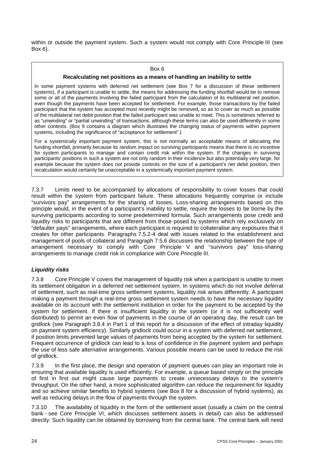within or outside the payment system. Such a system would not comply with Core Principle III (see Box 6).

#### Box 6

#### **Recalculating net positions as a means of handling an inability to settle**

In some payment systems with deferred net settlement (see Box 7 for a discussion of these settlement systems), if a participant is unable to settle, the means for addressing the funding shortfall would be to remove some or all of the payments involving the failed participant from the calculation of its multilateral net position, even though the payments have been accepted for settlement. For example, those transactions by the failed participant that the system has accepted most recently might be removed, so as to cover as much as possible of the multilateral net debit position that the failed participant was unable to meet. This is sometimes referred to as "unwinding" or "partial unwinding" of transactions, although these terms can also be used differently in some other contexts. (Box 9 contains a diagram which illustrates the changing status of payments within payment systems, including the significance of "acceptance for settlement".)

For a systemically important payment system, this is not normally an acceptable means of allocating the funding shortfall, primarily because its random impact on surviving participants means that there is no incentive for system participants to manage and contain credit risk within the system. If the changes in surviving participants' positions in such a system are not only random in their incidence but also potentially very large, for example because the system does not provide controls on the size of a participant's net debit position, then recalculation would certainly be unacceptable in a systemically important payment system.

7.3.7 Limits need to be accompanied by allocations of responsibility to cover losses that could result within the system from participant failure. These allocations frequently comprise or include "survivors pay" arrangements for the sharing of losses. Loss-sharing arrangements based on this principle would, in the event of a participant's inability to settle, require the losses to be borne by the surviving participants according to some predetermined formula. Such arrangements pose credit and liquidity risks to participants that are different from those posed by systems which rely exclusively on "defaulter pays" arrangements, where each participant is required to collateralise any exposures that it creates for other participants. Paragraphs 7.5.2-4 deal with issues related to the establishment and management of pools of collateral and Paragraph 7.5.6 discusses the relationship between the type of arrangement necessary to comply with Core Principle V and "survivors pay" loss-sharing arrangements to manage credit risk in compliance with Core Principle III.

## *Liquidity risks*

7.3.8 Core Principle V covers the management of liquidity risk when a participant is unable to meet its settlement obligation in a deferred net settlement system. In systems which do not involve deferral of settlement, such as real-time gross settlement systems, liquidity risk arises differently. A participant making a payment through a real-time gross settlement system needs to have the necessary liquidity available on its account with the settlement institution in order for the payment to be accepted by the system for settlement. If there is insufficient liquidity in the system (or it is not sufficiently well distributed) to permit an even flow of payments in the course of an operating day, the result can be gridlock (see Paragraph 3.8.4 in Part 1 of this report for a discussion of the effect of intraday liquidity on payment system efficiency). Similarly gridlock could occur in a system with deferred net settlement, if position limits prevented large values of payments from being accepted by the system for settlement. Frequent occurrence of gridlock can lead to a loss of confidence in the payment system and perhaps the use of less safe alternative arrangements. Various possible means can be used to reduce the risk of gridlock.

7.3.9 In the first place, the design and operation of payment queues can play an important role in ensuring that available liquidity is used efficiently. For example, a queue based simply on the principle of first in first out might cause large payments to create unnecessary delays to the system's throughput. On the other hand, a more sophisticated algorithm can reduce the requirement for liquidity and so achieve similar benefits to hybrid systems (see Box 8 for a discussion of hybrid systems), as well as reducing delays in the flow of payments through the system.

7.3.10 The availability of liquidity in the form of the settlement asset (usually a claim on the central bank - see Core Principle VI, which discusses settlement assets in detail) can also be addressed directly. Such liquidity can be obtained by borrowing from the central bank. The central bank will need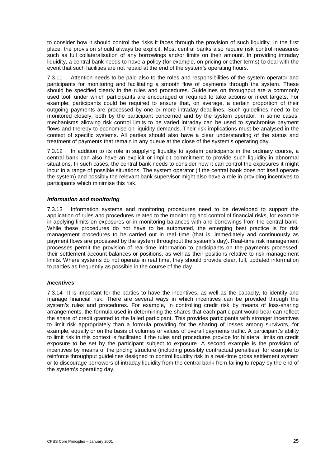to consider how it should control the risks it faces through the provision of such liquidity. In the first place, the provision should always be explicit. Most central banks also require risk control measures such as full collateralisation of any borrowings and/or limits on their amount. In providing intraday liquidity, a central bank needs to have a policy (for example, on pricing or other terms) to deal with the event that such facilities are not repaid at the end of the system's operating hours.

7.3.11 Attention needs to be paid also to the roles and responsibilities of the system operator and participants for monitoring and facilitating a smooth flow of payments through the system. These should be specified clearly in the rules and procedures. Guidelines on throughput are a commonly used tool, under which participants are encouraged or required to take actions or meet targets. For example, participants could be required to ensure that, on average, a certain proportion of their outgoing payments are processed by one or more intraday deadlines. Such guidelines need to be monitored closely, both by the participant concerned and by the system operator. In some cases, mechanisms allowing risk control limits to be varied intraday can be used to synchronise payment flows and thereby to economise on liquidity demands. Their risk implications must be analysed in the context of specific systems. All parties should also have a clear understanding of the status and treatment of payments that remain in any queue at the close of the system's operating day.

7.3.12 In addition to its role in supplying liquidity to system participants in the ordinary course, a central bank can also have an explicit or implicit commitment to provide such liquidity in abnormal situations. In such cases, the central bank needs to consider how it can control the exposures it might incur in a range of possible situations. The system operator (if the central bank does not itself operate the system) and possibly the relevant bank supervisor might also have a role in providing incentives to participants which minimise this risk.

#### *Information and monitoring*

7.3.13 Information systems and monitoring procedures need to be developed to support the application of rules and procedures related to the monitoring and control of financial risks, for example in applying limits on exposures or in monitoring balances with and borrowings from the central bank. While these procedures do not have to be automated, the emerging best practice is for risk management procedures to be carried out in real time (that is, immediately and continuously as payment flows are processed by the system throughout the system's day). Real-time risk management processes permit the provision of real-time information to participants on the payments processed, their settlement account balances or positions, as well as their positions relative to risk management limits. Where systems do not operate in real time, they should provide clear, full, updated information to parties as frequently as possible in the course of the day.

#### *Incentives*

7.3.14 It is important for the parties to have the incentives, as well as the capacity, to identify and manage financial risk. There are several ways in which incentives can be provided through the system's rules and procedures. For example, in controlling credit risk by means of loss-sharing arrangements, the formula used in determining the shares that each participant would bear can reflect the share of credit granted to the failed participant. This provides participants with stronger incentives to limit risk appropriately than a formula providing for the sharing of losses among survivors, for example, equally or on the basis of volumes or values of overall payments traffic. A participant's ability to limit risk in this context is facilitated if the rules and procedures provide for bilateral limits on credit exposure to be set by the participant subject to exposure. A second example is the provision of incentives by means of the pricing structure (including possibly contractual penalties), for example to reinforce throughput guidelines designed to control liquidity risk in a real-time gross settlement system or to discourage borrowers of intraday liquidity from the central bank from failing to repay by the end of the system's operating day.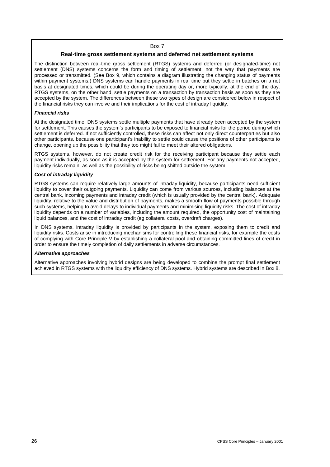#### Box 7

#### **Real-time gross settlement systems and deferred net settlement systems**

The distinction between real-time gross settlement (RTGS) systems and deferred (or designated-time) net settlement (DNS) systems concerns the form and timing of settlement, not the way that payments are processed or transmitted. (See Box 9, which contains a diagram illustrating the changing status of payments within payment systems.) DNS systems can handle payments in real time but they settle in batches on a net basis at designated times, which could be during the operating day or, more typically, at the end of the day. RTGS systems, on the other hand, settle payments on a transaction by transaction basis as soon as they are accepted by the system. The differences between these two types of design are considered below in respect of the financial risks they can involve and their implications for the cost of intraday liquidity.

#### *Financial risks*

At the designated time, DNS systems settle multiple payments that have already been accepted by the system for settlement. This causes the system's participants to be exposed to financial risks for the period during which settlement is deferred. If not sufficiently controlled, these risks can affect not only direct counterparties but also other participants, because one participant's inability to settle could cause the positions of other participants to change, opening up the possibility that they too might fail to meet their altered obligations.

RTGS systems, however, do not create credit risk for the receiving participant because they settle each payment individually, as soon as it is accepted by the system for settlement. For any payments not accepted, liquidity risks remain, as well as the possibility of risks being shifted outside the system.

#### *Cost of intraday liquidity*

RTGS systems can require relatively large amounts of intraday liquidity, because participants need sufficient liquidity to cover their outgoing payments. Liquidity can come from various sources, including balances at the central bank, incoming payments and intraday credit (which is usually provided by the central bank). Adequate liquidity, relative to the value and distribution of payments, makes a smooth flow of payments possible through such systems, helping to avoid delays to individual payments and minimising liquidity risks. The cost of intraday liquidity depends on a number of variables, including the amount required, the opportunity cost of maintaining liquid balances, and the cost of intraday credit (eg collateral costs, overdraft charges).

In DNS systems, intraday liquidity is provided by participants in the system, exposing them to credit and liquidity risks. Costs arise in introducing mechanisms for controlling these financial risks, for example the costs of complying with Core Principle V by establishing a collateral pool and obtaining committed lines of credit in order to ensure the timely completion of daily settlements in adverse circumstances.

#### *Alternative approaches*

Alternative approaches involving hybrid designs are being developed to combine the prompt final settlement achieved in RTGS systems with the liquidity efficiency of DNS systems. Hybrid systems are described in Box 8.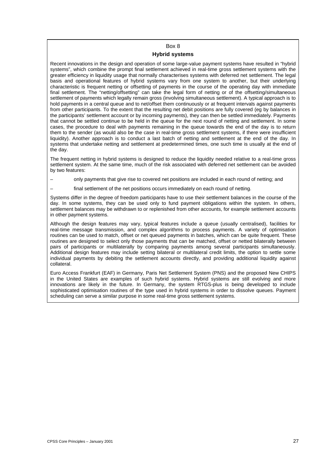### Box 8 **Hybrid systems**

Recent innovations in the design and operation of some large-value payment systems have resulted in "hybrid systems", which combine the prompt final settlement achieved in real-time gross settlement systems with the greater efficiency in liquidity usage that normally characterises systems with deferred net settlement. The legal basis and operational features of hybrid systems vary from one system to another, but their underlying characteristic is frequent netting or offsetting of payments in the course of the operating day with immediate final settlement. The "netting/offsetting" can take the legal form of netting or of the offsetting/simultaneous settlement of payments which legally remain gross (involving simultaneous settlement). A typical approach is to hold payments in a central queue and to net/offset them continuously or at frequent intervals against payments from other participants. To the extent that the resulting net debit positions are fully covered (eg by balances in the participants' settlement account or by incoming payments), they can then be settled immediately. Payments that cannot be settled continue to be held in the queue for the next round of netting and settlement. In some cases, the procedure to deal with payments remaining in the queue towards the end of the day is to return them to the sender (as would also be the case in real-time gross settlement systems, if there were insufficient liquidity). Another approach is to conduct a last batch of netting and settlement at the end of the day. In systems that undertake netting and settlement at predetermined times, one such time is usually at the end of the day.

The frequent netting in hybrid systems is designed to reduce the liquidity needed relative to a real-time gross settlement system. At the same time, much of the risk associated with deferred net settlement can be avoided by two features:

– only payments that give rise to covered net positions are included in each round of netting; and

final settlement of the net positions occurs immediately on each round of netting.

Systems differ in the degree of freedom participants have to use their settlement balances in the course of the day. In some systems, they can be used only to fund payment obligations within the system. In others, settlement balances may be withdrawn to or replenished from other accounts, for example settlement accounts in other payment systems.

Although the design features may vary, typical features include a queue (usually centralised), facilities for real-time message transmission, and complex algorithms to process payments. A variety of optimisation routines can be used to match, offset or net queued payments in batches, which can be quite frequent. These routines are designed to select only those payments that can be matched, offset or netted bilaterally between pairs of participants or multilaterally by comparing payments among several participants simultaneously. Additional design features may include setting bilateral or multilateral credit limits, the option to settle some individual payments by debiting the settlement accounts directly, and providing additional liquidity against collateral.

Euro Access Frankfurt (EAF) in Germany, Paris Net Settlement System (PNS) and the proposed New CHIPS in the United States are examples of such hybrid systems. Hybrid systems are still evolving and more innovations are likely in the future. In Germany, the system RTGS-plus is being developed to include sophisticated optimisation routines of the type used in hybrid systems in order to dissolve queues. Payment scheduling can serve a similar purpose in some real-time gross settlement systems.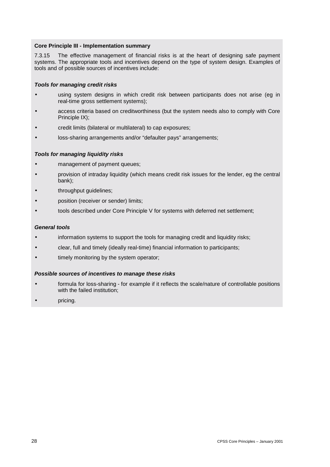## **Core Principle III - Implementation summary**

7.3.15 The effective management of financial risks is at the heart of designing safe payment systems. The appropriate tools and incentives depend on the type of system design. Examples of tools and of possible sources of incentives include:

#### *Tools for managing credit risks*

- using system designs in which credit risk between participants does not arise (eg in real-time gross settlement systems);
- access criteria based on creditworthiness (but the system needs also to comply with Core Principle IX);
- credit limits (bilateral or multilateral) to cap exposures;
- loss-sharing arrangements and/or "defaulter pays" arrangements;

#### *Tools for managing liquidity risks*

- management of payment queues;
- provision of intraday liquidity (which means credit risk issues for the lender, eg the central bank);
- throughput guidelines;
- position (receiver or sender) limits;
- tools described under Core Principle V for systems with deferred net settlement;

#### *General tools*

- information systems to support the tools for managing credit and liquidity risks;
- clear, full and timely (ideally real-time) financial information to participants;
- timely monitoring by the system operator;

#### *Possible sources of incentives to manage these risks*

- formula for loss-sharing for example if it reflects the scale/nature of controllable positions with the failed institution;
- pricing.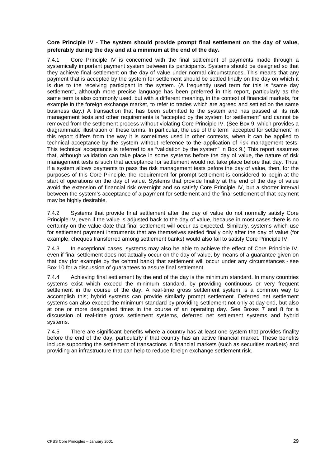## <span id="page-34-0"></span>**Core Principle IV - The system should provide prompt final settlement on the day of value, preferably during the day and at a minimum at the end of the day.**

7.4.1 Core Principle IV is concerned with the final settlement of payments made through a systemically important payment system between its participants. Systems should be designed so that they achieve final settlement on the day of value under normal circumstances. This means that any payment that is accepted by the system for settlement should be settled finally on the day on which it is due to the receiving participant in the system. (A frequently used term for this is "same day settlement", although more precise language has been preferred in this report, particularly as the same term is also commonly used, but with a different meaning, in the context of financial markets, for example in the foreign exchange market, to refer to trades which are agreed and settled on the same business day.) A transaction that has been submitted to the system and has passed all its risk management tests and other requirements is "accepted by the system for settlement" and cannot be removed from the settlement process without violating Core Principle IV. (See Box 9, which provides a diagrammatic illustration of these terms. In particular, the use of the term "accepted for settlement" in this report differs from the way it is sometimes used in other contexts, when it can be applied to technical acceptance by the system without reference to the application of risk management tests. This technical acceptance is referred to as "validation by the system" in Box 9.) This report assumes that, although validation can take place in some systems before the day of value, the nature of risk management tests is such that acceptance for settlement would not take place before that day. Thus, if a system allows payments to pass the risk management tests before the day of value, then, for the purposes of this Core Principle, the requirement for prompt settlement is considered to begin at the start of operations on the day of value. Systems that provide finality at the end of the day of value avoid the extension of financial risk overnight and so satisfy Core Principle IV, but a shorter interval between the system's acceptance of a payment for settlement and the final settlement of that payment may be highly desirable.

7.4.2 Systems that provide final settlement after the day of value do not normally satisfy Core Principle IV, even if the value is adjusted back to the day of value, because in most cases there is no certainty on the value date that final settlement will occur as expected. Similarly, systems which use for settlement payment instruments that are themselves settled finally only after the day of value (for example, cheques transferred among settlement banks) would also fail to satisfy Core Principle IV.

7.4.3 In exceptional cases, systems may also be able to achieve the effect of Core Principle IV, even if final settlement does not actually occur on the day of value, by means of a guarantee given on that day (for example by the central bank) that settlement will occur under any circumstances - see Box 10 for a discussion of guarantees to assure final settlement.

7.4.4 Achieving final settlement by the end of the day is the minimum standard. In many countries systems exist which exceed the minimum standard, by providing continuous or very frequent settlement in the course of the day. A real-time gross settlement system is a common way to accomplish this; hybrid systems can provide similarly prompt settlement. Deferred net settlement systems can also exceed the minimum standard by providing settlement not only at day-end, but also at one or more designated times in the course of an operating day. See Boxes 7 and 8 for a discussion of real-time gross settlement systems, deferred net settlement systems and hybrid systems.

7.4.5 There are significant benefits where a country has at least one system that provides finality before the end of the day, particularly if that country has an active financial market. These benefits include supporting the settlement of transactions in financial markets (such as securities markets) and providing an infrastructure that can help to reduce foreign exchange settlement risk.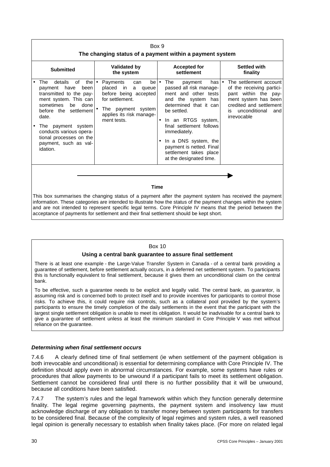|                                                                                                                                                                                                                                                                                                                                                                                                                                     | Box 9<br>The changing status of a payment within a payment system                                                                                                                                                                                                                                |                                                                                                                                                                                |                        |                                                                                                                                                                                                                                                                                                                                 |  |                                                                                                                                                                              |  |  |  |  |
|-------------------------------------------------------------------------------------------------------------------------------------------------------------------------------------------------------------------------------------------------------------------------------------------------------------------------------------------------------------------------------------------------------------------------------------|--------------------------------------------------------------------------------------------------------------------------------------------------------------------------------------------------------------------------------------------------------------------------------------------------|--------------------------------------------------------------------------------------------------------------------------------------------------------------------------------|------------------------|---------------------------------------------------------------------------------------------------------------------------------------------------------------------------------------------------------------------------------------------------------------------------------------------------------------------------------|--|------------------------------------------------------------------------------------------------------------------------------------------------------------------------------|--|--|--|--|
|                                                                                                                                                                                                                                                                                                                                                                                                                                     | <b>Submitted</b>                                                                                                                                                                                                                                                                                 | <b>Validated by</b><br>the system                                                                                                                                              |                        | <b>Accepted for</b><br>settlement                                                                                                                                                                                                                                                                                               |  | <b>Settled with</b><br>finality                                                                                                                                              |  |  |  |  |
|                                                                                                                                                                                                                                                                                                                                                                                                                                     | The<br>details<br>of<br>the $\cdot$<br>have<br>been<br>payment<br>transmitted to the pay-<br>ment system. This can<br>sometimes<br>done<br>be<br>before the settlement<br>date.<br>The payment system<br>conducts various opera-<br>tional processes on the<br>payment, such as val-<br>idation. | Payments<br>$be \rightarrow$<br>can<br>placed<br>in<br>a<br>queue<br>before being accepted<br>for settlement.<br>The payment system<br>applies its risk manage-<br>ment tests. | $\bullet$<br>$\bullet$ | The<br>has $\bullet$<br>payment<br>passed all risk manage-<br>ment and other tests<br>and the system<br>has<br>determined that it can<br>be settled.<br>In an RTGS system,<br>final settlement follows<br>immediately.<br>In a DNS system, the<br>payment is netted. Final<br>settlement takes place<br>at the designated time. |  | The settlement account<br>of the receiving partici-<br>pant within the pay-<br>ment system has been<br>credited and settlement<br>unconditional<br>and<br>is.<br>irrevocable |  |  |  |  |
| Time                                                                                                                                                                                                                                                                                                                                                                                                                                |                                                                                                                                                                                                                                                                                                  |                                                                                                                                                                                |                        |                                                                                                                                                                                                                                                                                                                                 |  |                                                                                                                                                                              |  |  |  |  |
| This box summarises the changing status of a payment after the payment system has received the payment<br>information. These categories are intended to illustrate how the status of the payment changes within the system<br>and are not intended to represent specific legal terms. Core Principle IV means that the period between the<br>acceptance of payments for settlement and their final settlement should be kept short. |                                                                                                                                                                                                                                                                                                  |                                                                                                                                                                                |                        |                                                                                                                                                                                                                                                                                                                                 |  |                                                                                                                                                                              |  |  |  |  |

#### Box 10

## **Using a central bank guarantee to assure final settlement**

There is at least one example - the Large-Value Transfer System in Canada - of a central bank providing a guarantee of settlement, before settlement actually occurs, in a deferred net settlement system. To participants this is functionally equivalent to final settlement, because it gives them an unconditional claim on the central bank.

To be effective, such a guarantee needs to be explicit and legally valid. The central bank, as guarantor, is assuming risk and is concerned both to protect itself and to provide incentives for participants to control those risks. To achieve this, it could require risk controls, such as a collateral pool provided by the system's participants to ensure the timely completion of the daily settlements in the event that the participant with the largest single settlement obligation is unable to meet its obligation. It would be inadvisable for a central bank to give a guarantee of settlement unless at least the minimum standard in Core Principle V was met without reliance on the guarantee.

## *Determining when final settlement occurs*

7.4.6 A clearly defined time of final settlement (ie when settlement of the payment obligation is both irrevocable and unconditional) is essential for determining compliance with Core Principle IV. The definition should apply even in abnormal circumstances. For example, some systems have rules or procedures that allow payments to be unwound if a participant fails to meet its settlement obligation. Settlement cannot be considered final until there is no further possibility that it will be unwound, because all conditions have been satisfied.

7.4.7 The system's rules and the legal framework within which they function generally determine finality. The legal regime governing payments, the payment system and insolvency law must acknowledge discharge of any obligation to transfer money between system participants for transfers to be considered final. Because of the complexity of legal regimes and system rules, a well reasoned legal opinion is generally necessary to establish when finality takes place. (For more on related legal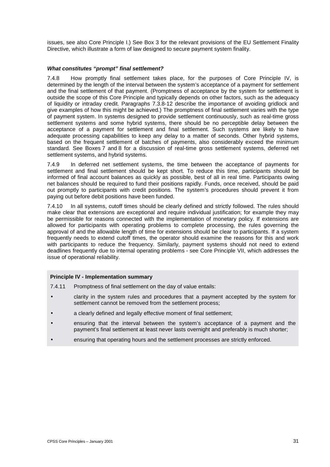issues, see also Core Principle I.) See Box 3 for the relevant provisions of the EU Settlement Finality Directive, which illustrate a form of law designed to secure payment system finality.

### *What constitutes "prompt" final settlement?*

7.4.8 How promptly final settlement takes place, for the purposes of Core Principle IV, is determined by the length of the interval between the system's acceptance of a payment for settlement and the final settlement of that payment. (Promptness of acceptance by the system for settlement is outside the scope of this Core Principle and typically depends on other factors, such as the adequacy of liquidity or intraday credit. Paragraphs 7.3.8-12 describe the importance of avoiding gridlock and give examples of how this might be achieved.) The promptness of final settlement varies with the type of payment system. In systems designed to provide settlement continuously, such as real-time gross settlement systems and some hybrid systems, there should be no perceptible delay between the acceptance of a payment for settlement and final settlement. Such systems are likely to have adequate processing capabilities to keep any delay to a matter of seconds. Other hybrid systems, based on the frequent settlement of batches of payments, also considerably exceed the minimum standard. See Boxes 7 and 8 for a discussion of real-time gross settlement systems, deferred net settlement systems, and hybrid systems.

7.4.9 In deferred net settlement systems, the time between the acceptance of payments for settlement and final settlement should be kept short. To reduce this time, participants should be informed of final account balances as quickly as possible, best of all in real time. Participants owing net balances should be required to fund their positions rapidly. Funds, once received, should be paid out promptly to participants with credit positions. The system's procedures should prevent it from paying out before debit positions have been funded.

7.4.10 In all systems, cutoff times should be clearly defined and strictly followed. The rules should make clear that extensions are exceptional and require individual justification; for example they may be permissible for reasons connected with the implementation of monetary policy. If extensions are allowed for participants with operating problems to complete processing, the rules governing the approval of and the allowable length of time for extensions should be clear to participants. If a system frequently needs to extend cutoff times, the operator should examine the reasons for this and work with participants to reduce the frequency. Similarly, payment systems should not need to extend deadlines frequently due to internal operating problems - see Core Principle VII, which addresses the issue of operational reliability.

#### **Principle IV - Implementation summary**

- 7.4.11 Promptness of final settlement on the day of value entails:
- clarity in the system rules and procedures that a payment accepted by the system for settlement cannot be removed from the settlement process;
- a clearly defined and legally effective moment of final settlement:
- ensuring that the interval between the system's acceptance of a payment and the payment's final settlement at least never lasts overnight and preferably is much shorter;
- ensuring that operating hours and the settlement processes are strictly enforced.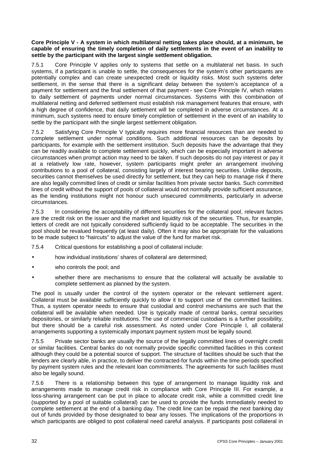#### **Core Principle V - A system in which multilateral netting takes place should, at a minimum, be capable of ensuring the timely completion of daily settlements in the event of an inability to settle by the participant with the largest single settlement obligation.**

7.5.1 Core Principle V applies only to systems that settle on a multilateral net basis. In such systems, if a participant is unable to settle, the consequences for the system's other participants are potentially complex and can create unexpected credit or liquidity risks. Most such systems defer settlement, in the sense that there is a significant delay between the system's acceptance of a payment for settlement and the final settlement of that payment - see Core Principle IV, which relates to daily settlement of payments under normal circumstances. Systems with this combination of multilateral netting and deferred settlement must establish risk management features that ensure, with a high degree of confidence, that daily settlement will be completed in adverse circumstances. At a minimum, such systems need to ensure timely completion of settlement in the event of an inability to settle by the participant with the single largest settlement obligation.

7.5.2 Satisfying Core Principle V typically requires more financial resources than are needed to complete settlement under normal conditions. Such additional resources can be deposits by participants, for example with the settlement institution. Such deposits have the advantage that they can be readily available to complete settlement quickly, which can be especially important in adverse circumstances when prompt action may need to be taken. If such deposits do not pay interest or pay it at a relatively low rate, however, system participants might prefer an arrangement involving contributions to a pool of collateral, consisting largely of interest bearing securities. Unlike deposits, securities cannot themselves be used directly for settlement, but they can help to manage risk if there are also legally committed lines of credit or similar facilities from private sector banks. Such committed lines of credit without the support of pools of collateral would not normally provide sufficient assurance, as the lending institutions might not honour such unsecured commitments, particularly in adverse circumstances.

7.5.3 In considering the acceptability of different securities for the collateral pool, relevant factors are the credit risk on the issuer and the market and liquidity risk of the securities. Thus, for example, letters of credit are not typically considered sufficiently liquid to be acceptable. The securities in the pool should be revalued frequently (at least daily). Often it may also be appropriate for the valuations to be made subject to "haircuts" to adjust the value of the fund for market risk.

7.5.4 Critical questions for establishing a pool of collateral include:

- how individual institutions' shares of collateral are determined;
- who controls the pool; and
- whether there are mechanisms to ensure that the collateral will actually be available to complete settlement as planned by the system.

The pool is usually under the control of the system operator or the relevant settlement agent. Collateral must be available sufficiently quickly to allow it to support use of the committed facilities. Thus, a system operator needs to ensure that custodial and control mechanisms are such that the collateral will be available when needed. Use is typically made of central banks, central securities depositories, or similarly reliable institutions. The use of commercial custodians is a further possibility, but there should be a careful risk assessment. As noted under Core Principle I, all collateral arrangements supporting a systemically important payment system must be legally sound.

7.5.5 Private sector banks are usually the source of the legally committed lines of overnight credit or similar facilities. Central banks do not normally provide specific committed facilities in this context although they could be a potential source of support. The structure of facilities should be such that the lenders are clearly able, in practice, to deliver the contracted-for funds within the time periods specified by payment system rules and the relevant loan commitments. The agreements for such facilities must also be legally sound.

7.5.6 There is a relationship between this type of arrangement to manage liquidity risk and arrangements made to manage credit risk in compliance with Core Principle III. For example, a loss-sharing arrangement can be put in place to allocate credit risk, while a committed credit line (supported by a pool of suitable collateral) can be used to provide the funds immediately needed to complete settlement at the end of a banking day. The credit line can be repaid the next banking day out of funds provided by those designated to bear any losses. The implications of the proportions in which participants are obliged to post collateral need careful analysis. If participants post collateral in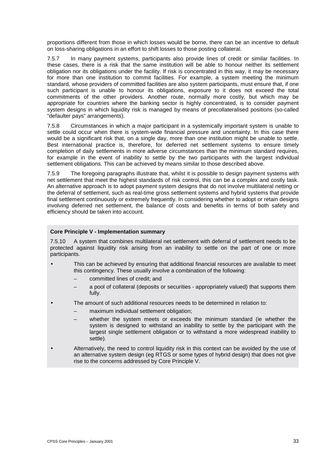proportions different from those in which losses would be borne, there can be an incentive to default on loss-sharing obligations in an effort to shift losses to those posting collateral.

7.5.7 In many payment systems, participants also provide lines of credit or similar facilities. In these cases, there is a risk that the same institution will be able to honour neither its settlement obligation nor its obligations under the facility. If risk is concentrated in this way, it may be necessary for more than one institution to commit facilities. For example, a system meeting the minimum standard, whose providers of committed facilities are also system participants, must ensure that, if one such participant is unable to honour its obligations, exposure to it does not exceed the total commitments of the other providers. Another route, normally more costly, but which may be appropriate for countries where the banking sector is highly concentrated, is to consider payment system designs in which liquidity risk is managed by means of precollateralised positions (so-called "defaulter pays" arrangements).

7.5.8 Circumstances in which a major participant in a systemically important system is unable to settle could occur when there is system-wide financial pressure and uncertainty. In this case there would be a significant risk that, on a single day, more than one institution might be unable to settle. Best international practice is, therefore, for deferred net settlement systems to ensure timely completion of daily settlements in more adverse circumstances than the minimum standard requires, for example in the event of inability to settle by the two participants with the largest individual settlement obligations. This can be achieved by means similar to those described above.

7.5.9 The foregoing paragraphs illustrate that, whilst it is possible to design payment systems with net settlement that meet the highest standards of risk control, this can be a complex and costly task. An alternative approach is to adopt payment system designs that do not involve multilateral netting or the deferral of settlement, such as real-time gross settlement systems and hybrid systems that provide final settlement continuously or extremely frequently. In considering whether to adopt or retain designs involving deferred net settlement, the balance of costs and benefits in terms of both safety and efficiency should be taken into account.

#### **Core Principle V - Implementation summary**

7.5.10 A system that combines multilateral net settlement with deferral of settlement needs to be protected against liquidity risk arising from an inability to settle on the part of one or more participants.

- This can be achieved by ensuring that additional financial resources are available to meet this contingency. These usually involve a combination of the following:
	- committed lines of credit; and
	- a pool of collateral (deposits or securities appropriately valued) that supports them fully.
- The amount of such additional resources needs to be determined in relation to:
	- maximum individual settlement obligation;
	- whether the system meets or exceeds the minimum standard (ie whether the system is designed to withstand an inability to settle by the participant with the largest single settlement obligation or to withstand a more widespread inability to settle).
- Alternatively, the need to control liquidity risk in this context can be avoided by the use of an alternative system design (eg RTGS or some types of hybrid design) that does not give rise to the concerns addressed by Core Principle V.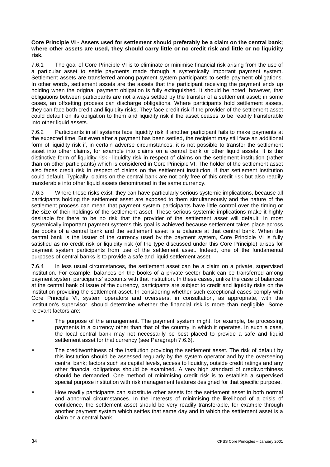#### **Core Principle VI - Assets used for settlement should preferably be a claim on the central bank; where other assets are used, they should carry little or no credit risk and little or no liquidity risk.**

7.6.1 The goal of Core Principle VI is to eliminate or minimise financial risk arising from the use of a particular asset to settle payments made through a systemically important payment system. Settlement assets are transferred among payment system participants to settle payment obligations. In other words, settlement assets are the assets that the participant receiving the payment ends up holding when the original payment obligation is fully extinguished. It should be noted, however, that obligations between participants are not always settled by the transfer of a settlement asset; in some cases, an offsetting process can discharge obligations. Where participants hold settlement assets, they can face both credit and liquidity risks. They face credit risk if the provider of the settlement asset could default on its obligation to them and liquidity risk if the asset ceases to be readily transferable into other liquid assets.

7.6.2 Participants in all systems face liquidity risk if another participant fails to make payments at the expected time. But even after a payment has been settled, the recipient may still face an additional form of liquidity risk if, in certain adverse circumstances, it is not possible to transfer the settlement asset into other claims, for example into claims on a central bank or other liquid assets. It is this distinctive form of liquidity risk - liquidity risk in respect of claims on the settlement institution (rather than on other participants) which is considered in Core Principle VI. The holder of the settlement asset also faces credit risk in respect of claims on the settlement institution, if that settlement institution could default. Typically, claims on the central bank are not only free of this credit risk but also readily transferable into other liquid assets denominated in the same currency.

7.6.3 Where these risks exist, they can have particularly serious systemic implications, because all participants holding the settlement asset are exposed to them simultaneously and the nature of the settlement process can mean that payment system participants have little control over the timing or the size of their holdings of the settlement asset. These serious systemic implications make it highly desirable for there to be no risk that the provider of the settlement asset will default. In most systemically important payment systems this goal is achieved because settlement takes place across the books of a central bank and the settlement asset is a balance at that central bank. When the central bank is the issuer of the currency used by the payment system, Core Principle VI is fully satisfied as no credit risk or liquidity risk (of the type discussed under this Core Principle) arises for payment system participants from use of the settlement asset. Indeed, one of the fundamental purposes of central banks is to provide a safe and liquid settlement asset.

7.6.4 In less usual circumstances, the settlement asset can be a claim on a private, supervised institution. For example, balances on the books of a private sector bank can be transferred among payment system participants' accounts with that institution. In these cases, unlike the case of balances at the central bank of issue of the currency, participants are subject to credit and liquidity risks on the institution providing the settlement asset. In considering whether such exceptional cases comply with Core Principle VI, system operators and overseers, in consultation, as appropriate, with the institution's supervisor, should determine whether the financial risk is more than negligible. Some relevant factors are:

- The purpose of the arrangement. The payment system might, for example, be processing payments in a currency other than that of the country in which it operates. In such a case, the local central bank may not necessarily be best placed to provide a safe and liquid settlement asset for that currency (see Paragraph 7.6.6).
- The creditworthiness of the institution providing the settlement asset. The risk of default by this institution should be assessed regularly by the system operator and by the overseeing central bank; factors such as capital levels, access to liquidity, outside credit ratings and any other financial obligations should be examined. A very high standard of creditworthiness should be demanded. One method of minimising credit risk is to establish a supervised special purpose institution with risk management features designed for that specific purpose.
- How readily participants can substitute other assets for the settlement asset in both normal and abnormal circumstances. In the interests of minimising the likelihood of a crisis of confidence, the settlement asset should be very readily transferable, for example through another payment system which settles that same day and in which the settlement asset is a claim on a central bank.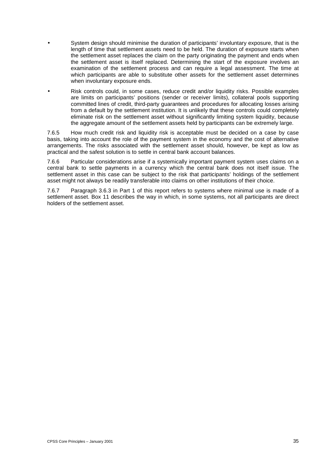- System design should minimise the duration of participants' involuntary exposure, that is the length of time that settlement assets need to be held. The duration of exposure starts when the settlement asset replaces the claim on the party originating the payment and ends when the settlement asset is itself replaced. Determining the start of the exposure involves an examination of the settlement process and can require a legal assessment. The time at which participants are able to substitute other assets for the settlement asset determines when involuntary exposure ends.
- Risk controls could, in some cases, reduce credit and/or liquidity risks. Possible examples are limits on participants' positions (sender or receiver limits), collateral pools supporting committed lines of credit, third-party guarantees and procedures for allocating losses arising from a default by the settlement institution. It is unlikely that these controls could completely eliminate risk on the settlement asset without significantly limiting system liquidity, because the aggregate amount of the settlement assets held by participants can be extremely large.

7.6.5 How much credit risk and liquidity risk is acceptable must be decided on a case by case basis, taking into account the role of the payment system in the economy and the cost of alternative arrangements. The risks associated with the settlement asset should, however, be kept as low as practical and the safest solution is to settle in central bank account balances.

7.6.6 Particular considerations arise if a systemically important payment system uses claims on a central bank to settle payments in a currency which the central bank does not itself issue. The settlement asset in this case can be subject to the risk that participants' holdings of the settlement asset might not always be readily transferable into claims on other institutions of their choice.

7.6.7 Paragraph 3.6.3 in Part 1 of this report refers to systems where minimal use is made of a settlement asset. Box 11 describes the way in which, in some systems, not all participants are direct holders of the settlement asset.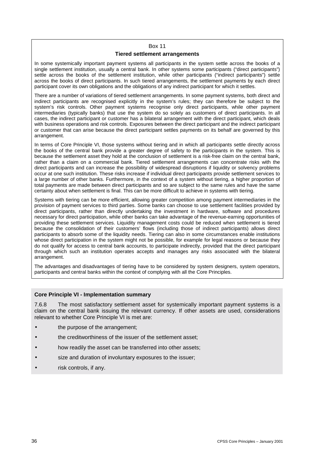#### Box 11

#### **Tiered settlement arrangements**

In some systemically important payment systems all participants in the system settle across the books of a single settlement institution, usually a central bank. In other systems some participants ("direct participants") settle across the books of the settlement institution, while other participants ("indirect participants") settle across the books of direct participants. In such tiered arrangements, the settlement payments by each direct participant cover its own obligations and the obligations of any indirect participant for which it settles.

There are a number of variations of tiered settlement arrangements. In some payment systems, both direct and indirect participants are recognised explicitly in the system's rules; they can therefore be subject to the system's risk controls. Other payment systems recognise only direct participants, while other payment intermediaries (typically banks) that use the system do so solely as customers of direct participants. In all cases, the indirect participant or customer has a bilateral arrangement with the direct participant, which deals with business operations and risk controls. Exposures between the direct participant and the indirect participant or customer that can arise because the direct participant settles payments on its behalf are governed by this arrangement.

In terms of Core Principle VI, those systems without tiering and in which all participants settle directly across the books of the central bank provide a greater degree of safety to the participants in the system. This is because the settlement asset they hold at the conclusion of settlement is a risk-free claim on the central bank, rather than a claim on a commercial bank. Tiered settlement arrangements can concentrate risks with the direct participants and can increase the possibility of widespread disruptions if liquidity or solvency problems occur at one such institution. These risks increase if individual direct participants provide settlement services to a large number of other banks. Furthermore, in the context of a system without tiering, a higher proportion of total payments are made between direct participants and so are subject to the same rules and have the same certainty about when settlement is final. This can be more difficult to achieve in systems with tiering.

Systems with tiering can be more efficient, allowing greater competition among payment intermediaries in the provision of payment services to third parties. Some banks can choose to use settlement facilities provided by direct participants, rather than directly undertaking the investment in hardware, software and procedures necessary for direct participation, while other banks can take advantage of the revenue-earning opportunities of providing these settlement services. Liquidity management costs could be reduced when settlement is tiered because the consolidation of their customers' flows (including those of indirect participants) allows direct participants to absorb some of the liquidity needs. Tiering can also in some circumstances enable institutions whose direct participation in the system might not be possible, for example for legal reasons or because they do not qualify for access to central bank accounts, to participate indirectly, provided that the direct participant through which such an institution operates accepts and manages any risks associated with the bilateral arrangement.

The advantages and disadvantages of tiering have to be considered by system designers, system operators, participants and central banks within the context of complying with all the Core Principles.

#### **Core Principle VI - Implementation summary**

7.6.8 The most satisfactory settlement asset for systemically important payment systems is a claim on the central bank issuing the relevant currency. If other assets are used, considerations relevant to whether Core Principle VI is met are:

- the purpose of the arrangement;
- the creditworthiness of the issuer of the settlement asset;
- how readily the asset can be transferred into other assets;
- size and duration of involuntary exposures to the issuer:
- risk controls, if any.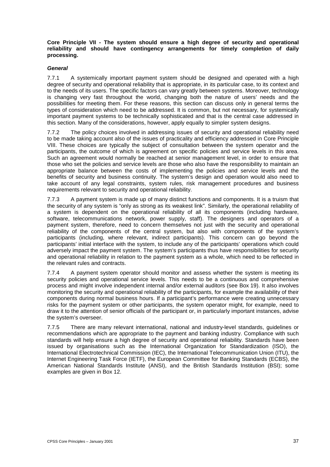#### **Core Principle VII - The system should ensure a high degree of security and operational reliability and should have contingency arrangements for timely completion of daily processing.**

#### *General*

7.7.1 A systemically important payment system should be designed and operated with a high degree of security and operational reliability that is appropriate, in its particular case, to its context and to the needs of its users. The specific factors can vary greatly between systems. Moreover, technology is changing very fast throughout the world, changing both the nature of users' needs and the possibilities for meeting them. For these reasons, this section can discuss only in general terms the types of consideration which need to be addressed. It is common, but not necessary, for systemically important payment systems to be technically sophisticated and that is the central case addressed in this section. Many of the considerations, however, apply equally to simpler system designs.

7.7.2 The policy choices involved in addressing issues of security and operational reliability need to be made taking account also of the issues of practicality and efficiency addressed in Core Principle VIII. These choices are typically the subject of consultation between the system operator and the participants, the outcome of which is agreement on specific policies and service levels in this area. Such an agreement would normally be reached at senior management level, in order to ensure that those who set the policies and service levels are those who also have the responsibility to maintain an appropriate balance between the costs of implementing the policies and service levels and the benefits of security and business continuity. The system's design and operation would also need to take account of any legal constraints, system rules, risk management procedures and business requirements relevant to security and operational reliability.

7.7.3 A payment system is made up of many distinct functions and components. It is a truism that the security of any system is "only as strong as its weakest link". Similarly, the operational reliability of a system is dependent on the operational reliability of all its components (including hardware, software, telecommunications network, power supply, staff). The designers and operators of a payment system, therefore, need to concern themselves not just with the security and operational reliability of the components of the central system, but also with components of the system's participants (including, where relevant, indirect participants). This concern can go beyond the participants' initial interface with the system, to include any of the participants' operations which could adversely impact the payment system. The system's participants thus have responsibilities for security and operational reliability in relation to the payment system as a whole, which need to be reflected in the relevant rules and contracts.

7.7.4 A payment system operator should monitor and assess whether the system is meeting its security policies and operational service levels. This needs to be a continuous and comprehensive process and might involve independent internal and/or external auditors (see Box 19). It also involves monitoring the security and operational reliability of the participants, for example the availability of their components during normal business hours. If a participant's performance were creating unnecessary risks for the payment system or other participants, the system operator might, for example, need to draw it to the attention of senior officials of the participant or, in particularly important instances, advise the system's overseer.

7.7.5 There are many relevant international, national and industry-level standards, guidelines or recommendations which are appropriate to the payment and banking industry. Compliance with such standards will help ensure a high degree of security and operational reliability. Standards have been issued by organisations such as the International Organization for Standardization (ISO), the International Electrotechnical Commission (IEC), the International Telecommunication Union (ITU), the Internet Engineering Task Force (IETF), the European Committee for Banking Standards (ECBS), the American National Standards Institute (ANSI), and the British Standards Institution (BSI); some examples are given in Box 12.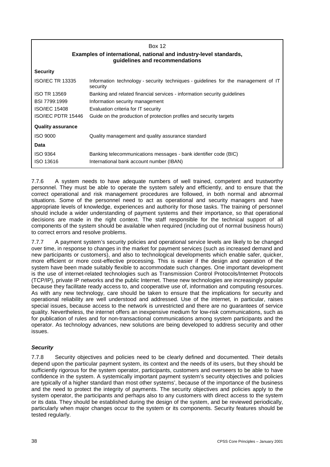| <b>Box 12</b><br>Examples of international, national and industry-level standards,<br>guidelines and recommendations |                                                                                                              |
|----------------------------------------------------------------------------------------------------------------------|--------------------------------------------------------------------------------------------------------------|
| <b>Security</b>                                                                                                      |                                                                                                              |
| <b>ISO/IEC TR 13335</b>                                                                                              | Information technology - security techniques - quidelines for the management of IT<br>security               |
| <b>ISO TR 13569</b>                                                                                                  | Banking and related financial services - information security guidelines                                     |
| BSI 7799:1999                                                                                                        | Information security management                                                                              |
| <b>ISO/IEC 15408</b>                                                                                                 | Evaluation criteria for IT security                                                                          |
| ISO/IEC PDTR 15446                                                                                                   | Guide on the production of protection profiles and security targets                                          |
| <b>Quality assurance</b>                                                                                             |                                                                                                              |
| ISO 9000                                                                                                             | Quality management and quality assurance standard                                                            |
| Data                                                                                                                 |                                                                                                              |
| ISO 9364<br>ISO 13616                                                                                                | Banking telecommunications messages - bank identifier code (BIC)<br>International bank account number (IBAN) |

7.7.6 A system needs to have adequate numbers of well trained, competent and trustworthy personnel. They must be able to operate the system safely and efficiently, and to ensure that the correct operational and risk management procedures are followed, in both normal and abnormal situations. Some of the personnel need to act as operational and security managers and have appropriate levels of knowledge, experiences and authority for those tasks. The training of personnel should include a wider understanding of payment systems and their importance, so that operational decisions are made in the right context. The staff responsible for the technical support of all components of the system should be available when required (including out of normal business hours) to correct errors and resolve problems.

7.7.7 A payment system's security policies and operational service levels are likely to be changed over time, in response to changes in the market for payment services (such as increased demand and new participants or customers), and also to technological developments which enable safer, quicker, more efficient or more cost-effective processing. This is easier if the design and operation of the system have been made suitably flexible to accommodate such changes. One important development is the use of internet-related technologies such as Transmission Control Protocols/Internet Protocols (TCP/IP), private IP networks and the public Internet. These new technologies are increasingly popular because they facilitate ready access to, and cooperative use of, information and computing resources. As with any new technology, care should be taken to ensure that the implications for security and operational reliability are well understood and addressed. Use of the internet, in particular, raises special issues, because access to the network is unrestricted and there are no guarantees of service quality. Nevertheless, the internet offers an inexpensive medium for low-risk communications, such as for publication of rules and for non-transactional communications among system participants and the operator. As technology advances, new solutions are being developed to address security and other issues.

## *Security*

7.7.8 Security objectives and policies need to be clearly defined and documented. Their details depend upon the particular payment system, its context and the needs of its users, but they should be sufficiently rigorous for the system operator, participants, customers and overseers to be able to have confidence in the system. A systemically important payment system's security objectives and policies are typically of a higher standard than most other systems', because of the importance of the business and the need to protect the integrity of payments. The security objectives and policies apply to the system operator, the participants and perhaps also to any customers with direct access to the system or its data. They should be established during the design of the system, and be reviewed periodically, particularly when major changes occur to the system or its components. Security features should be tested regularly.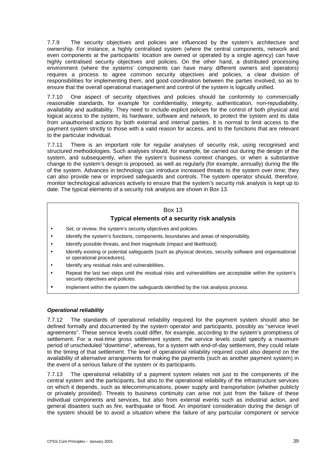7.7.9 The security objectives and policies are influenced by the system's architecture and ownership. For instance, a highly centralised system (where the central components, network and even components at the participants' location are owned or operated by a single agency) can have highly centralised security objectives and policies. On the other hand, a distributed processing environment (where the systems' components can have many different owners and operators) requires a process to agree common security objectives and policies, a clear division of responsibilities for implementing them, and good coordination between the parties involved, so as to ensure that the overall operational management and control of the system is logically unified.

7.7.10 One aspect of security objectives and policies should be conformity to commercially reasonable standards, for example for confidentiality, integrity, authentication, non-repudiability, availability and auditability. They need to include explicit policies for the control of both physical and logical access to the system, its hardware, software and network, to protect the system and its data from unauthorised actions by both external and internal parties. It is normal to limit access to the payment system strictly to those with a valid reason for access, and to the functions that are relevant to the particular individual.

7.7.11 There is an important role for regular analyses of security risk, using recognised and structured methodologies. Such analyses should, for example, be carried out during the design of the system, and subsequently, when the system's business context changes, or when a substantive change to the system's design is proposed, as well as regularly (for example, annually) during the life of the system. Advances in technology can introduce increased threats to the system over time; they can also provide new or improved safeguards and controls. The system operator should, therefore, monitor technological advances actively to ensure that the system's security risk analysis is kept up to date. The typical elements of a security risk analysis are shown in Box 13.

## Box 13

# **Typical elements of a security risk analysis**

- Set, or review, the system's security objectives and policies.
- Identify the system's functions, components, boundaries and areas of responsibility.
- Identify possible threats, and their magnitude (impact and likelihood).
- Identify existing or potential safeguards (such as physical devices, security software and organisational or operational procedures).
- Identify any residual risks and vulnerabilities.
- Repeat the last two steps until the residual risks and vulnerabilities are acceptable within the system's security objectives and policies.
- Implement within the system the safeguards identified by the risk analysis process.

#### *Operational reliability*

7.7.12 The standards of operational reliability required for the payment system should also be defined formally and documented by the system operator and participants, possibly as "service level agreements". These service levels could differ, for example, according to the system's promptness of settlement. For a real-time gross settlement system, the service levels could specify a maximum period of unscheduled "downtime", whereas, for a system with end-of-day settlement, they could relate to the timing of that settlement. The level of operational reliability required could also depend on the availability of alternative arrangements for making the payments (such as another payment system) in the event of a serious failure of the system or its participants.

7.7.13 The operational reliability of a payment system relates not just to the components of the central system and the participants, but also to the operational reliability of the infrastructure services on which it depends, such as telecommunications, power supply and transportation (whether publicly or privately provided). Threats to business continuity can arise not just from the failure of these individual components and services, but also from external events such as industrial action, and general disasters such as fire, earthquake or flood. An important consideration during the design of the system should be to avoid a situation where the failure of any particular component or service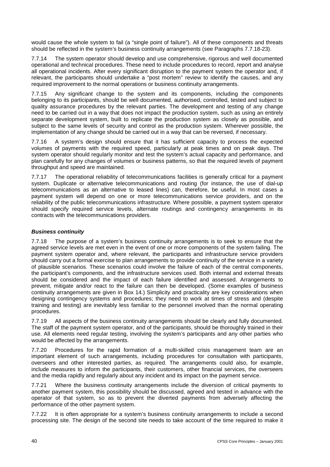would cause the whole system to fail (a "single point of failure"). All of these components and threats should be reflected in the system's business continuity arrangements (see Paragraphs 7.7.18-23).

7.7.14 The system operator should develop and use comprehensive, rigorous and well documented operational and technical procedures. These need to include procedures to record, report and analyse all operational incidents. After every significant disruption to the payment system the operator and, if relevant, the participants should undertake a "post mortem" review to identify the causes, and any required improvement to the normal operations or business continuity arrangements.

7.7.15 Any significant change to the system and its components, including the components belonging to its participants, should be well documented, authorised, controlled, tested and subject to quality assurance procedures by the relevant parties. The development and testing of any change need to be carried out in a way that does not impact the production system, such as using an entirely separate development system, built to replicate the production system as closely as possible, and subject to the same levels of security and control as the production system. Wherever possible, the implementation of any change should be carried out in a way that can be reversed, if necessary.

7.7.16 A system's design should ensure that it has sufficient capacity to process the expected volumes of payments with the required speed, particularly at peak times and on peak days. The system operator should regularly monitor and test the system's actual capacity and performance, and plan carefully for any changes of volumes or business patterns, so that the required levels of payment throughput and speed are maintained.

7.7.17 The operational reliability of telecommunications facilities is generally critical for a payment system. Duplicate or alternative telecommunications and routing (for instance, the use of dial-up telecommunications as an alternative to leased lines) can, therefore, be useful. In most cases a payment system will depend on one or more telecommunications service providers, and on the reliability of the public telecommunications infrastructure. Where possible, a payment system operator should specify required service levels, alternate routings and contingency arrangements in its contracts with the telecommunications providers.

## *Business continuity*

7.7.18 The purpose of a system's business continuity arrangements is to seek to ensure that the agreed service levels are met even in the event of one or more components of the system failing. The payment system operator and, where relevant, the participants and infrastructure service providers should carry out a formal exercise to plan arrangements to provide continuity of the service in a variety of plausible scenarios. These scenarios could involve the failure of each of the central components, the participant's components, and the infrastructure services used. Both internal and external threats should be considered and the impact of each failure identified and assessed. Arrangements to prevent, mitigate and/or react to the failure can then be developed. (Some examples of business continuity arrangements are given in Box 14.) Simplicity and practicality are key considerations when designing contingency systems and procedures; they need to work at times of stress and (despite training and testing) are inevitably less familiar to the personnel involved than the normal operating procedures.

7.7.19 All aspects of the business continuity arrangements should be clearly and fully documented. The staff of the payment system operator, and of the participants, should be thoroughly trained in their use. All elements need regular testing, involving the system's participants and any other parties who would be affected by the arrangements.

7.7.20 Procedures for the rapid formation of a multi-skilled crisis management team are an important element of such arrangements, including procedures for consultation with participants, overseers and other interested parties, as required. The arrangements could also, for example, include measures to inform the participants, their customers, other financial services, the overseers and the media rapidly and regularly about any incident and its impact on the payment service.

7.7.21 Where the business continuity arrangements include the diversion of critical payments to another payment system, this possibility should be discussed, agreed and tested in advance with the operator of that system, so as to prevent the diverted payments from adversely affecting the performance of the other payment system.

7.7.22 It is often appropriate for a system's business continuity arrangements to include a second processing site. The design of the second site needs to take account of the time required to make it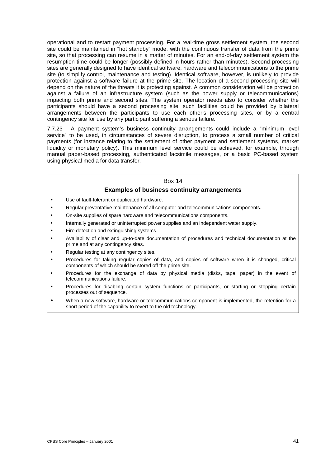operational and to restart payment processing. For a real-time gross settlement system, the second site could be maintained in "hot standby" mode, with the continuous transfer of data from the prime site, so that processing can resume in a matter of minutes. For an end-of-day settlement system the resumption time could be longer (possibly defined in hours rather than minutes). Second processing sites are generally designed to have identical software, hardware and telecommunications to the prime site (to simplify control, maintenance and testing). Identical software, however, is unlikely to provide protection against a software failure at the prime site. The location of a second processing site will depend on the nature of the threats it is protecting against. A common consideration will be protection against a failure of an infrastructure system (such as the power supply or telecommunications) impacting both prime and second sites. The system operator needs also to consider whether the participants should have a second processing site; such facilities could be provided by bilateral arrangements between the participants to use each other's processing sites, or by a central contingency site for use by any participant suffering a serious failure.

7.7.23 A payment system's business continuity arrangements could include a "minimum level service" to be used, in circumstances of severe disruption, to process a small number of critical payments (for instance relating to the settlement of other payment and settlement systems, market liquidity or monetary policy). This minimum level service could be achieved, for example, through manual paper-based processing, authenticated facsimile messages, or a basic PC-based system using physical media for data transfer.

#### Box 14

#### **Examples of business continuity arrangements**

- Use of fault-tolerant or duplicated hardware.
- Regular preventative maintenance of all computer and telecommunications components.
- On-site supplies of spare hardware and telecommunications components.
- Internally generated or uninterrupted power supplies and an independent water supply.
- Fire detection and extinguishing systems.
- Availability of clear and up-to-date documentation of procedures and technical documentation at the prime and at any contingency sites.
- Regular testing at any contingency sites.
- Procedures for taking regular copies of data, and copies of software when it is changed, critical components of which should be stored off the prime site.
- Procedures for the exchange of data by physical media (disks, tape, paper) in the event of telecommunications failure.
- Procedures for disabling certain system functions or participants, or starting or stopping certain processes out of sequence.
- When a new software, hardware or telecommunications component is implemented, the retention for a short period of the capability to revert to the old technology.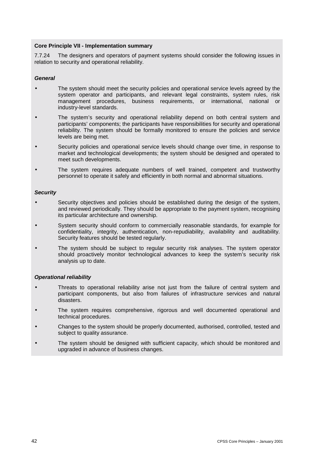## **Core Principle VII - Implementation summary**

7.7.24 The designers and operators of payment systems should consider the following issues in relation to security and operational reliability.

### *General*

- The system should meet the security policies and operational service levels agreed by the system operator and participants, and relevant legal constraints, system rules, risk management procedures, business requirements, or international, national or industry-level standards.
- The system's security and operational reliability depend on both central system and participants' components; the participants have responsibilities for security and operational reliability. The system should be formally monitored to ensure the policies and service levels are being met.
- Security policies and operational service levels should change over time, in response to market and technological developments; the system should be designed and operated to meet such developments.
- The system requires adequate numbers of well trained, competent and trustworthy personnel to operate it safely and efficiently in both normal and abnormal situations.

#### *Security*

- Security objectives and policies should be established during the design of the system, and reviewed periodically. They should be appropriate to the payment system, recognising its particular architecture and ownership.
- System security should conform to commercially reasonable standards, for example for confidentiality, integrity, authentication, non-repudiability, availability and auditability. Security features should be tested regularly.
- The system should be subject to regular security risk analyses. The system operator should proactively monitor technological advances to keep the system's security risk analysis up to date.

## *Operational reliability*

- Threats to operational reliability arise not just from the failure of central system and participant components, but also from failures of infrastructure services and natural disasters.
- The system requires comprehensive, rigorous and well documented operational and technical procedures.
- Changes to the system should be properly documented, authorised, controlled, tested and subject to quality assurance.
- The system should be designed with sufficient capacity, which should be monitored and upgraded in advance of business changes.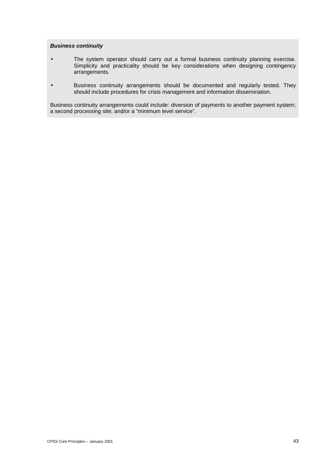## *Business continuity*

- The system operator should carry out a formal business continuity planning exercise. Simplicity and practicality should be key considerations when designing contingency arrangements.
- Business continuity arrangements should be documented and regularly tested. They should include procedures for crisis management and information dissemination.

Business continuity arrangements could include: diversion of payments to another payment system; a second processing site; and/or a "minimum level service".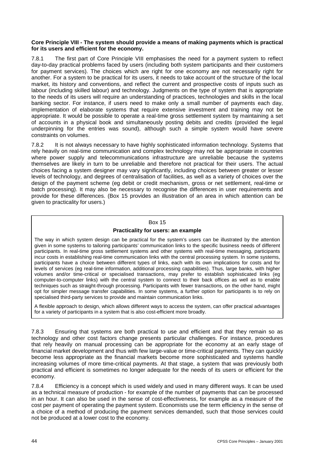#### **Core Principle VIII - The system should provide a means of making payments which is practical for its users and efficient for the economy.**

7.8.1 The first part of Core Principle VIII emphasises the need for a payment system to reflect day-to-day practical problems faced by users (including both system participants and their customers for payment services). The choices which are right for one economy are not necessarily right for another. For a system to be practical for its users, it needs to take account of the structure of the local market, its history and conventions, and reflect the current and prospective costs of inputs such as labour (including skilled labour) and technology. Judgments on the type of system that is appropriate to the needs of its users will require an understanding of practices, technologies and skills in the local banking sector. For instance, if users need to make only a small number of payments each day, implementation of elaborate systems that require extensive investment and training may not be appropriate. It would be possible to operate a real-time gross settlement system by maintaining a set of accounts in a physical book and simultaneously posting debits and credits (provided the legal underpinning for the entries was sound), although such a simple system would have severe constraints on volumes.

7.8.2 It is not always necessary to have highly sophisticated information technology. Systems that rely heavily on real-time communication and complex technology may not be appropriate in countries where power supply and telecommunications infrastructure are unreliable because the systems themselves are likely in turn to be unreliable and therefore not practical for their users. The actual choices facing a system designer may vary significantly, including choices between greater or lesser levels of technology, and degrees of centralisation of facilities, as well as a variety of choices over the design of the payment scheme (eg debit or credit mechanism, gross or net settlement, real-time or batch processing). It may also be necessary to recognise the differences in user requirements and provide for these differences. (Box 15 provides an illustration of an area in which attention can be given to practicality for users.)

#### Box 15

### **Practicality for users: an example**

The way in which system design can be practical for the system's users can be illustrated by the attention given in some systems to tailoring participants' communication links to the specific business needs of different participants. In real-time gross settlement systems and other systems with real-time messaging, participants incur costs in establishing real-time communication links with the central processing system. In some systems, participants have a choice between different types of links, each with its own implications for costs and for levels of services (eg real-time information, additional processing capabilities). Thus, large banks, with higher volumes and/or time-critical or specialised transactions, may prefer to establish sophisticated links (eg computer-to-computer links) with the central system to connect to their back offices as well as to enable techniques such as straight-through processing. Participants with fewer transactions, on the other hand, might opt for simpler message transfer capabilities. In some systems, a further option for participants is to rely on specialised third-party services to provide and maintain communication links.

A flexible approach to design, which allows different ways to access the system, can offer practical advantages for a variety of participants in a system that is also cost-efficient more broadly.

7.8.3 Ensuring that systems are both practical to use and efficient and that they remain so as technology and other cost factors change presents particular challenges. For instance, procedures that rely heavily on manual processing can be appropriate for the economy at an early stage of financial market development and thus with few large-value or time-critical payments. They can quickly become less appropriate as the financial markets become more sophisticated and systems handle increasing volumes of more time-critical payments. At that stage, a system that was previously both practical and efficient is sometimes no longer adequate for the needs of its users or efficient for the economy.

7.8.4 Efficiency is a concept which is used widely and used in many different ways. It can be used as a technical measure of production - for example of the number of payments that can be processed in an hour. It can also be used in the sense of cost-effectiveness, for example as a measure of the cost per payment of operating the payment system. Economists use the term efficiency in the sense of a choice of a method of producing the payment services demanded, such that those services could not be produced at a lower cost to the economy.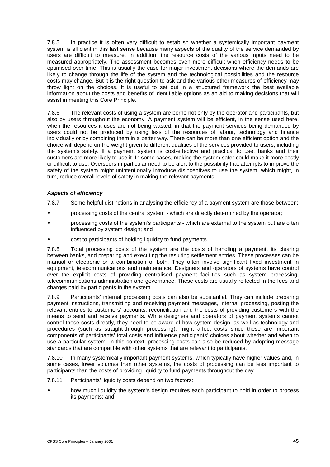7.8.5 In practice it is often very difficult to establish whether a systemically important payment system is efficient in this last sense because many aspects of the quality of the service demanded by users are difficult to measure. In addition, the resource costs of the various inputs need to be measured appropriately. The assessment becomes even more difficult when efficiency needs to be optimised over time. This is usually the case for major investment decisions where the demands are likely to change through the life of the system and the technological possibilities and the resource costs may change. But it is the right question to ask and the various other measures of efficiency may throw light on the choices. It is useful to set out in a structured framework the best available information about the costs and benefits of identifiable options as an aid to making decisions that will assist in meeting this Core Principle.

7.8.6 The relevant costs of using a system are borne not only by the operator and participants, but also by users throughout the economy. A payment system will be efficient, in the sense used here, when the resources it uses are not being wasted, in that the payment services being demanded by users could not be produced by using less of the resources of labour, technology and finance individually or by combining them in a better way. There can be more than one efficient option and the choice will depend on the weight given to different qualities of the services provided to users, including the system's safety. If a payment system is cost-effective and practical to use, banks and their customers are more likely to use it. In some cases, making the system safer could make it more costly or difficult to use. Overseers in particular need to be alert to the possibility that attempts to improve the safety of the system might unintentionally introduce disincentives to use the system, which might, in turn, reduce overall levels of safety in making the relevant payments.

## *Aspects of efficiency*

7.8.7 Some helpful distinctions in analysing the efficiency of a payment system are those between:

- processing costs of the central system which are directly determined by the operator;
- processing costs of the system's participants which are external to the system but are often influenced by system design; and
- cost to participants of holding liquidity to fund payments.

7.8.8 Total processing costs of the system are the costs of handling a payment, its clearing between banks, and preparing and executing the resulting settlement entries. These processes can be manual or electronic or a combination of both. They often involve significant fixed investment in equipment, telecommunications and maintenance. Designers and operators of systems have control over the explicit costs of providing centralised payment facilities such as system processing, telecommunications administration and governance. These costs are usually reflected in the fees and charges paid by participants in the system.

7.8.9 Participants' internal processing costs can also be substantial. They can include preparing payment instructions, transmitting and receiving payment messages, internal processing, posting the relevant entries to customers' accounts, reconciliation and the costs of providing customers with the means to send and receive payments. While designers and operators of payment systems cannot control these costs directly, they need to be aware of how system design, as well as technology and procedures (such as straight-through processing), might affect costs since these are important components of participants' total costs and influence participants' choices about whether and when to use a particular system. In this context, processing costs can also be reduced by adopting message standards that are compatible with other systems that are relevant to participants.

7.8.10 In many systemically important payment systems, which typically have higher values and, in some cases, lower volumes than other systems, the costs of processing can be less important to participants than the costs of providing liquidity to fund payments throughout the day.

- 7.8.11 Participants' liquidity costs depend on two factors:
- how much liquidity the system's design requires each participant to hold in order to process its payments; and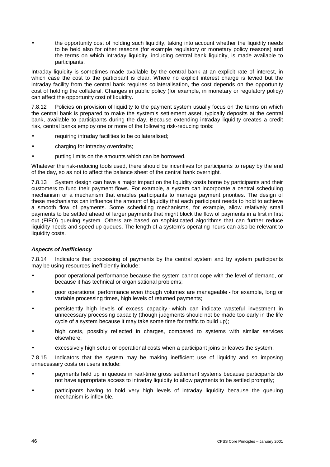• the opportunity cost of holding such liquidity, taking into account whether the liquidity needs to be held also for other reasons (for example regulatory or monetary policy reasons) and the terms on which intraday liquidity, including central bank liquidity, is made available to participants.

Intraday liquidity is sometimes made available by the central bank at an explicit rate of interest, in which case the cost to the participant is clear. Where no explicit interest charge is levied but the intraday facility from the central bank requires collateralisation, the cost depends on the opportunity cost of holding the collateral. Changes in public policy (for example, in monetary or regulatory policy) can affect the opportunity cost of liquidity.

7.8.12 Policies on provision of liquidity to the payment system usually focus on the terms on which the central bank is prepared to make the system's settlement asset, typically deposits at the central bank, available to participants during the day. Because extending intraday liquidity creates a credit risk, central banks employ one or more of the following risk-reducing tools:

- requiring intraday facilities to be collateralised;
- charging for intraday overdrafts;
- putting limits on the amounts which can be borrowed.

Whatever the risk-reducing tools used, there should be incentives for participants to repay by the end of the day, so as not to affect the balance sheet of the central bank overnight.

7.8.13 System design can have a major impact on the liquidity costs borne by participants and their customers to fund their payment flows. For example, a system can incorporate a central scheduling mechanism or a mechanism that enables participants to manage payment priorities. The design of these mechanisms can influence the amount of liquidity that each participant needs to hold to achieve a smooth flow of payments. Some scheduling mechanisms, for example, allow relatively small payments to be settled ahead of larger payments that might block the flow of payments in a first in first out (FIFO) queuing system. Others are based on sophisticated algorithms that can further reduce liquidity needs and speed up queues. The length of a system's operating hours can also be relevant to liquidity costs.

## *Aspects of inefficiency*

7.8.14 Indicators that processing of payments by the central system and by system participants may be using resources inefficiently include:

- poor operational performance because the system cannot cope with the level of demand, or because it has technical or organisational problems;
- poor operational performance even though volumes are manageable for example, long or variable processing times, high levels of returned payments;
- persistently high levels of excess capacity which can indicate wasteful investment in unnecessary processing capacity (though judgments should not be made too early in the life cycle of a system because it may take some time for traffic to build up);
- high costs, possibly reflected in charges, compared to systems with similar services elsewhere;
- excessively high setup or operational costs when a participant joins or leaves the system.

7.8.15 Indicators that the system may be making inefficient use of liquidity and so imposing unnecessary costs on users include:

- payments held up in queues in real-time gross settlement systems because participants do not have appropriate access to intraday liquidity to allow payments to be settled promptly;
- participants having to hold very high levels of intraday liquidity because the queuing mechanism is inflexible.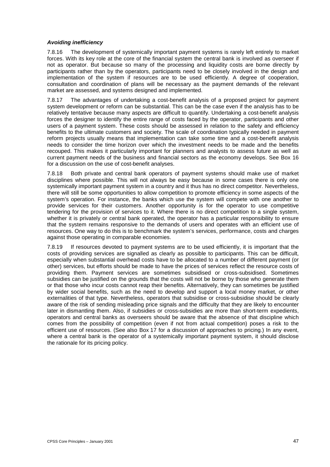### *Avoiding inefficiency*

7.8.16 The development of systemically important payment systems is rarely left entirely to market forces. With its key role at the core of the financial system the central bank is involved as overseer if not as operator. But because so many of the processing and liquidity costs are borne directly by participants rather than by the operators, participants need to be closely involved in the design and implementation of the system if resources are to be used efficiently. A degree of cooperation, consultation and coordination of plans will be necessary as the payment demands of the relevant market are assessed, and systems designed and implemented.

7.8.17 The advantages of undertaking a cost-benefit analysis of a proposed project for payment system development or reform can be substantial. This can be the case even if the analysis has to be relatively tentative because many aspects are difficult to quantify. Undertaking a cost-benefit analysis forces the designer to identify the entire range of costs faced by the operator, participants and other users of a payment system. These costs should be assessed in relation to the safety and efficiency benefits to the ultimate customers and society. The scale of coordination typically needed in payment reform projects usually means that implementation can take some time and a cost-benefit analysis needs to consider the time horizon over which the investment needs to be made and the benefits recouped. This makes it particularly important for planners and analysts to assess future as well as current payment needs of the business and financial sectors as the economy develops. See Box 16 for a discussion on the use of cost-benefit analyses.

7.8.18 Both private and central bank operators of payment systems should make use of market disciplines where possible. This will not always be easy because in some cases there is only one systemically important payment system in a country and it thus has no direct competitor. Nevertheless, there will still be some opportunities to allow competition to promote efficiency in some aspects of the system's operation. For instance, the banks which use the system will compete with one another to provide services for their customers. Another opportunity is for the operator to use competitive tendering for the provision of services to it. Where there is no direct competition to a single system, whether it is privately or central bank operated, the operator has a particular responsibility to ensure that the system remains responsive to the demands of users and operates with an efficient use of resources. One way to do this is to benchmark the system's services, performance, costs and charges against those operating in comparable economies.

7.8.19 If resources devoted to payment systems are to be used efficiently, it is important that the costs of providing services are signalled as clearly as possible to participants. This can be difficult, especially when substantial overhead costs have to be allocated to a number of different payment (or other) services, but efforts should be made to have the prices of services reflect the resource costs of providing them. Payment services are sometimes subsidised or cross-subsidised. Sometimes subsidies can be justified on the grounds that the costs will not be borne by those who generate them or that those who incur costs cannot reap their benefits. Alternatively, they can sometimes be justified by wider social benefits, such as the need to develop and support a local money market, or other externalities of that type. Nevertheless, operators that subsidise or cross-subsidise should be clearly aware of the risk of sending misleading price signals and the difficulty that they are likely to encounter later in dismantling them. Also, if subsidies or cross-subsidies are more than short-term expedients, operators and central banks as overseers should be aware that the absence of that discipline which comes from the possibility of competition (even if not from actual competition) poses a risk to the efficient use of resources. (See also Box 17 for a discussion of approaches to pricing.) In any event, where a central bank is the operator of a systemically important payment system, it should disclose the rationale for its pricing policy.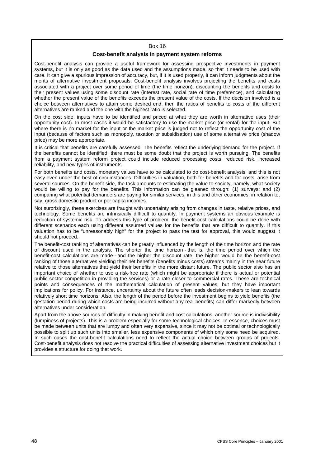#### Box 16

#### **Cost-benefit analysis in payment system reforms**

Cost-benefit analysis can provide a useful framework for assessing prospective investments in payment systems, but it is only as good as the data used and the assumptions made, so that it needs to be used with care. It can give a spurious impression of accuracy, but, if it is used properly, it can inform judgments about the merits of alternative investment proposals. Cost-benefit analysis involves projecting the benefits and costs associated with a project over some period of time (the time horizon), discounting the benefits and costs to their present values using some discount rate (interest rate, social rate of time preference), and calculating whether the present value of the benefits exceeds the present value of the costs. If the decision involved is a choice between alternatives to attain some desired end, then the ratios of benefits to costs of the different alternatives are ranked and the one with the highest ratio is selected.

On the cost side, inputs have to be identified and priced at what they are worth in alternative uses (their opportunity cost). In most cases it would be satisfactory to use the market price (or rental) for the input. But where there is no market for the input or the market price is judged not to reflect the opportunity cost of the input (because of factors such as monopoly, taxation or subsidisation) use of some alternative price (shadow price) may be more appropriate.

It is critical that benefits are carefully assessed. The benefits reflect the underlying demand for the project. If the benefits cannot be identified, there must be some doubt that the project is worth pursuing. The benefits from a payment system reform project could include reduced processing costs, reduced risk, increased reliability, and new types of instruments.

For both benefits and costs, monetary values have to be calculated to do cost-benefit analysis, and this is not easy even under the best of circumstances. Difficulties in valuation, both for benefits and for costs, arise from several sources. On the benefit side, the task amounts to estimating the value to society, namely, what society would be willing to pay for the benefits. This information can be gleaned through: (1) surveys; and (2) comparing what potential demanders are paying for similar services, in this and other economies, in relation to, say, gross domestic product or per capita incomes.

Not surprisingly, these exercises are fraught with uncertainty arising from changes in taste, relative prices, and technology. Some benefits are intrinsically difficult to quantify. In payment systems an obvious example is reduction of systemic risk. To address this type of problem, the benefit-cost calculations could be done with different scenarios each using different assumed values for the benefits that are difficult to quantify. If this valuation has to be "unreasonably high" for the project to pass the test for approval, this would suggest it should not proceed.

The benefit-cost ranking of alternatives can be greatly influenced by the length of the time horizon and the rate of discount used in the analysis. The shorter the time horizon - that is, the time period over which the benefit-cost calculations are made - and the higher the discount rate, the higher would be the benefit-cost ranking of those alternatives yielding their net benefits (benefits minus costs) streams mainly in the near future relative to those alternatives that yield their benefits in the more distant future. The public sector also has an important choice of whether to use a risk-free rate (which might be appropriate if there is actual or potential public sector competition in providing the services) or a rate closer to commercial rates. These are technical points and consequences of the mathematical calculation of present values, but they have important implications for policy. For instance, uncertainty about the future often leads decision-makers to lean towards relatively short time horizons. Also, the length of the period before the investment begins to yield benefits (the gestation period during which costs are being incurred without any real benefits) can differ markedly between alternatives under consideration.

Apart from the above sources of difficulty in making benefit and cost calculations, another source is indivisibility (lumpiness of projects). This is a problem especially for some technological choices. In essence, choices must be made between units that are lumpy and often very expensive, since it may not be optimal or technologically possible to split up such units into smaller, less expensive components of which only some need be acquired. In such cases the cost-benefit calculations need to reflect the actual choice between groups of projects. Cost-benefit analysis does not resolve the practical difficulties of assessing alternative investment choices but it provides a structure for doing that work.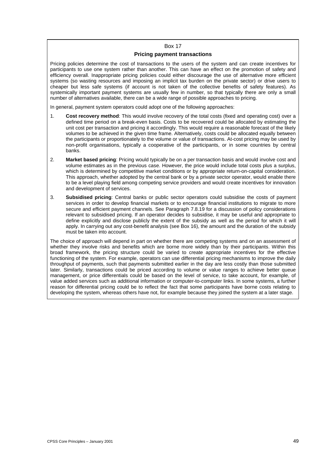#### Box 17

#### **Pricing payment transactions**

Pricing policies determine the cost of transactions to the users of the system and can create incentives for participants to use one system rather than another. This can have an effect on the promotion of safety and efficiency overall. Inappropriate pricing policies could either discourage the use of alternative more efficient systems (so wasting resources and imposing an implicit tax burden on the private sector) or drive users to cheaper but less safe systems (if account is not taken of the collective benefits of safety features). As systemically important payment systems are usually few in number, so that typically there are only a small number of alternatives available, there can be a wide range of possible approaches to pricing.

In general, payment system operators could adopt one of the following approaches:

- 1. **Cost recovery method**: This would involve recovery of the total costs (fixed and operating cost) over a defined time period on a break-even basis. Costs to be recovered could be allocated by estimating the unit cost per transaction and pricing it accordingly. This would require a reasonable forecast of the likely volumes to be achieved in the given time frame. Alternatively, costs could be allocated equally between the participants or proportionately to the volume or value of transactions. At-cost pricing may be used by non-profit organisations, typically a cooperative of the participants, or in some countries by central banks.
- 2. **Market based pricing**: Pricing would typically be on a per transaction basis and would involve cost and volume estimates as in the previous case. However, the price would include total costs plus a surplus, which is determined by competitive market conditions or by appropriate return-on-capital consideration. This approach, whether adopted by the central bank or by a private sector operator, would enable there to be a level playing field among competing service providers and would create incentives for innovation and development of services.
- 3. **Subsidised pricing**: Central banks or public sector operators could subsidise the costs of payment services in order to develop financial markets or to encourage financial institutions to migrate to more secure and efficient payment channels. See Paragraph 7.8.19 for a discussion of policy considerations relevant to subsidised pricing. If an operator decides to subsidise, it may be useful and appropriate to define explicitly and disclose publicly the extent of the subsidy as well as the period for which it will apply. In carrying out any cost-benefit analysis (see Box 16), the amount and the duration of the subsidy must be taken into account.

The choice of approach will depend in part on whether there are competing systems and on an assessment of whether they involve risks and benefits which are borne more widely than by their participants. Within this broad framework, the pricing structure could be varied to create appropriate incentives for the effective functioning of the system. For example, operators can use differential pricing mechanisms to improve the daily throughput of payments, such that payments submitted earlier in the day are less costly than those submitted later. Similarly, transactions could be priced according to volume or value ranges to achieve better queue management, or price differentials could be based on the level of service, to take account, for example, of value added services such as additional information or computer-to-computer links. In some systems, a further reason for differential pricing could be to reflect the fact that some participants have borne costs relating to developing the system, whereas others have not, for example because they joined the system at a later stage.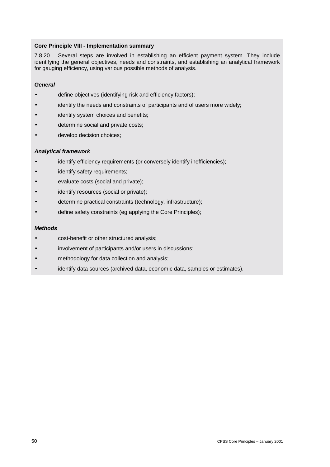## **Core Principle VIII - Implementation summary**

7.8.20 Several steps are involved in establishing an efficient payment system. They include identifying the general objectives, needs and constraints, and establishing an analytical framework for gauging efficiency, using various possible methods of analysis.

## *General*

- define objectives (identifying risk and efficiency factors);
- identify the needs and constraints of participants and of users more widely;
- identify system choices and benefits;
- determine social and private costs:
- develop decision choices;

# *Analytical framework*

- identify efficiency requirements (or conversely identify inefficiencies);
- identify safety requirements;
- evaluate costs (social and private);
- identify resources (social or private);
- determine practical constraints (technology, infrastructure);
- define safety constraints (eg applying the Core Principles);

## *Methods*

- cost-benefit or other structured analysis;
- involvement of participants and/or users in discussions;
- methodology for data collection and analysis:
- identify data sources (archived data, economic data, samples or estimates).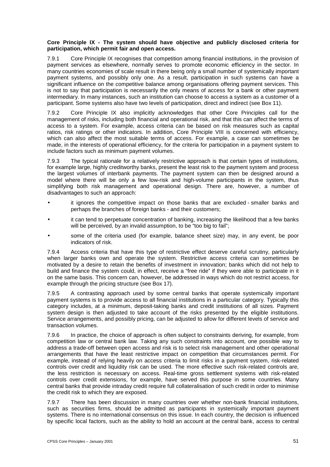### **Core Principle IX - The system should have objective and publicly disclosed criteria for participation, which permit fair and open access.**

7.9.1 Core Principle IX recognises that competition among financial institutions, in the provision of payment services as elsewhere, normally serves to promote economic efficiency in the sector. In many countries economies of scale result in there being only a small number of systemically important payment systems, and possibly only one. As a result, participation in such systems can have a significant influence on the competitive balance among organisations offering payment services. This is not to say that participation is necessarily the only means of access for a bank or other payment intermediary. In many instances, such an institution can choose to access a system as a customer of a participant. Some systems also have two levels of participation, direct and indirect (see Box 11).

7.9.2 Core Principle IX also implicitly acknowledges that other Core Principles call for the management of risks, including both financial and operational risk, and that this can affect the terms of access to a system. For example, access criteria can be based on risk measures such as capital ratios, risk ratings or other indicators. In addition, Core Principle VIII is concerned with efficiency, which can also affect the most suitable terms of access. For example, a case can sometimes be made, in the interests of operational efficiency, for the criteria for participation in a payment system to include factors such as minimum payment volumes.

7.9.3 The typical rationale for a relatively restrictive approach is that certain types of institutions, for example large, highly creditworthy banks, present the least risk to the payment system and process the largest volumes of interbank payments. The payment system can then be designed around a model where there will be only a few low-risk and high-volume participants in the system, thus simplifying both risk management and operational design. There are, however, a number of disadvantages to such an approach:

- it ignores the competitive impact on those banks that are excluded smaller banks and perhaps the branches of foreign banks - and their customers;
- it can tend to perpetuate concentration of banking, increasing the likelihood that a few banks will be perceived, by an invalid assumption, to be "too big to fail";
- some of the criteria used (for example, balance sheet size) may, in any event, be poor indicators of risk.

7.9.4 Access criteria that have this type of restrictive effect deserve careful scrutiny, particularly when larger banks own and operate the system. Restrictive access criteria can sometimes be motivated by a desire to retain the benefits of investment in innovation; banks which did not help to build and finance the system could, in effect, receive a "free ride" if they were able to participate in it on the same basis. This concern can, however, be addressed in ways which do not restrict access, for example through the pricing structure (see Box 17).

7.9.5 A contrasting approach used by some central banks that operate systemically important payment systems is to provide access to all financial institutions in a particular category. Typically this category includes, at a minimum, deposit-taking banks and credit institutions of all sizes. Payment system design is then adjusted to take account of the risks presented by the eligible institutions. Service arrangements, and possibly pricing, can be adjusted to allow for different levels of service and transaction volumes.

7.9.6 In practice, the choice of approach is often subject to constraints deriving, for example, from competition law or central bank law. Taking any such constraints into account, one possible way to address a trade-off between open access and risk is to select risk management and other operational arrangements that have the least restrictive impact on competition that circumstances permit. For example, instead of relying heavily on access criteria to limit risks in a payment system, risk-related controls over credit and liquidity risk can be used. The more effective such risk-related controls are, the less restriction is necessary on access. Real-time gross settlement systems with risk-related controls over credit extensions, for example, have served this purpose in some countries. Many central banks that provide intraday credit require full collateralisation of such credit in order to minimise the credit risk to which they are exposed.

7.9.7 There has been discussion in many countries over whether non-bank financial institutions, such as securities firms, should be admitted as participants in systemically important payment systems. There is no international consensus on this issue. In each country, the decision is influenced by specific local factors, such as the ability to hold an account at the central bank, access to central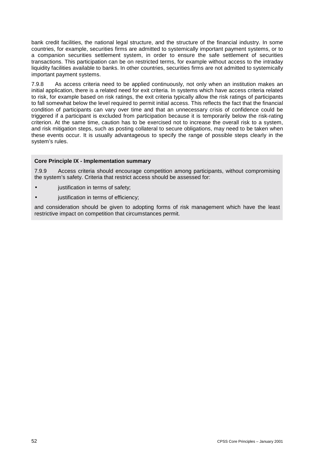bank credit facilities, the national legal structure, and the structure of the financial industry. In some countries, for example, securities firms are admitted to systemically important payment systems, or to a companion securities settlement system, in order to ensure the safe settlement of securities transactions. This participation can be on restricted terms, for example without access to the intraday liquidity facilities available to banks. In other countries, securities firms are not admitted to systemically important payment systems.

7.9.8 As access criteria need to be applied continuously, not only when an institution makes an initial application, there is a related need for exit criteria. In systems which have access criteria related to risk, for example based on risk ratings, the exit criteria typically allow the risk ratings of participants to fall somewhat below the level required to permit initial access. This reflects the fact that the financial condition of participants can vary over time and that an unnecessary crisis of confidence could be triggered if a participant is excluded from participation because it is temporarily below the risk-rating criterion. At the same time, caution has to be exercised not to increase the overall risk to a system, and risk mitigation steps, such as posting collateral to secure obligations, may need to be taken when these events occur. It is usually advantageous to specify the range of possible steps clearly in the system's rules.

### **Core Principle IX - Implementation summary**

7.9.9 Access criteria should encourage competition among participants, without compromising the system's safety. Criteria that restrict access should be assessed for:

- justification in terms of safety:
- justification in terms of efficiency;

and consideration should be given to adopting forms of risk management which have the least restrictive impact on competition that circumstances permit.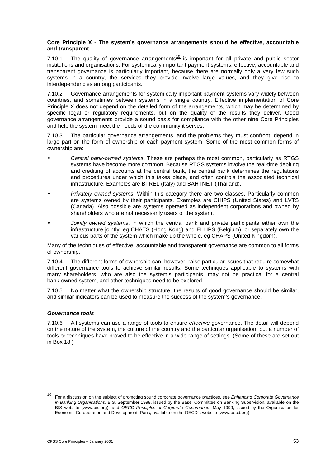#### **Core Principle X - The system's governance arrangements should be effective, accountable and transparent.**

7.10.1 The quality of governance arrangements<sup>10</sup> is important for all private and public sector institutions and organisations. For systemically important payment systems, effective, accountable and transparent governance is particularly important, because there are normally only a very few such systems in a country, the services they provide involve large values, and they give rise to interdependencies among participants.

7.10.2 Governance arrangements for systemically important payment systems vary widely between countries, and sometimes between systems in a single country. Effective implementation of Core Principle X does not depend on the detailed form of the arrangements, which may be determined by specific legal or regulatory requirements, but on the quality of the results they deliver. Good governance arrangements provide a sound basis for compliance with the other nine Core Principles and help the system meet the needs of the community it serves.

7.10.3 The particular governance arrangements, and the problems they must confront, depend in large part on the form of ownership of each payment system. Some of the most common forms of ownership are:

- *Central bank-owned systems*. These are perhaps the most common, particularly as RTGS systems have become more common. Because RTGS systems involve the real-time debiting and crediting of accounts at the central bank, the central bank determines the regulations and procedures under which this takes place, and often controls the associated technical infrastructure. Examples are BI-REL (Italy) and BAHTNET (Thailand).
- *Privately owned systems*. Within this category there are two classes. Particularly common are systems owned by their participants. Examples are CHIPS (United States) and LVTS (Canada). Also possible are systems operated as independent corporations and owned by shareholders who are not necessarily users of the system.
- *Jointly owned systems*, in which the central bank and private participants either own the infrastructure jointly, eg CHATS (Hong Kong) and ELLIPS (Belgium), or separately own the various parts of the system which make up the whole, eg CHAPS (United Kingdom).

Many of the techniques of effective, accountable and transparent governance are common to all forms of ownership.

7.10.4 The different forms of ownership can, however, raise particular issues that require somewhat different governance tools to achieve similar results. Some techniques applicable to systems with many shareholders, who are also the system's participants, may not be practical for a central bank-owned system, and other techniques need to be explored.

7.10.5 No matter what the ownership structure, the results of good governance should be similar, and similar indicators can be used to measure the success of the system's governance.

#### *Governance tools*

7.10.6 All systems can use a range of tools to ensure *effective* governance. The detail will depend on the nature of the system, the culture of the country and the particular organisation, but a number of tools or techniques have proved to be effective in a wide range of settings. (Some of these are set out in Box 18.)

<sup>10</sup> For a discussion on the subject of promoting sound corporate governance practices, see *Enhancing Corporate Governance in Banking Organisations*, BIS, September 1999, issued by the Basel Committee on Banking Supervision, available on the BIS website (www.bis.org), and *OECD Principles of Corporate Governance*, May 1999, issued by the Organisation for Economic Co-operation and Development, Paris, available on the OECD's website (www.oecd.org).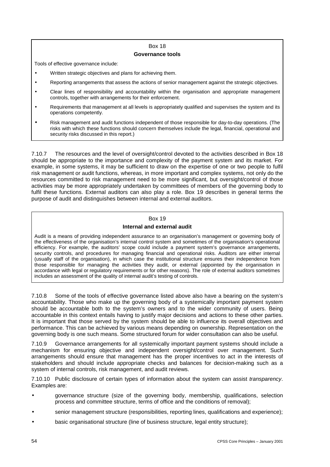### Box 18 **Governance tools**

Tools of effective governance include:

- Written strategic objectives and plans for achieving them.
- Reporting arrangements that assess the actions of senior management against the strategic objectives.
- Clear lines of responsibility and accountability within the organisation and appropriate management controls, together with arrangements for their enforcement.
- Requirements that management at all levels is appropriately qualified and supervises the system and its operations competently.
- Risk management and audit functions independent of those responsible for day-to-day operations. (The risks with which these functions should concern themselves include the legal, financial, operational and security risks discussed in this report.)

7.10.7 The resources and the level of oversight/control devoted to the activities described in Box 18 should be appropriate to the importance and complexity of the payment system and its market. For example, in some systems, it may be sufficient to draw on the expertise of one or two people to fulfil risk management or audit functions, whereas, in more important and complex systems, not only do the resources committed to risk management need to be more significant, but oversight/control of those activities may be more appropriately undertaken by committees of members of the governing body to fulfil these functions. External auditors can also play a role. Box 19 describes in general terms the purpose of audit and distinguishes between internal and external auditors.

# Box 19

## **Internal and external audit**

Audit is a means of providing independent assurance to an organisation's management or governing body of the effectiveness of the organisation's internal control system and sometimes of the organisation's operational efficiency. For example, the auditors' scope could include a payment system's governance arrangements, security controls, and procedures for managing financial and operational risks. Auditors are either internal (usually staff of the organisation), in which case the institutional structure ensures their independence from those responsible for managing the activities they audit, or external (appointed by the organisation in accordance with legal or regulatory requirements or for other reasons). The role of external auditors sometimes includes an assessment of the quality of internal audit's testing of controls.

7.10.8 Some of the tools of effective governance listed above also have a bearing on the system's accountability. Those who make up the governing body of a systemically important payment system should be accountable both to the system's owners and to the wider community of users. Being accountable in this context entails having to justify major decisions and actions to these other parties. It is important that those served by the system should be able to influence its overall objectives and performance. This can be achieved by various means depending on ownership. Representation on the governing body is one such means. Some structured forum for wider consultation can also be useful.

7.10.9 Governance arrangements for all systemically important payment systems should include a mechanism for ensuring objective and independent oversight/control over management. Such arrangements should ensure that management has the proper incentives to act in the interests of stakeholders and should include appropriate checks and balances for decision-making such as a system of internal controls, risk management, and audit reviews.

7.10.10 Public disclosure of certain types of information about the system can assist *transparency*. Examples are:

- governance structure (size of the governing body, membership, qualifications, selection process and committee structure, terms of office and the conditions of removal);
- senior management structure (responsibilities, reporting lines, qualifications and experience);
- basic organisational structure (line of business structure, legal entity structure);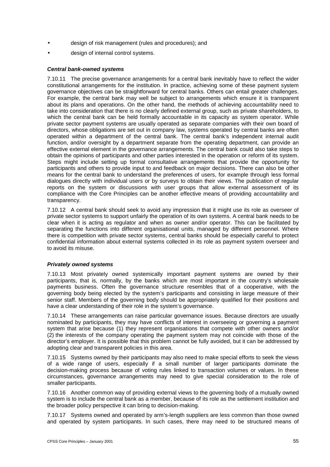- design of risk management (rules and procedures); and
- design of internal control systems.

### *Central bank-owned systems*

7.10.11 The precise governance arrangements for a central bank inevitably have to reflect the wider constitutional arrangements for the institution. In practice, achieving some of these payment system governance objectives can be straightforward for central banks. Others can entail greater challenges. For example, the central bank may well be subject to arrangements which ensure it is transparent about its plans and operations. On the other hand, the methods of achieving accountability need to take into consideration that there is no clearly defined external group, such as private shareholders, to which the central bank can be held formally accountable in its capacity as system operator. While private sector payment systems are usually operated as separate companies with their own board of directors, whose obligations are set out in company law, systems operated by central banks are often operated within a department of the central bank. The central bank's independent internal audit function, and/or oversight by a department separate from the operating department, can provide an effective external element in the governance arrangements. The central bank could also take steps to obtain the opinions of participants and other parties interested in the operation or reform of its system. Steps might include setting up formal consultative arrangements that provide the opportunity for participants and others to provide input to and feedback on major decisions. There can also be other means for the central bank to understand the preferences of users, for example through less formal dialogues directly with individual users or by surveys to obtain their views. The publication of regular reports on the system or discussions with user groups that allow external assessment of its compliance with the Core Principles can be another effective means of providing accountability and transparency.

7.10.12 A central bank should seek to avoid any impression that it might use its role as overseer of private sector systems to support unfairly the operation of its own systems. A central bank needs to be clear when it is acting as regulator and when as owner and/or operator. This can be facilitated by separating the functions into different organisational units, managed by different personnel. Where there is competition with private sector systems, central banks should be especially careful to protect confidential information about external systems collected in its role as payment system overseer and to avoid its misuse.

## *Privately owned systems*

7.10.13 Most privately owned systemically important payment systems are owned by their participants, that is, normally, by the banks which are most important in the country's wholesale payments business. Often the governance structure resembles that of a cooperative, with the governing body being elected by the system's participants and consisting in large measure of their senior staff. Members of the governing body should be appropriately qualified for their positions and have a clear understanding of their role in the system's governance.

7.10.14 These arrangements can raise particular governance issues. Because directors are usually nominated by participants, they may have conflicts of interest in overseeing or governing a payment system that arise because (1) they represent organisations that compete with other owners and/or (2) the interests of the company operating the payment system may not coincide with those of the director's employer. It is possible that this problem cannot be fully avoided, but it can be addressed by adopting clear and transparent policies in this area.

7.10.15 Systems owned by their participants may also need to make special efforts to seek the views of a wide range of users, especially if a small number of larger participants dominate the decision-making process because of voting rules linked to transaction volumes or values. In these circumstances, governance arrangements may need to give special consideration to the role of smaller participants.

7.10.16 Another common way of providing external views to the governing body of a mutually owned system is to include the central bank as a member, because of its role as the settlement institution and the broader policy perspective it can bring to decision-making.

7.10.17 Systems owned and operated by arm's-length suppliers are less common than those owned and operated by system participants. In such cases, there may need to be structured means of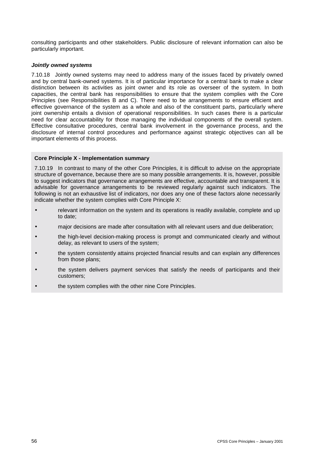consulting participants and other stakeholders. Public disclosure of relevant information can also be particularly important.

### *Jointly owned systems*

7.10.18 Jointly owned systems may need to address many of the issues faced by privately owned and by central bank-owned systems. It is of particular importance for a central bank to make a clear distinction between its activities as joint owner and its role as overseer of the system. In both capacities, the central bank has responsibilities to ensure that the system complies with the Core Principles (see Responsibilities B and C). There need to be arrangements to ensure efficient and effective governance of the system as a whole and also of the constituent parts, particularly where joint ownership entails a division of operational responsibilities. In such cases there is a particular need for clear accountability for those managing the individual components of the overall system. Effective consultative procedures, central bank involvement in the governance process, and the disclosure of internal control procedures and performance against strategic objectives can all be important elements of this process.

### **Core Principle X - Implementation summary**

7.10.19 In contrast to many of the other Core Principles, it is difficult to advise on the appropriate structure of governance, because there are so many possible arrangements. It is, however, possible to suggest indicators that governance arrangements are effective, accountable and transparent. It is advisable for governance arrangements to be reviewed regularly against such indicators. The following is not an exhaustive list of indicators, nor does any one of these factors alone necessarily indicate whether the system complies with Core Principle X:

- relevant information on the system and its operations is readily available, complete and up to date;
- major decisions are made after consultation with all relevant users and due deliberation;
- the high-level decision-making process is prompt and communicated clearly and without delay, as relevant to users of the system;
- the system consistently attains projected financial results and can explain any differences from those plans;
- the system delivers payment services that satisfy the needs of participants and their customers;
- the system complies with the other nine Core Principles.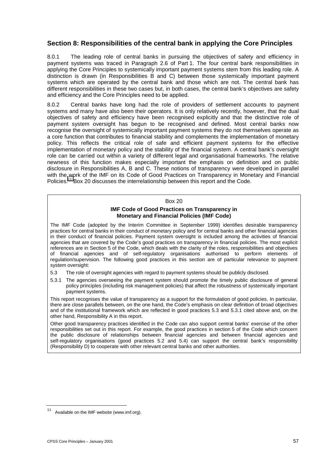# **Section 8: Responsibilities of the central bank in applying the Core Principles**

8.0.1 The leading role of central banks in pursuing the objectives of safety and efficiency in payment systems was traced in Paragraph 2.6 of Part 1. The four central bank responsibilities in applying the Core Principles to systemically important payment systems stem from this leading role. A distinction is drawn (in Responsibilities B and C) between those systemically important payment systems which are operated by the central bank and those which are not. The central bank has different responsibilities in these two cases but, in both cases, the central bank's objectives are safety and efficiency and the Core Principles need to be applied.

8.0.2 Central banks have long had the role of providers of settlement accounts to payment systems and many have also been their operators. It is only relatively recently, however, that the dual objectives of safety and efficiency have been recognised explicitly and that the distinctive role of payment system oversight has begun to be recognised and defined. Most central banks now recognise the oversight of systemically important payment systems they do not themselves operate as a core function that contributes to financial stability and complements the implementation of monetary policy. This reflects the critical role of safe and efficient payment systems for the effective implementation of monetary policy and the stability of the financial system. A central bank's oversight role can be carried out within a variety of different legal and organisational frameworks. The relative newness of this function makes especially important the emphasis on definition and on public disclosure in Responsibilities A, B and C. These notions of transparency were developed in parallel with the work of the IMF on its Code of Good Practices on Transparency in Monetary and Financial Policies.<sup>11</sup> Box 20 discusses the interrelationship between this report and the Code.

#### Box 20

## **IMF Code of Good Practices on Transparency in Monetary and Financial Policies (IMF Code)**

The IMF Code (adopted by the Interim Committee in September 1999) identifies desirable transparency practices for central banks in their conduct of monetary policy and for central banks and other financial agencies in their conduct of financial policies. Payment system oversight is included among the activities of financial agencies that are covered by the Code's good practices on transparency in financial policies. The most explicit references are in Section 5 of the Code, which deals with the clarity of the roles, responsibilities and objectives of financial agencies and of self-regulatory organisations authorised to perform elements of regulation/supervision. The following good practices in this section are of particular relevance to payment system oversight:

- 5.3 The role of oversight agencies with regard to payment systems should be publicly disclosed.
- 5.3.1 The agencies overseeing the payment system should promote the timely public disclosure of general policy principles (including risk management policies) that affect the robustness of systemically important payment systems.

This report recognises the value of transparency as a support for the formulation of good policies. In particular, there are close parallels between, on the one hand, the Code's emphasis on clear definition of broad objectives and of the institutional framework which are reflected in good practices 5.3 and 5.3.1 cited above and, on the other hand, Responsibility A in this report.

Other good transparency practices identified in the Code can also support central banks' exercise of the other responsibilities set out in this report. For example, the good practices in section 5 of the Code which concern the public disclosure of relationships between financial agencies and between financial agencies and self-regulatory organisations (good practices 5.2 and 5.4) can support the central bank's responsibility (Responsibility D) to cooperate with other relevant central banks and other authorities.

Available on the IMF website (www.imf.org).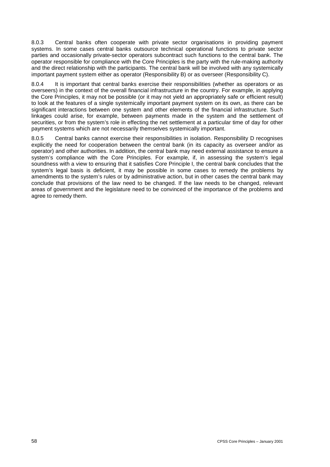8.0.3 Central banks often cooperate with private sector organisations in providing payment systems. In some cases central banks outsource technical operational functions to private sector parties and occasionally private-sector operators subcontract such functions to the central bank. The operator responsible for compliance with the Core Principles is the party with the rule-making authority and the direct relationship with the participants. The central bank will be involved with any systemically important payment system either as operator (Responsibility B) or as overseer (Responsibility C).

8.0.4 It is important that central banks exercise their responsibilities (whether as operators or as overseers) in the context of the overall financial infrastructure in the country. For example, in applying the Core Principles, it may not be possible (or it may not yield an appropriately safe or efficient result) to look at the features of a single systemically important payment system on its own, as there can be significant interactions between one system and other elements of the financial infrastructure. Such linkages could arise, for example, between payments made in the system and the settlement of securities, or from the system's role in effecting the net settlement at a particular time of day for other payment systems which are not necessarily themselves systemically important.

8.0.5 Central banks cannot exercise their responsibilities in isolation. Responsibility D recognises explicitly the need for cooperation between the central bank (in its capacity as overseer and/or as operator) and other authorities. In addition, the central bank may need external assistance to ensure a system's compliance with the Core Principles. For example, if, in assessing the system's legal soundness with a view to ensuring that it satisfies Core Principle I, the central bank concludes that the system's legal basis is deficient, it may be possible in some cases to remedy the problems by amendments to the system's rules or by administrative action, but in other cases the central bank may conclude that provisions of the law need to be changed. If the law needs to be changed, relevant areas of government and the legislature need to be convinced of the importance of the problems and agree to remedy them.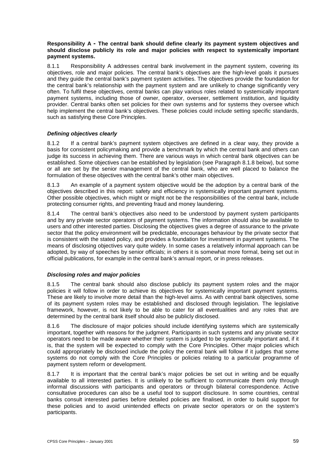#### **Responsibility A - The central bank should define clearly its payment system objectives and should disclose publicly its role and major policies with respect to systemically important payment systems.**

8.1.1 Responsibility A addresses central bank involvement in the payment system, covering its objectives, role and major policies. The central bank's objectives are the high-level goals it pursues and they guide the central bank's payment system activities. The objectives provide the foundation for the central bank's relationship with the payment system and are unlikely to change significantly very often. To fulfil these objectives, central banks can play various roles related to systemically important payment systems, including those of owner, operator, overseer, settlement institution, and liquidity provider. Central banks often set policies for their own systems and for systems they oversee which help implement the central bank's objectives. These policies could include setting specific standards, such as satisfying these Core Principles.

## *Defining objectives clearly*

8.1.2 If a central bank's payment system objectives are defined in a clear way, they provide a basis for consistent policymaking and provide a benchmark by which the central bank and others can judge its success in achieving them. There are various ways in which central bank objectives can be established. Some objectives can be established by legislation (see Paragraph 8.1.8 below), but some or all are set by the senior management of the central bank, who are well placed to balance the formulation of these objectives with the central bank's other main objectives.

8.1.3 An example of a payment system objective would be the adoption by a central bank of the objectives described in this report: safety and efficiency in systemically important payment systems. Other possible objectives, which might or might not be the responsibilities of the central bank, include protecting consumer rights, and preventing fraud and money laundering.

8.1.4 The central bank's objectives also need to be understood by payment system participants and by any private sector operators of payment systems. The information should also be available to users and other interested parties. Disclosing the objectives gives a degree of assurance to the private sector that the policy environment will be predictable, encourages behaviour by the private sector that is consistent with the stated policy, and provides a foundation for investment in payment systems. The means of disclosing objectives vary quite widely. In some cases a relatively informal approach can be adopted, by way of speeches by senior officials; in others it is somewhat more formal, being set out in official publications, for example in the central bank's annual report, or in press releases.

## *Disclosing roles and major policies*

8.1.5 The central bank should also disclose publicly its payment system roles and the major policies it will follow in order to achieve its objectives for systemically important payment systems. These are likely to involve more detail than the high-level aims. As with central bank objectives, some of its payment system roles may be established and disclosed through legislation. The legislative framework, however, is not likely to be able to cater for all eventualities and any roles that are determined by the central bank itself should also be publicly disclosed.

8.1.6 The disclosure of major policies should include identifying systems which are systemically important, together with reasons for the judgment. Participants in such systems and any private sector operators need to be made aware whether their system is judged to be systemically important and, if it is, that the system will be expected to comply with the Core Principles. Other major policies which could appropriately be disclosed include the policy the central bank will follow if it judges that some systems do not comply with the Core Principles or policies relating to a particular programme of payment system reform or development.

8.1.7 It is important that the central bank's major policies be set out in writing and be equally available to all interested parties. It is unlikely to be sufficient to communicate them only through informal discussions with participants and operators or through bilateral correspondence. Active consultative procedures can also be a useful tool to support disclosure. In some countries, central banks consult interested parties before detailed policies are finalised, in order to build support for these policies and to avoid unintended effects on private sector operators or on the system's participants.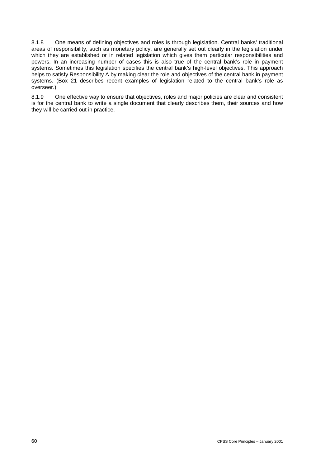8.1.8 One means of defining objectives and roles is through legislation. Central banks' traditional areas of responsibility, such as monetary policy, are generally set out clearly in the legislation under which they are established or in related legislation which gives them particular responsibilities and powers. In an increasing number of cases this is also true of the central bank's role in payment systems. Sometimes this legislation specifies the central bank's high-level objectives. This approach helps to satisfy Responsibility A by making clear the role and objectives of the central bank in payment systems. (Box 21 describes recent examples of legislation related to the central bank's role as overseer.)

8.1.9 One effective way to ensure that objectives, roles and major policies are clear and consistent is for the central bank to write a single document that clearly describes them, their sources and how they will be carried out in practice.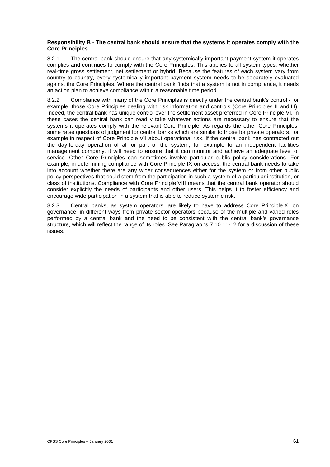#### **Responsibility B - The central bank should ensure that the systems it operates comply with the Core Principles.**

8.2.1 The central bank should ensure that any systemically important payment system it operates complies and continues to comply with the Core Principles. This applies to all system types, whether real-time gross settlement, net settlement or hybrid. Because the features of each system vary from country to country, every systemically important payment system needs to be separately evaluated against the Core Principles. Where the central bank finds that a system is not in compliance, it needs an action plan to achieve compliance within a reasonable time period.

8.2.2 Compliance with many of the Core Principles is directly under the central bank's control - for example, those Core Principles dealing with risk information and controls (Core Principles II and III). Indeed, the central bank has unique control over the settlement asset preferred in Core Principle VI. In these cases the central bank can readily take whatever actions are necessary to ensure that the systems it operates comply with the relevant Core Principle. As regards the other Core Principles, some raise questions of judgment for central banks which are similar to those for private operators, for example in respect of Core Principle VII about operational risk. If the central bank has contracted out the day-to-day operation of all or part of the system, for example to an independent facilities management company, it will need to ensure that it can monitor and achieve an adequate level of service. Other Core Principles can sometimes involve particular public policy considerations. For example, in determining compliance with Core Principle IX on access, the central bank needs to take into account whether there are any wider consequences either for the system or from other public policy perspectives that could stem from the participation in such a system of a particular institution, or class of institutions. Compliance with Core Principle VIII means that the central bank operator should consider explicitly the needs of participants and other users. This helps it to foster efficiency and encourage wide participation in a system that is able to reduce systemic risk.

8.2.3 Central banks, as system operators, are likely to have to address Core Principle X, on governance, in different ways from private sector operators because of the multiple and varied roles performed by a central bank and the need to be consistent with the central bank's governance structure, which will reflect the range of its roles. See Paragraphs 7.10.11-12 for a discussion of these issues.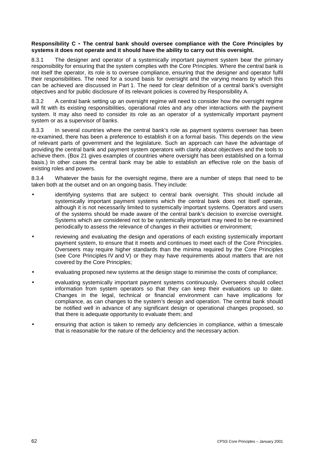#### **Responsibility C - The central bank should oversee compliance with the Core Principles by systems it does not operate and it should have the ability to carry out this oversight.**

8.3.1 The designer and operator of a systemically important payment system bear the primary responsibility for ensuring that the system complies with the Core Principles. Where the central bank is not itself the operator, its role is to oversee compliance, ensuring that the designer and operator fulfil their responsibilities. The need for a sound basis for oversight and the varying means by which this can be achieved are discussed in Part 1. The need for clear definition of a central bank's oversight objectives and for public disclosure of its relevant policies is covered by Responsibility A.

8.3.2 A central bank setting up an oversight regime will need to consider how the oversight regime will fit with its existing responsibilities, operational roles and any other interactions with the payment system. It may also need to consider its role as an operator of a systemically important payment system or as a supervisor of banks.

8.3.3 In several countries where the central bank's role as payment systems overseer has been re-examined, there has been a preference to establish it on a formal basis. This depends on the view of relevant parts of government and the legislature. Such an approach can have the advantage of providing the central bank and payment system operators with clarity about objectives and the tools to achieve them. (Box 21 gives examples of countries where oversight has been established on a formal basis.) In other cases the central bank may be able to establish an effective role on the basis of existing roles and powers.

8.3.4 Whatever the basis for the oversight regime, there are a number of steps that need to be taken both at the outset and on an ongoing basis. They include:

- identifying systems that are subject to central bank oversight. This should include all systemically important payment systems which the central bank does not itself operate, although it is not necessarily limited to systemically important systems. Operators and users of the systems should be made aware of the central bank's decision to exercise oversight. Systems which are considered not to be systemically important may need to be re-examined periodically to assess the relevance of changes in their activities or environment;
- reviewing and evaluating the design and operations of each existing systemically important payment system, to ensure that it meets and continues to meet each of the Core Principles. Overseers may require higher standards than the minima required by the Core Principles (see Core Principles IV and V) or they may have requirements about matters that are not covered by the Core Principles;
- evaluating proposed new systems at the design stage to minimise the costs of compliance;
- evaluating systemically important payment systems continuously. Overseers should collect information from system operators so that they can keep their evaluations up to date. Changes in the legal, technical or financial environment can have implications for compliance, as can changes to the system's design and operation. The central bank should be notified well in advance of any significant design or operational changes proposed, so that there is adequate opportunity to evaluate them; and
- ensuring that action is taken to remedy any deficiencies in compliance, within a timescale that is reasonable for the nature of the deficiency and the necessary action.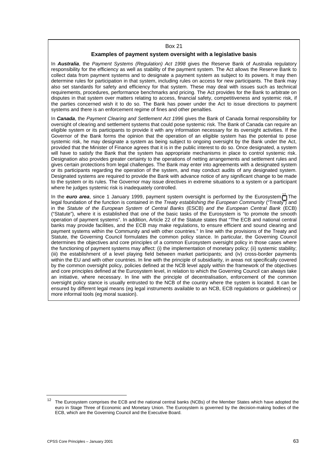#### Box 21

#### **Examples of payment system oversight with a legislative basis**

In *Australia*, the *Payment Systems (Regulation) Act 1998* gives the Reserve Bank of Australia regulatory responsibility for the efficiency as well as stability of the payment system. The Act allows the Reserve Bank to collect data from payment systems and to designate a payment system as subject to its powers. It may then determine rules for participation in that system, including rules on access for new participants. The Bank may also set standards for safety and efficiency for that system. These may deal with issues such as technical requirements, procedures, performance benchmarks and pricing. The Act provides for the Bank to arbitrate on disputes in that system over matters relating to access, financial safety, competitiveness and systemic risk, if the parties concerned wish it to do so. The Bank has power under the Act to issue directions to payment systems and there is an enforcement regime of fines and other penalties.

In *Canada*, the *Payment Clearing and Settlement Act 1996* gives the Bank of Canada formal responsibility for oversight of clearing and settlement systems that could pose systemic risk. The Bank of Canada can require an eligible system or its participants to provide it with any information necessary for its oversight activities. If the Governor of the Bank forms the opinion that the operation of an eligible system has the potential to pose systemic risk, he may designate a system as being subject to ongoing oversight by the Bank under the Act, provided that the Minister of Finance agrees that it is in the public interest to do so. Once designated, a system will have to satisfy the Bank that the system has appropriate mechanisms in place to control systemic risk. Designation also provides greater certainty to the operations of netting arrangements and settlement rules and gives certain protections from legal challenges. The Bank may enter into agreements with a designated system or its participants regarding the operation of the system, and may conduct audits of any designated system. Designated systems are required to provide the Bank with advance notice of any significant change to be made to the system or its rules. The Governor may issue directives in extreme situations to a system or a participant where he judges systemic risk is inadequately controlled.

In the **euro area**, since 1 January 1999, payment system oversight is performed by the Eurosystem.<sup>12</sup> The legal foundation of the function is contained in the *Treaty establishing the European Community* ("Treaty") and in the *Statute of the European System of Central Banks* (ESCB) *and the European Central Bank* (ECB) ("Statute"), where it is established that one of the basic tasks of the Eurosystem is "to promote the smooth operation of payment systems". In addition, Article 22 of the Statute states that "The ECB and national central banks may provide facilities, and the ECB may make regulations, to ensure efficient and sound clearing and payment systems within the Community and with other countries." In line with the provisions of the Treaty and Statute, the Governing Council formulates the common policy stance. In particular, the Governing Council determines the objectives and core principles of a common Eurosystem oversight policy in those cases where the functioning of payment systems may affect: (i) the implementation of monetary policy; (ii) systemic stability; (iii) the establishment of a level playing field between market participants; and (iv) cross-border payments within the EU and with other countries. In line with the principle of subsidiarity, in areas not specifically covered by the common oversight policy, policies defined at the NCB level apply within the framework of the objectives and core principles defined at the Eurosystem level, in relation to which the Governing Council can always take an initiative, where necessary. In line with the principle of decentralisation, enforcement of the common oversight policy stance is usually entrusted to the NCB of the country where the system is located. It can be ensured by different legal means (eg legal instruments available to an NCB, ECB regulations or guidelines) or more informal tools (eg moral suasion).

<sup>&</sup>lt;sup>12</sup> The Eurosystem comprises the ECB and the national central banks (NCBs) of the Member States which have adopted the euro in Stage Three of Economic and Monetary Union. The Eurosystem is governed by the decision-making bodies of the ECB, which are the Governing Council and the Executive Board.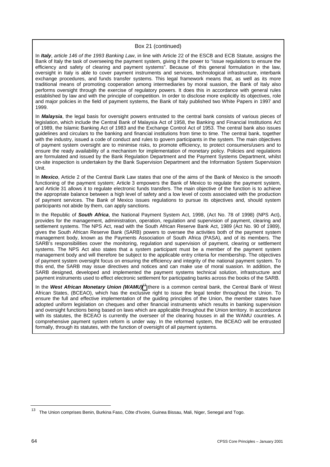#### Box 21 (continued)

In *Italy*, *article 146 of the 1993 Banking Law*, in line with Article 22 of the ESCB and ECB Statute, assigns the Bank of Italy the task of overseeing the payment system, giving it the power to "issue regulations to ensure the efficiency and safety of clearing and payment systems". Because of this general formulation in the law, oversight in Italy is able to cover payment instruments and services, technological infrastructure, interbank exchange procedures, and funds transfer systems. This legal framework means that, as well as its more traditional means of promoting cooperation among intermediaries by moral suasion, the Bank of Italy also performs oversight through the exercise of regulatory powers. It does this in accordance with general rules established by law and with the principle of competition. In order to disclose more explicitly its objectives, role and major policies in the field of payment systems, the Bank of Italy published two White Papers in 1997 and 1999.

In *Malaysia*, the legal basis for oversight powers entrusted to the central bank consists of various pieces of legislation, which include the Central Bank of Malaysia Act of 1958, the Banking and Financial Institutions Act of 1989, the Islamic Banking Act of 1983 and the Exchange Control Act of 1953. The central bank also issues guidelines and circulars to the banking and financial institutions from time to time. The central bank, together with the industry, issued a code of conduct and rules to govern participants in the system. The main objectives of payment system oversight are to minimise risks, to promote efficiency, to protect consumers/users and to ensure the ready availability of a mechanism for implementation of monetary policy. Policies and regulations are formulated and issued by the Bank Regulation Department and the Payment Systems Department, whilst on-site inspection is undertaken by the Bank Supervision Department and the Information System Supervision Unit.

In *Mexico*, Article 2 of the Central Bank Law states that one of the aims of the Bank of Mexico is the smooth functioning of the payment system; Article 3 empowers the Bank of Mexico to regulate the payment system, and Article 31 allows it to regulate electronic funds transfers. The main objective of the function is to achieve the appropriate balance between a high level of safety and a low level of costs associated with the production of payment services. The Bank of Mexico issues regulations to pursue its objectives and, should system participants not abide by them, can apply sanctions.

In the Republic of *South Africa*, the National Payment System Act, 1998, (Act No. 78 of 1998) (NPS Act), provides for the management, administration, operation, regulation and supervision of payment, clearing and settlement systems. The NPS Act, read with the South African Reserve Bank Act, 1989 (Act No. 90 of 1989), gives the South African Reserve Bank (SARB) powers to oversee the activities both of the payment system management body, known as the Payments Association of South Africa (PASA), and of its members. The SARB's responsibilities cover the monitoring, regulation and supervision of payment, clearing or settlement systems. The NPS Act also states that a system participant must be a member of the payment system management body and will therefore be subject to the applicable entry criteria for membership. The objectives of payment system oversight focus on ensuring the efficiency and integrity of the national payment system. To this end, the SARB may issue directives and notices and can make use of moral suasion. In addition, the SARB designed, developed and implemented the payment systems technical solution, infrastructure and payment instruments used to effect electronic settlement for participating banks across the books of the SARB.

In the West African Monetary Union (WAMU)<sup>13</sup> there is a common central bank, the Central Bank of West African States, (BCEAO), which has the exclusive right to issue the legal tender throughout the Union. To ensure the full and effective implementation of the guiding principles of the Union, the member states have adopted uniform legislation on cheques and other financial instruments which results in banking supervision and oversight functions being based on laws which are applicable throughout the Union territory. In accordance with its statutes, the BCEAO is currently the overseer of the clearing houses in all the WAMU countries. A comprehensive payment system reform is under way. In the reformed system, the BCEAO will be entrusted formally, through its statutes, with the function of oversight of all payment systems.

<sup>13</sup> The Union comprises Benin, Burkina Faso, Côte d'Ivoire, Guinea Bissau, Mali, Niger, Senegal and Togo.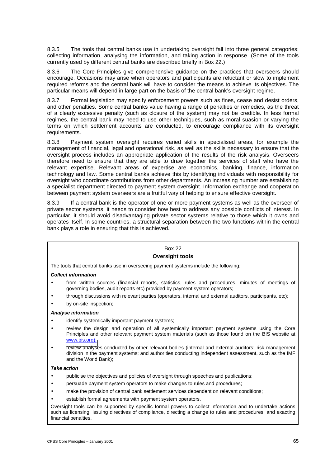8.3.5 The tools that central banks use in undertaking oversight fall into three general categories: collecting information, analysing the information, and taking action in response. (Some of the tools currently used by different central banks are described briefly in Box 22.)

8.3.6 The Core Principles give comprehensive guidance on the practices that overseers should encourage. Occasions may arise when operators and participants are reluctant or slow to implement required reforms and the central bank will have to consider the means to achieve its objectives. The particular means will depend in large part on the basis of the central bank's oversight regime.

8.3.7 Formal legislation may specify enforcement powers such as fines, cease and desist orders, and other penalties. Some central banks value having a range of penalties or remedies, as the threat of a clearly excessive penalty (such as closure of the system) may not be credible. In less formal regimes, the central bank may need to use other techniques, such as moral suasion or varying the terms on which settlement accounts are conducted, to encourage compliance with its oversight requirements.

8.3.8 Payment system oversight requires varied skills in specialised areas, for example the management of financial, legal and operational risk, as well as the skills necessary to ensure that the oversight process includes an appropriate application of the results of the risk analysis. Overseers therefore need to ensure that they are able to draw together the services of staff who have the relevant expertise. Relevant areas of expertise are economics, banking, finance, information technology and law. Some central banks achieve this by identifying individuals with responsibility for oversight who coordinate contributions from other departments. An increasing number are establishing a specialist department directed to payment system oversight. Information exchange and cooperation between payment system overseers are a fruitful way of helping to ensure effective oversight.

8.3.9 If a central bank is the operator of one or more payment systems as well as the overseer of private sector systems, it needs to consider how best to address any possible conflicts of interest. In particular, it should avoid disadvantaging private sector systems relative to those which it owns and operates itself. In some countries, a structural separation between the two functions within the central bank plays a role in ensuring that this is achieved.

# Box 22

### **Oversight tools**

The tools that central banks use in overseeing payment systems include the following:

#### *Collect information*

- from written sources (financial reports, statistics, rules and procedures, minutes of meetings of governing bodies, audit reports etc) provided by payment system operators;
- through discussions with relevant parties (operators, internal and external auditors, participants, etc);
- by on-site inspection;

#### *Analyse information*

- identify systemically important payment systems;
- review the design and operation of all systemically important payment systems using the Core Principles and other relevant payment system materials (such as those found on the BIS website at [www.bis.org\);](http://www.bis.org);/)
- review analyses conducted by other relevant bodies (internal and external auditors; risk management division in the payment systems; and authorities conducting independent assessment, such as the IMF and the World Bank);

#### *Take action*

- publicise the objectives and policies of oversight through speeches and publications;
- persuade payment system operators to make changes to rules and procedures;
- make the provision of central bank settlement services dependent on relevant conditions;
- establish formal agreements with payment system operators.

Oversight tools can be supported by specific formal powers to collect information and to undertake actions such as licensing, issuing directives of compliance, directing a change to rules and procedures, and exacting financial penalties.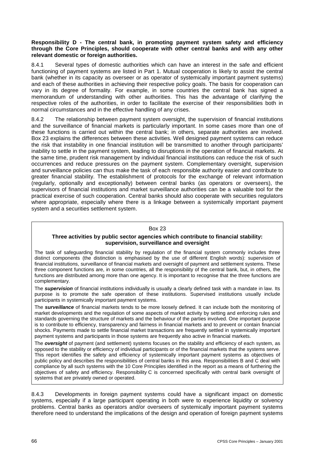#### **Responsibility D - The central bank, in promoting payment system safety and efficiency through the Core Principles, should cooperate with other central banks and with any other relevant domestic or foreign authorities.**

8.4.1 Several types of domestic authorities which can have an interest in the safe and efficient functioning of payment systems are listed in Part 1. Mutual cooperation is likely to assist the central bank (whether in its capacity as overseer or as operator of systemically important payment systems) and each of these authorities in achieving their respective policy goals. The basis for cooperation can vary in its degree of formality. For example, in some countries the central bank has signed a memorandum of understanding with other authorities. This has the advantage of clarifying the respective roles of the authorities, in order to facilitate the exercise of their responsibilities both in normal circumstances and in the effective handling of any crises.

8.4.2 The relationship between payment system oversight, the supervision of financial institutions and the surveillance of financial markets is particularly important. In some cases more than one of these functions is carried out within the central bank; in others, separate authorities are involved. Box 23 explains the differences between these activities. Well designed payment systems can reduce the risk that instability in one financial institution will be transmitted to another through participants' inability to settle in the payment system, leading to disruptions in the operation of financial markets. At the same time, prudent risk management by individual financial institutions can reduce the risk of such occurrences and reduce pressures on the payment system. Complementary oversight, supervision and surveillance policies can thus make the task of each responsible authority easier and contribute to greater financial stability. The establishment of protocols for the exchange of relevant information (regularly, optionally and exceptionally) between central banks (as operators or overseers), the supervisors of financial institutions and market surveillance authorities can be a valuable tool for the practical exercise of such cooperation. Central banks should also cooperate with securities regulators where appropriate, especially where there is a linkage between a systemically important payment system and a securities settlement system.

## Box 23

### **Three activities by public sector agencies which contribute to financial stability: supervision, surveillance and oversight**

The task of safeguarding financial stability by regulation of the financial system commonly includes three distinct components (the distinction is emphasised by the use of different English words): supervision of financial institutions, surveillance of financial markets and oversight of payment and settlement systems. These three component functions are, in some countries, all the responsibility of the central bank, but, in others, the functions are distributed among more than one agency. It is important to recognise that the three functions are complementary.

The *supervision* of financial institutions individually is usually a clearly defined task with a mandate in law. Its purpose is to promote the safe operation of these institutions. Supervised institutions usually include participants in systemically important payment systems.

The *surveillance* of financial markets tends to be more loosely defined. It can include both the monitoring of market developments and the regulation of some aspects of market activity by setting and enforcing rules and standards governing the structure of markets and the behaviour of the parties involved. One important purpose is to contribute to efficiency, transparency and fairness in financial markets and to prevent or contain financial shocks. Payments made to settle financial market transactions are frequently settled in systemically important payment systems and participants in those systems are frequently also active in financial markets.

The *oversight* of payment (and settlement) systems focuses on the stability and efficiency of each system, as opposed to the stability or efficiency of individual participants or of the financial markets that the systems serve. This report identifies the safety and efficiency of systemically important payment systems as objectives of public policy and describes the responsibilities of central banks in this area. Responsibilities B and C deal with compliance by all such systems with the 10 Core Principles identified in the report as a means of furthering the objectives of safety and efficiency. Responsibility C is concerned specifically with central bank oversight of systems that are privately owned or operated.

8.4.3 Developments in foreign payment systems could have a significant impact on domestic systems, especially if a large participant operating in both were to experience liquidity or solvency problems. Central banks as operators and/or overseers of systemically important payment systems therefore need to understand the implications of the design and operation of foreign payment systems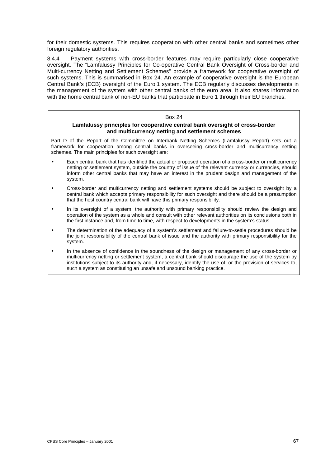for their domestic systems. This requires cooperation with other central banks and sometimes other foreign regulatory authorities.

8.4.4 Payment systems with cross-border features may require particularly close cooperative oversight. The "Lamfalussy Principles for Co-operative Central Bank Oversight of Cross-border and Multi-currency Netting and Settlement Schemes" provide a framework for cooperative oversight of such systems. This is summarised in Box 24. An example of cooperative oversight is the European Central Bank's (ECB) oversight of the Euro 1 system. The ECB regularly discusses developments in the management of the system with other central banks of the euro area. It also shares information with the home central bank of non-EU banks that participate in Euro 1 through their EU branches.

#### Box 24

### **Lamfalussy principles for cooperative central bank oversight of cross-border and multicurrency netting and settlement schemes**

Part D of the Report of the Committee on Interbank Netting Schemes (Lamfalussy Report) sets out a framework for cooperation among central banks in overseeing cross-border and multicurrency netting schemes. The main principles for such oversight are:

- Each central bank that has identified the actual or proposed operation of a cross-border or multicurrency netting or settlement system, outside the country of issue of the relevant currency or currencies, should inform other central banks that may have an interest in the prudent design and management of the system.
- Cross-border and multicurrency netting and settlement systems should be subject to oversight by a central bank which accepts primary responsibility for such oversight and there should be a presumption that the host country central bank will have this primary responsibility.
- In its oversight of a system, the authority with primary responsibility should review the design and operation of the system as a whole and consult with other relevant authorities on its conclusions both in the first instance and, from time to time, with respect to developments in the system's status.
- The determination of the adequacy of a system's settlement and failure-to-settle procedures should be the joint responsibility of the central bank of issue and the authority with primary responsibility for the system.
- In the absence of confidence in the soundness of the design or management of any cross-border or multicurrency netting or settlement system, a central bank should discourage the use of the system by institutions subject to its authority and, if necessary, identify the use of, or the provision of services to, such a system as constituting an unsafe and unsound banking practice.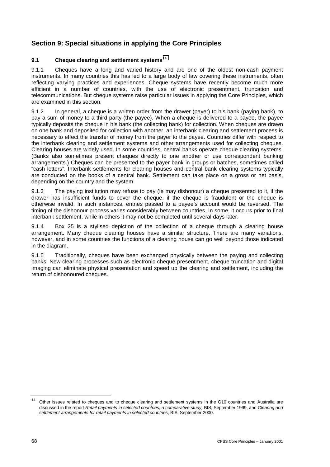# **Section 9: Special situations in applying the Core Principles**

# **9.1 Cheque clearing and settlement systems**<sup>14</sup>

9.1.1 Cheques have a long and varied history and are one of the oldest non-cash payment instruments. In many countries this has led to a large body of law covering these instruments, often reflecting varying practices and experiences. Cheque systems have recently become much more efficient in a number of countries, with the use of electronic presentment, truncation and telecommunications. But cheque systems raise particular issues in applying the Core Principles, which are examined in this section.

9.1.2 In general, a cheque is a written order from the drawer (payer) to his bank (paying bank), to pay a sum of money to a third party (the payee). When a cheque is delivered to a payee, the payee typically deposits the cheque in his bank (the collecting bank) for collection. When cheques are drawn on one bank and deposited for collection with another, an interbank clearing and settlement process is necessary to effect the transfer of money from the payer to the payee. Countries differ with respect to the interbank clearing and settlement systems and other arrangements used for collecting cheques. Clearing houses are widely used. In some countries, central banks operate cheque clearing systems. (Banks also sometimes present cheques directly to one another or use correspondent banking arrangements.) Cheques can be presented to the payer bank in groups or batches, sometimes called "cash letters". Interbank settlements for clearing houses and central bank clearing systems typically are conducted on the books of a central bank. Settlement can take place on a gross or net basis, depending on the country and the system.

9.1.3 The paying institution may refuse to pay (ie may dishonour) a cheque presented to it, if the drawer has insufficient funds to cover the cheque, if the cheque is fraudulent or the cheque is otherwise invalid. In such instances, entries passed to a payee's account would be reversed. The timing of the dishonour process varies considerably between countries. In some, it occurs prior to final interbank settlement, while in others it may not be completed until several days later.

9.1.4 Box 25 is a stylised depiction of the collection of a cheque through a clearing house arrangement. Many cheque clearing houses have a similar structure. There are many variations, however, and in some countries the functions of a clearing house can go well beyond those indicated in the diagram.

9.1.5 Traditionally, cheques have been exchanged physically between the paying and collecting banks. New clearing processes such as electronic cheque presentment, cheque truncation and digital imaging can eliminate physical presentation and speed up the clearing and settlement, including the return of dishonoured cheques.

<sup>&</sup>lt;sup>14</sup> Other issues related to cheques and to cheque clearing and settlement systems in the G10 countries and Australia are discussed in the report *Retail payments in selected countries; a comparative study,* BIS, September 1999, and *Clearing and settlement arrangements for retail payments in selected countries*, BIS, September 2000.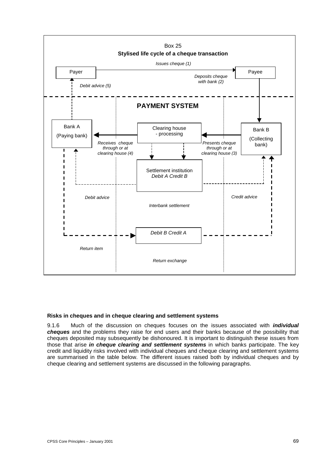

### **Risks in cheques and in cheque clearing and settlement systems**

9.1.6 Much of the discussion on cheques focuses on the issues associated with *individual cheques* and the problems they raise for end users and their banks because of the possibility that cheques deposited may subsequently be dishonoured. It is important to distinguish these issues from those that arise *in cheque clearing and settlement systems* in which banks participate. The key credit and liquidity risks involved with individual cheques and cheque clearing and settlement systems are summarised in the table below. The different issues raised both by individual cheques and by cheque clearing and settlement systems are discussed in the following paragraphs.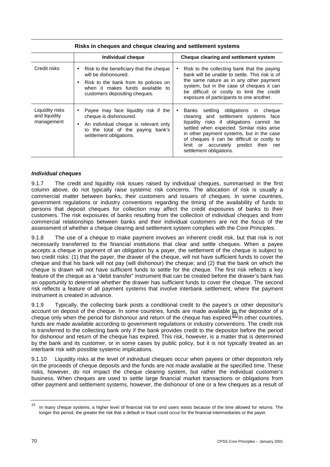|                                                | Individual cheque                                                                                                                                                                    | Cheque clearing and settlement system                                                                                                                                                                                                                                                                                                               |
|------------------------------------------------|--------------------------------------------------------------------------------------------------------------------------------------------------------------------------------------|-----------------------------------------------------------------------------------------------------------------------------------------------------------------------------------------------------------------------------------------------------------------------------------------------------------------------------------------------------|
| Credit risks                                   | Risk to the beneficiary that the cheque<br>٠<br>will be dishonoured.<br>• Risk to the bank from its policies on<br>when it makes funds available to<br>customers depositing cheques. | Risk to the collecting bank that the paying<br>٠<br>bank will be unable to settle. This risk is of<br>the same nature as in any other payment<br>system, but in the case of cheques it can<br>be difficult or costly to limit the credit<br>exposure of participants to one another.                                                                |
| Liquidity risks<br>and liquidity<br>management | Payee may face liquidity risk if the<br>cheque is dishonoured.<br>An individual cheque is relevant only<br>to the total of the paying bank's<br>settlement obligations.              | Banks settling obligations in cheque<br>$\bullet$<br>clearing and settlement systems face<br>liquidity risks if obligations cannot be<br>settled when expected. Similar risks arise<br>in other payment systems, but in the case<br>of cheques it can be difficult or costly to<br>limit or accurately predict their net<br>settlement obligations. |

# **Risks in cheques and cheque clearing and settlement systems**

# *Individual cheques*

9.1.7 The credit and liquidity risk issues raised by individual cheques, summarised in the first column above, do not typically raise systemic risk concerns. The allocation of risk is usually a commercial matter between banks, their customers and issuers of cheques. In some countries, government regulations or industry conventions regarding the timing of the availability of funds to persons that deposit cheques for collection may affect the credit exposures of banks to their customers. The risk exposures of banks resulting from the collection of individual cheques and from commercial relationships between banks and their individual customers are not the focus of the assessment of whether a cheque clearing and settlement system complies with the Core Principles.

9.1.8 The use of a cheque to make payment involves an inherent credit risk, but that risk is not necessarily transferred to the financial institutions that clear and settle cheques. When a payee accepts a cheque in payment of an obligation by a payer, the settlement of the cheque is subject to two credit risks: (1) that the payer, the drawer of the cheque, will not have sufficient funds to cover the cheque and that his bank will not pay (will dishonour) the cheque; and (2) that the bank on which the cheque is drawn will not have sufficient funds to settle for the cheque. The first risk reflects a key feature of the cheque as a "debit transfer" instrument that can be created before the drawer's bank has an opportunity to determine whether the drawer has sufficient funds to cover the cheque. The second risk reflects a feature of all payment systems that involve interbank settlement, where the payment instrument is created in advance.

9.1.9 Typically, the collecting bank posts a conditional credit to the payee's or other depositor's account on deposit of the cheque. In some countries, funds are made available to the depositor of a cheque only when the period for dishonour and return of the cheque has expired.<sup>15</sup> In other countries, funds are made available according to government regulations or industry conventions. The credit risk is transferred to the collecting bank only if the bank provides credit to the depositor before the period for dishonour and return of the cheque has expired. This risk, however, is a matter that is determined by the bank and its customer, or in some cases by public policy, but it is not typically treated as an interbank risk with possible systemic implications.

9.1.10 Liquidity risks at the level of individual cheques occur when payees or other depositors rely on the proceeds of cheque deposits and the funds are not made available at the specified time. These risks, however, do not impact the cheque clearing system, but rather the individual customer's business. When cheques are used to settle large financial market transactions or obligations from other payment and settlement systems, however, the dishonour of one or a few cheques as a result of

<sup>15</sup> In many cheque systems, a higher level of financial risk for end users exists because of the time allowed for returns. The longer this period, the greater the risk that a default or fraud could occur for the financial intermediaries or the payer.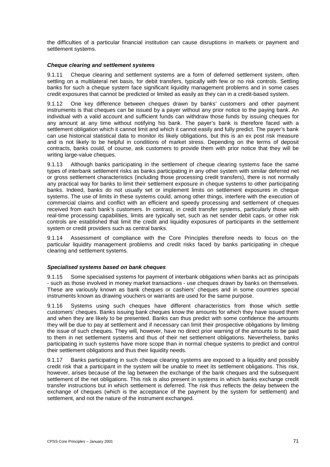the difficulties of a particular financial institution can cause disruptions in markets or payment and settlement systems.

### *Cheque clearing and settlement systems*

9.1.11 Cheque clearing and settlement systems are a form of deferred settlement system, often settling on a multilateral net basis, for debit transfers, typically with few or no risk controls. Settling banks for such a cheque system face significant liquidity management problems and in some cases credit exposures that cannot be predicted or limited as easily as they can in a credit-based system.

9.1.12 One key difference between cheques drawn by banks' customers and other payment instruments is that cheques can be issued by a payer without any prior notice to the paying bank. An individual with a valid account and sufficient funds can withdraw those funds by issuing cheques for any amount at any time without notifying his bank. The payer's bank is therefore faced with a settlement obligation which it cannot limit and which it cannot easily and fully predict. The payer's bank can use historical statistical data to monitor its likely obligations, but this is an ex post risk measure and is not likely to be helpful in conditions of market stress. Depending on the terms of deposit contracts, banks could, of course, ask customers to provide them with prior notice that they will be writing large-value cheques.

9.1.13 Although banks participating in the settlement of cheque clearing systems face the same types of interbank settlement risks as banks participating in any other system with similar deferred net or gross settlement characteristics (including those processing credit transfers), there is not normally any practical way for banks to limit their settlement exposure in cheque systems to other participating banks. Indeed, banks do not usually set or implement limits on settlement exposures in cheque systems. The use of limits in these systems could, among other things, interfere with the execution of commercial claims and conflict with an efficient and speedy processing and settlement of cheques received from each bank's customers. In contrast, in credit transfer systems, particularly those with real-time processing capabilities, limits are typically set, such as net sender debit caps, or other risk controls are established that limit the credit and liquidity exposures of participants in the settlement system or credit providers such as central banks.

9.1.14 Assessment of compliance with the Core Principles therefore needs to focus on the particular liquidity management problems and credit risks faced by banks participating in cheque clearing and settlement systems.

# *Specialised systems based on bank cheques*

9.1.15 Some specialised systems for payment of interbank obligations when banks act as principals - such as those involved in money market transactions - use cheques drawn by banks on themselves. These are variously known as bank cheques or cashiers' cheques and in some countries special instruments known as drawing vouchers or warrants are used for the same purpose.

9.1.16 Systems using such cheques have different characteristics from those which settle customers' cheques. Banks issuing bank cheques know the amounts for which they have issued them and when they are likely to be presented. Banks can thus predict with some confidence the amounts they will be due to pay at settlement and if necessary can limit their prospective obligations by limiting the issue of such cheques. They will, however, have no direct prior warning of the amounts to be paid to them in net settlement systems and thus of their net settlement obligations. Nevertheless, banks participating in such systems have more scope than in normal cheque systems to predict and control their settlement obligations and thus their liquidity needs.

9.1.17 Banks participating in such cheque clearing systems are exposed to a liquidity and possibly credit risk that a participant in the system will be unable to meet its settlement obligations. This risk, however, arises because of the lag between the exchange of the bank cheques and the subsequent settlement of the net obligations. This risk is also present in systems in which banks exchange credit transfer instructions but in which settlement is deferred. The risk thus reflects the delay between the exchange of cheques (which is the acceptance of the payment by the system for settlement) and settlement, and not the nature of the instrument exchanged.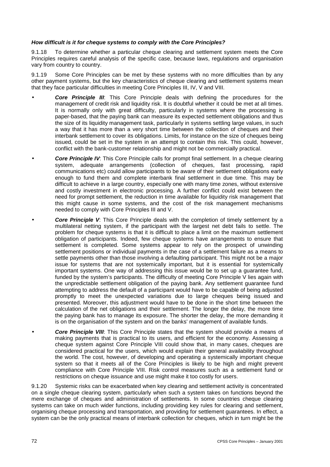### *How difficult is it for cheque systems to comply with the Core Principles?*

9.1.18 To determine whether a particular cheque clearing and settlement system meets the Core Principles requires careful analysis of the specific case, because laws, regulations and organisation vary from country to country.

9.1.19 Some Core Principles can be met by these systems with no more difficulties than by any other payment systems, but the key characteristics of cheque clearing and settlement systems mean that they face particular difficulties in meeting Core Principles III, IV, V and VIII.

- **Core Principle III:** This Core Principle deals with defining the procedures for the management of credit risk and liquidity risk. It is doubtful whether it could be met at all times. It is normally only with great difficulty, particularly in systems where the processing is paper-based, that the paying bank can measure its expected settlement obligations and thus the size of its liquidity management task, particularly in systems settling large values, in such a way that it has more than a very short time between the collection of cheques and their interbank settlement to cover its obligations. Limits, for instance on the size of cheques being issued, could be set in the system in an attempt to contain this risk. This could, however, conflict with the bank-customer relationship and might not be commercially practical.
- **Core Principle IV:** This Core Principle calls for prompt final settlement. In a cheque clearing system, adequate arrangements (collection of cheques, fast processing, rapid communications etc) could allow participants to be aware of their settlement obligations early enough to fund them and complete interbank final settlement in due time. This may be difficult to achieve in a large country, especially one with many time zones, without extensive and costly investment in electronic processing. A further conflict could exist between the need for prompt settlement, the reduction in time available for liquidity risk management that this might cause in some systems, and the cost of the risk management mechanisms needed to comply with Core Principles III and V.
- **Core Principle V:** This Core Principle deals with the completion of timely settlement by a multilateral netting system, if the participant with the largest net debt fails to settle. The problem for cheque systems is that it is difficult to place a limit on the maximum settlement obligation of participants. Indeed, few cheque systems have arrangements to ensure that settlement is completed. Some systems appear to rely on the prospect of unwinding settlement positions or individual payments in the case of a settlement failure as a means to settle payments other than those involving a defaulting participant. This might not be a major issue for systems that are not systemically important, but it is essential for systemically important systems. One way of addressing this issue would be to set up a guarantee fund, funded by the system's participants. The difficulty of meeting Core Principle V lies again with the unpredictable settlement obligation of the paying bank. Any settlement guarantee fund attempting to address the default of a participant would have to be capable of being adjusted promptly to meet the unexpected variations due to large cheques being issued and presented. Moreover, this adjustment would have to be done in the short time between the calculation of the net obligations and their settlement. The longer the delay, the more time the paying bank has to manage its exposure. The shorter the delay, the more demanding it is on the organisation of the system and on the banks' management of available funds.
- **Core Principle VIII:** This Core Principle states that the system should provide a means of making payments that is practical to its users, and efficient for the economy. Assessing a cheque system against Core Principle VIII could show that, in many cases, cheques are considered practical for the users, which would explain their general availability throughout the world. The cost, however, of developing and operating a systemically important cheque system so that it meets all of the Core Principles is likely to be high and might prevent compliance with Core Principle VIII. Risk control measures such as a settlement fund or restrictions on cheque issuance and use might make it too costly for users.

9.1.20 Systemic risks can be exacerbated when key clearing and settlement activity is concentrated on a single cheque clearing system, particularly when such a system takes on functions beyond the mere exchange of cheques and administration of settlements. In some countries cheque clearing systems can take on much wider functions, including providing key rules for clearing and settlement, organising cheque processing and transportation, and providing for settlement guarantees. In effect, a system can be the only practical means of interbank collection for cheques, which in turn might be the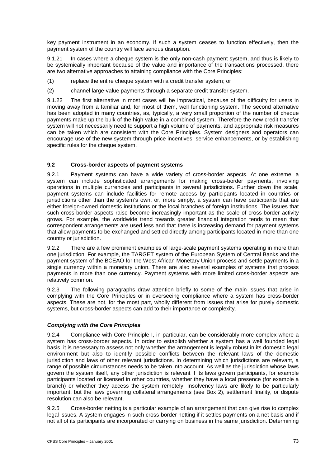key payment instrument in an economy. If such a system ceases to function effectively, then the payment system of the country will face serious disruption.

9.1.21 In cases where a cheque system is the only non-cash payment system, and thus is likely to be systemically important because of the value and importance of the transactions processed, there are two alternative approaches to attaining compliance with the Core Principles:

- (1) replace the entire cheque system with a credit transfer system; or
- (2) channel large-value payments through a separate credit transfer system.

9.1.22 The first alternative in most cases will be impractical, because of the difficulty for users in moving away from a familiar and, for most of them, well functioning system. The second alternative has been adopted in many countries, as, typically, a very small proportion of the number of cheque payments make up the bulk of the high value in a combined system. Therefore the new credit transfer system will not necessarily need to support a high volume of payments, and appropriate risk measures can be taken which are consistent with the Core Principles. System designers and operators can encourage use of the new system through price incentives, service enhancements, or by establishing specific rules for the cheque system.

# **9.2 Cross-border aspects of payment systems**

9.2.1 Payment systems can have a wide variety of cross-border aspects. At one extreme, a system can include sophisticated arrangements for making cross-border payments, involving operations in multiple currencies and participants in several jurisdictions. Further down the scale, payment systems can include facilities for remote access by participants located in countries or jurisdictions other than the system's own, or, more simply, a system can have participants that are either foreign-owned domestic institutions or the local branches of foreign institutions. The issues that such cross-border aspects raise become increasingly important as the scale of cross-border activity grows. For example, the worldwide trend towards greater financial integration tends to mean that correspondent arrangements are used less and that there is increasing demand for payment systems that allow payments to be exchanged and settled directly among participants located in more than one country or jurisdiction.

9.2.2 There are a few prominent examples of large-scale payment systems operating in more than one jurisdiction. For example, the TARGET system of the European System of Central Banks and the payment system of the BCEAO for the West African Monetary Union process and settle payments in a single currency within a monetary union. There are also several examples of systems that process payments in more than one currency. Payment systems with more limited cross-border aspects are relatively common.

9.2.3 The following paragraphs draw attention briefly to some of the main issues that arise in complying with the Core Principles or in overseeing compliance where a system has cross-border aspects. These are not, for the most part, wholly different from issues that arise for purely domestic systems, but cross-border aspects can add to their importance or complexity.

### *Complying with the Core Principles*

9.2.4 Compliance with Core Principle I, in particular, can be considerably more complex where a system has cross-border aspects. In order to establish whether a system has a well founded legal basis, it is necessary to assess not only whether the arrangement is legally robust in its domestic legal environment but also to identify possible conflicts between the relevant laws of the domestic jurisdiction and laws of other relevant jurisdictions. In determining which jurisdictions are relevant, a range of possible circumstances needs to be taken into account. As well as the jurisdiction whose laws govern the system itself, any other jurisdiction is relevant if its laws govern participants, for example participants located or licensed in other countries, whether they have a local presence (for example a branch) or whether they access the system remotely. Insolvency laws are likely to be particularly important, but the laws governing collateral arrangements (see Box 2), settlement finality, or dispute resolution can also be relevant.

9.2.5 Cross-border netting is a particular example of an arrangement that can give rise to complex legal issues. A system engages in such cross-border netting if it settles payments on a net basis and if not all of its participants are incorporated or carrying on business in the same jurisdiction. Determining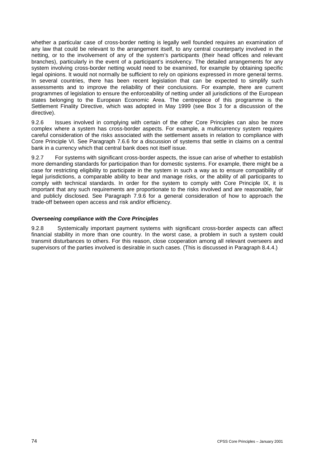whether a particular case of cross-border netting is legally well founded requires an examination of any law that could be relevant to the arrangement itself, to any central counterparty involved in the netting, or to the involvement of any of the system's participants (their head offices and relevant branches), particularly in the event of a participant's insolvency. The detailed arrangements for any system involving cross-border netting would need to be examined, for example by obtaining specific legal opinions. It would not normally be sufficient to rely on opinions expressed in more general terms. In several countries, there has been recent legislation that can be expected to simplify such assessments and to improve the reliability of their conclusions. For example, there are current programmes of legislation to ensure the enforceability of netting under all jurisdictions of the European states belonging to the European Economic Area. The centrepiece of this programme is the Settlement Finality Directive, which was adopted in May 1999 (see Box 3 for a discussion of the directive).

9.2.6 Issues involved in complying with certain of the other Core Principles can also be more complex where a system has cross-border aspects. For example, a multicurrency system requires careful consideration of the risks associated with the settlement assets in relation to compliance with Core Principle VI. See Paragraph 7.6.6 for a discussion of systems that settle in claims on a central bank in a currency which that central bank does not itself issue.

9.2.7 For systems with significant cross-border aspects, the issue can arise of whether to establish more demanding standards for participation than for domestic systems. For example, there might be a case for restricting eligibility to participate in the system in such a way as to ensure compatibility of legal jurisdictions, a comparable ability to bear and manage risks, or the ability of all participants to comply with technical standards. In order for the system to comply with Core Principle IX, it is important that any such requirements are proportionate to the risks involved and are reasonable, fair and publicly disclosed. See Paragraph 7.9.6 for a general consideration of how to approach the trade-off between open access and risk and/or efficiency.

### *Overseeing compliance with the Core Principles*

9.2.8 Systemically important payment systems with significant cross-border aspects can affect financial stability in more than one country. In the worst case, a problem in such a system could transmit disturbances to others. For this reason, close cooperation among all relevant overseers and supervisors of the parties involved is desirable in such cases. (This is discussed in Paragraph 8.4.4.)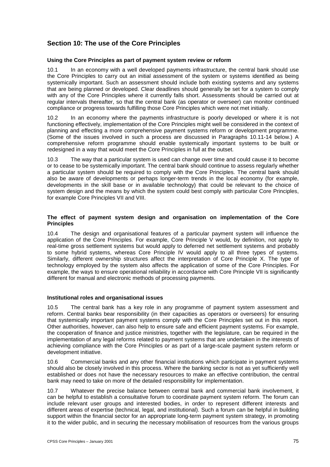# **Section 10: The use of the Core Principles**

# **Using the Core Principles as part of payment system review or reform**

10.1 In an economy with a well developed payments infrastructure, the central bank should use the Core Principles to carry out an initial assessment of the system or systems identified as being systemically important. Such an assessment should include both existing systems and any systems that are being planned or developed. Clear deadlines should generally be set for a system to comply with any of the Core Principles where it currently falls short. Assessments should be carried out at regular intervals thereafter, so that the central bank (as operator or overseer) can monitor continued compliance or progress towards fulfilling those Core Principles which were not met initially.

10.2 In an economy where the payments infrastructure is poorly developed or where it is not functioning effectively, implementation of the Core Principles might well be considered in the context of planning and effecting a more comprehensive payment systems reform or development programme. (Some of the issues involved in such a process are discussed in Paragraphs 10.11-14 below.) A comprehensive reform programme should enable systemically important systems to be built or redesigned in a way that would meet the Core Principles in full at the outset.

10.3 The way that a particular system is used can change over time and could cause it to become or to cease to be systemically important. The central bank should continue to assess regularly whether a particular system should be required to comply with the Core Principles. The central bank should also be aware of developments or perhaps longer-term trends in the local economy (for example, developments in the skill base or in available technology) that could be relevant to the choice of system design and the means by which the system could best comply with particular Core Principles, for example Core Principles VII and VIII.

### **The effect of payment system design and organisation on implementation of the Core Principles**

10.4 The design and organisational features of a particular payment system will influence the application of the Core Principles. For example, Core Principle V would, by definition, not apply to real-time gross settlement systems but would apply to deferred net settlement systems and probably to some hybrid systems, whereas Core Principle IV would apply to all three types of systems. Similarly, different ownership structures affect the interpretation of Core Principle X. The type of technology employed by the system also affects the application of some of the Core Principles. For example, the ways to ensure operational reliability in accordance with Core Principle VII is significantly different for manual and electronic methods of processing payments.

### **Institutional roles and organisational issues**

10.5 The central bank has a key role in any programme of payment system assessment and reform. Central banks bear responsibility (in their capacities as operators or overseers) for ensuring that systemically important payment systems comply with the Core Principles set out in this report. Other authorities, however, can also help to ensure safe and efficient payment systems. For example, the cooperation of finance and justice ministries, together with the legislature, can be required in the implementation of any legal reforms related to payment systems that are undertaken in the interests of achieving compliance with the Core Principles or as part of a large-scale payment system reform or development initiative.

10.6 Commercial banks and any other financial institutions which participate in payment systems should also be closely involved in this process. Where the banking sector is not as yet sufficiently well established or does not have the necessary resources to make an effective contribution, the central bank may need to take on more of the detailed responsibility for implementation.

10.7 Whatever the precise balance between central bank and commercial bank involvement, it can be helpful to establish a consultative forum to coordinate payment system reform. The forum can include relevant user groups and interested bodies, in order to represent different interests and different areas of expertise (technical, legal, and institutional). Such a forum can be helpful in building support within the financial sector for an appropriate long-term payment system strategy, in promoting it to the wider public, and in securing the necessary mobilisation of resources from the various groups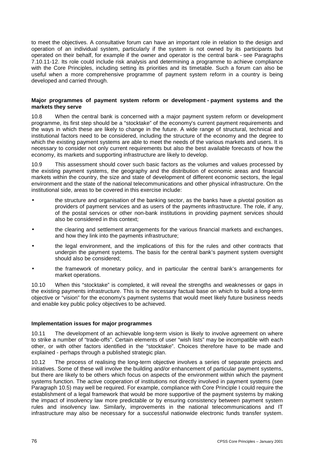to meet the objectives. A consultative forum can have an important role in relation to the design and operation of an individual system, particularly if the system is not owned by its participants but operated on their behalf, for example if the owner and operator is the central bank - see Paragraphs 7.10.11-12. Its role could include risk analysis and determining a programme to achieve compliance with the Core Principles, including setting its priorities and its timetable. Such a forum can also be useful when a more comprehensive programme of payment system reform in a country is being developed and carried through.

### **Major programmes of payment system reform or development - payment systems and the markets they serve**

10.8 When the central bank is concerned with a major payment system reform or development programme, its first step should be a "stocktake" of the economy's current payment requirements and the ways in which these are likely to change in the future. A wide range of structural, technical and institutional factors need to be considered, including the structure of the economy and the degree to which the existing payment systems are able to meet the needs of the various markets and users. It is necessary to consider not only current requirements but also the best available forecasts of how the economy, its markets and supporting infrastructure are likely to develop.

10.9 This assessment should cover such basic factors as the volumes and values processed by the existing payment systems, the geography and the distribution of economic areas and financial markets within the country, the size and state of development of different economic sectors, the legal environment and the state of the national telecommunications and other physical infrastructure. On the institutional side, areas to be covered in this exercise include:

- the structure and organisation of the banking sector, as the banks have a pivotal position as providers of payment services and as users of the payments infrastructure. The role, if any, of the postal services or other non-bank institutions in providing payment services should also be considered in this context;
- the clearing and settlement arrangements for the various financial markets and exchanges, and how they link into the payments infrastructure;
- the legal environment, and the implications of this for the rules and other contracts that underpin the payment systems. The basis for the central bank's payment system oversight should also be considered;
- the framework of monetary policy, and in particular the central bank's arrangements for market operations.

10.10 When this "stocktake" is completed, it will reveal the strengths and weaknesses or gaps in the existing payments infrastructure. This is the necessary factual base on which to build a long-term objective or "vision" for the economy's payment systems that would meet likely future business needs and enable key public policy objectives to be achieved.

# **Implementation issues for major programmes**

10.11 The development of an achievable long-term vision is likely to involve agreement on where to strike a number of "trade-offs". Certain elements of user "wish lists" may be incompatible with each other, or with other factors identified in the "stocktake". Choices therefore have to be made and explained - perhaps through a published strategic plan.

10.12 The process of realising the long-term objective involves a series of separate projects and initiatives. Some of these will involve the building and/or enhancement of particular payment systems, but there are likely to be others which focus on aspects of the environment within which the payment systems function. The active cooperation of institutions not directly involved in payment systems (see Paragraph 10.5) may well be required. For example, compliance with Core Principle I could require the establishment of a legal framework that would be more supportive of the payment systems by making the impact of insolvency law more predictable or by ensuring consistency between payment system rules and insolvency law. Similarly, improvements in the national telecommunications and IT infrastructure may also be necessary for a successful nationwide electronic funds transfer system.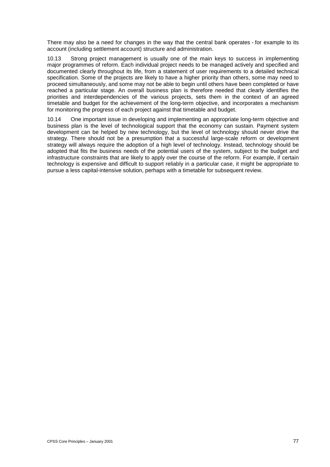There may also be a need for changes in the way that the central bank operates - for example to its account (including settlement account) structure and administration.

10.13 Strong project management is usually one of the main keys to success in implementing major programmes of reform. Each individual project needs to be managed actively and specified and documented clearly throughout its life, from a statement of user requirements to a detailed technical specification. Some of the projects are likely to have a higher priority than others, some may need to proceed simultaneously, and some may not be able to begin until others have been completed or have reached a particular stage. An overall business plan is therefore needed that clearly identifies the priorities and interdependencies of the various projects, sets them in the context of an agreed timetable and budget for the achievement of the long-term objective, and incorporates a mechanism for monitoring the progress of each project against that timetable and budget.

10.14 One important issue in developing and implementing an appropriate long-term objective and business plan is the level of technological support that the economy can sustain. Payment system development can be helped by new technology, but the level of technology should never drive the strategy. There should not be a presumption that a successful large-scale reform or development strategy will always require the adoption of a high level of technology. Instead, technology should be adopted that fits the business needs of the potential users of the system, subject to the budget and infrastructure constraints that are likely to apply over the course of the reform. For example, if certain technology is expensive and difficult to support reliably in a particular case, it might be appropriate to pursue a less capital-intensive solution, perhaps with a timetable for subsequent review.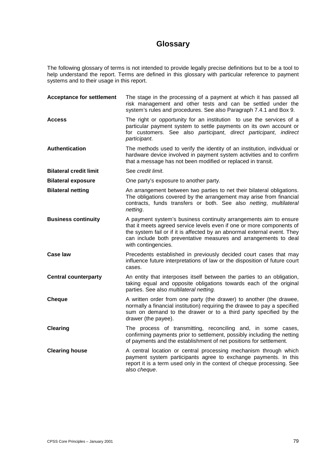# **Glossary**

The following glossary of terms is not intended to provide legally precise definitions but to be a tool to help understand the report. Terms are defined in this glossary with particular reference to payment systems and to their usage in this report.

| <b>Acceptance for settlement</b> | The stage in the processing of a payment at which it has passed all<br>risk management and other tests and can be settled under the<br>system's rules and procedures. See also Paragraph 7.4.1 and Box 9.                                                                                                        |
|----------------------------------|------------------------------------------------------------------------------------------------------------------------------------------------------------------------------------------------------------------------------------------------------------------------------------------------------------------|
| Access                           | The right or opportunity for an institution to use the services of a<br>particular payment system to settle payments on its own account or<br>for customers. See also participant, direct participant, indirect<br>participant.                                                                                  |
| <b>Authentication</b>            | The methods used to verify the identity of an institution, individual or<br>hardware device involved in payment system activities and to confirm<br>that a message has not been modified or replaced in transit.                                                                                                 |
| <b>Bilateral credit limit</b>    | See credit limit.                                                                                                                                                                                                                                                                                                |
| <b>Bilateral exposure</b>        | One party's exposure to another party.                                                                                                                                                                                                                                                                           |
| <b>Bilateral netting</b>         | An arrangement between two parties to net their bilateral obligations.<br>The obligations covered by the arrangement may arise from financial<br>contracts, funds transfers or both. See also netting, multilateral<br>netting.                                                                                  |
| <b>Business continuity</b>       | A payment system's business continuity arrangements aim to ensure<br>that it meets agreed service levels even if one or more components of<br>the system fail or if it is affected by an abnormal external event. They<br>can include both preventative measures and arrangements to deal<br>with contingencies. |
| Case law                         | Precedents established in previously decided court cases that may<br>influence future interpretations of law or the disposition of future court<br>cases.                                                                                                                                                        |
| <b>Central counterparty</b>      | An entity that interposes itself between the parties to an obligation,<br>taking equal and opposite obligations towards each of the original<br>parties. See also multilateral netting.                                                                                                                          |
| <b>Cheque</b>                    | A written order from one party (the drawer) to another (the drawee,<br>normally a financial institution) requiring the drawee to pay a specified<br>sum on demand to the drawer or to a third party specified by the<br>drawer (the payee).                                                                      |
| <b>Clearing</b>                  | The process of transmitting, reconciling and, in some cases,<br>confirming payments prior to settlement, possibly including the netting<br>of payments and the establishment of net positions for settlement.                                                                                                    |
| <b>Clearing house</b>            | A central location or central processing mechanism through which<br>payment system participants agree to exchange payments. In this<br>report it is a term used only in the context of cheque processing. See<br>also cheque.                                                                                    |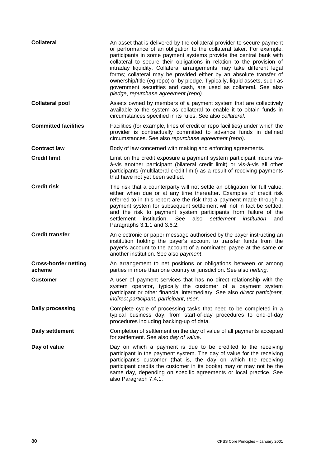| <b>Collateral</b>                     | An asset that is delivered by the collateral provider to secure payment<br>or performance of an obligation to the collateral taker. For example,<br>participants in some payment systems provide the central bank with<br>collateral to secure their obligations in relation to the provision of<br>intraday liquidity. Collateral arrangements may take different legal<br>forms; collateral may be provided either by an absolute transfer of<br>ownership/title (eg repo) or by pledge. Typically, liquid assets, such as<br>government securities and cash, are used as collateral. See also<br>pledge, repurchase agreement (repo). |
|---------------------------------------|------------------------------------------------------------------------------------------------------------------------------------------------------------------------------------------------------------------------------------------------------------------------------------------------------------------------------------------------------------------------------------------------------------------------------------------------------------------------------------------------------------------------------------------------------------------------------------------------------------------------------------------|
| <b>Collateral pool</b>                | Assets owned by members of a payment system that are collectively<br>available to the system as collateral to enable it to obtain funds in<br>circumstances specified in its rules. See also collateral.                                                                                                                                                                                                                                                                                                                                                                                                                                 |
| <b>Committed facilities</b>           | Facilities (for example, lines of credit or repo facilities) under which the<br>provider is contractually committed to advance funds in defined<br>circumstances. See also repurchase agreement (repo).                                                                                                                                                                                                                                                                                                                                                                                                                                  |
| <b>Contract law</b>                   | Body of law concerned with making and enforcing agreements.                                                                                                                                                                                                                                                                                                                                                                                                                                                                                                                                                                              |
| <b>Credit limit</b>                   | Limit on the credit exposure a payment system participant incurs vis-<br>à-vis another participant (bilateral credit limit) or vis-à-vis all other<br>participants (multilateral credit limit) as a result of receiving payments<br>that have not yet been settled.                                                                                                                                                                                                                                                                                                                                                                      |
| <b>Credit risk</b>                    | The risk that a counterparty will not settle an obligation for full value,<br>either when due or at any time thereafter. Examples of credit risk<br>referred to in this report are the risk that a payment made through a<br>payment system for subsequent settlement will not in fact be settled;<br>and the risk to payment system participants from failure of the<br>settlement<br>institution<br>settlement<br>institution.<br>See<br>also<br>and<br>Paragraphs 3.1.1 and 3.6.2.                                                                                                                                                    |
| <b>Credit transfer</b>                | An electronic or paper message authorised by the payer instructing an<br>institution holding the payer's account to transfer funds from the<br>payer's account to the account of a nominated payee at the same or<br>another institution. See also payment.                                                                                                                                                                                                                                                                                                                                                                              |
| <b>Cross-border netting</b><br>scheme | An arrangement to net positions or obligations between or among<br>parties in more than one country or jurisdiction. See also netting.                                                                                                                                                                                                                                                                                                                                                                                                                                                                                                   |
| Customer                              | A user of payment services that has no direct relationship with the<br>system operator, typically the customer of a payment system<br>participant or other financial intermediary. See also direct participant,<br>indirect participant, participant, user.                                                                                                                                                                                                                                                                                                                                                                              |
| Daily processing                      | Complete cycle of processing tasks that need to be completed in a<br>typical business day, from start-of-day procedures to end-of-day<br>procedures including backing-up of data.                                                                                                                                                                                                                                                                                                                                                                                                                                                        |
| Daily settlement                      | Completion of settlement on the day of value of all payments accepted<br>for settlement. See also day of value.                                                                                                                                                                                                                                                                                                                                                                                                                                                                                                                          |
| Day of value                          | Day on which a payment is due to be credited to the receiving<br>participant in the payment system. The day of value for the receiving<br>participant's customer (that is, the day on which the receiving<br>participant credits the customer in its books) may or may not be the<br>same day, depending on specific agreements or local practice. See<br>also Paragraph 7.4.1.                                                                                                                                                                                                                                                          |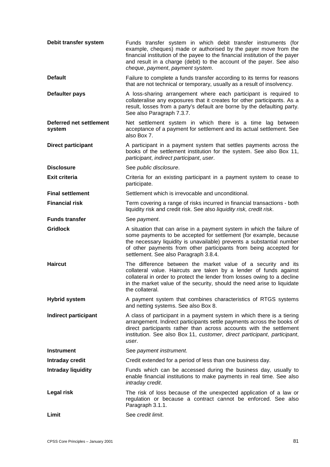| Debit transfer system             | Funds transfer system in which debit transfer instruments (for<br>example, cheques) made or authorised by the payer move from the<br>financial institution of the payee to the financial institution of the payer<br>and result in a charge (debit) to the account of the payer. See also<br>cheque, payment, payment system.      |
|-----------------------------------|------------------------------------------------------------------------------------------------------------------------------------------------------------------------------------------------------------------------------------------------------------------------------------------------------------------------------------|
| <b>Default</b>                    | Failure to complete a funds transfer according to its terms for reasons<br>that are not technical or temporary, usually as a result of insolvency.                                                                                                                                                                                 |
| Defaulter pays                    | A loss-sharing arrangement where each participant is required to<br>collateralise any exposures that it creates for other participants. As a<br>result, losses from a party's default are borne by the defaulting party.<br>See also Paragraph 7.3.7.                                                                              |
| Deferred net settlement<br>system | Net settlement system in which there is a time lag between<br>acceptance of a payment for settlement and its actual settlement. See<br>also Box 7.                                                                                                                                                                                 |
| <b>Direct participant</b>         | A participant in a payment system that settles payments across the<br>books of the settlement institution for the system. See also Box 11,<br>participant, indirect participant, user.                                                                                                                                             |
| <b>Disclosure</b>                 | See public disclosure.                                                                                                                                                                                                                                                                                                             |
| <b>Exit criteria</b>              | Criteria for an existing participant in a payment system to cease to<br>participate.                                                                                                                                                                                                                                               |
| <b>Final settlement</b>           | Settlement which is irrevocable and unconditional.                                                                                                                                                                                                                                                                                 |
| <b>Financial risk</b>             | Term covering a range of risks incurred in financial transactions - both<br>liquidity risk and credit risk. See also liquidity risk, credit risk.                                                                                                                                                                                  |
| <b>Funds transfer</b>             | See payment.                                                                                                                                                                                                                                                                                                                       |
| <b>Gridlock</b>                   | A situation that can arise in a payment system in which the failure of<br>some payments to be accepted for settlement (for example, because<br>the necessary liquidity is unavailable) prevents a substantial number<br>of other payments from other participants from being accepted for<br>settlement. See also Paragraph 3.8.4. |
| <b>Haircut</b>                    | The difference between the market value of a security and its<br>collateral value. Haircuts are taken by a lender of funds against<br>collateral in order to protect the lender from losses owing to a decline<br>in the market value of the security, should the need arise to liquidate<br>the collateral.                       |
| <b>Hybrid system</b>              | A payment system that combines characteristics of RTGS systems<br>and netting systems. See also Box 8.                                                                                                                                                                                                                             |
| <b>Indirect participant</b>       | A class of participant in a payment system in which there is a tiering<br>arrangement. Indirect participants settle payments across the books of<br>direct participants rather than across accounts with the settlement<br>institution. See also Box 11, customer, direct participant, participant,<br>user.                       |
| <b>Instrument</b>                 | See payment instrument.                                                                                                                                                                                                                                                                                                            |
| Intraday credit                   | Credit extended for a period of less than one business day.                                                                                                                                                                                                                                                                        |
| Intraday liquidity                | Funds which can be accessed during the business day, usually to<br>enable financial institutions to make payments in real time. See also<br>intraday credit.                                                                                                                                                                       |
| Legal risk                        | The risk of loss because of the unexpected application of a law or<br>regulation or because a contract cannot be enforced. See also<br>Paragraph 3.1.1.                                                                                                                                                                            |
| Limit                             | See credit limit.                                                                                                                                                                                                                                                                                                                  |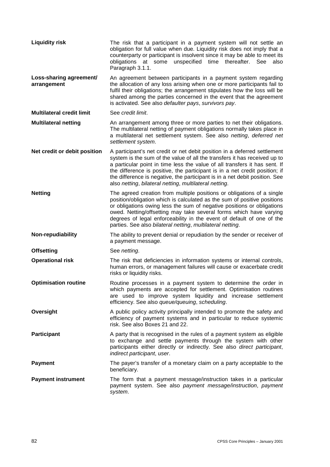| <b>Liquidity risk</b>                  | The risk that a participant in a payment system will not settle an<br>obligation for full value when due. Liquidity risk does not imply that a<br>counterparty or participant is insolvent since it may be able to meet its<br>unspecified time thereafter. See<br>obligations at some<br>also<br>Paragraph 3.1.1.                                                                                                                                           |
|----------------------------------------|--------------------------------------------------------------------------------------------------------------------------------------------------------------------------------------------------------------------------------------------------------------------------------------------------------------------------------------------------------------------------------------------------------------------------------------------------------------|
| Loss-sharing agreement/<br>arrangement | An agreement between participants in a payment system regarding<br>the allocation of any loss arising when one or more participants fail to<br>fulfil their obligations; the arrangement stipulates how the loss will be<br>shared among the parties concerned in the event that the agreement<br>is activated. See also defaulter pays, survivors pay.                                                                                                      |
| <b>Multilateral credit limit</b>       | See credit limit.                                                                                                                                                                                                                                                                                                                                                                                                                                            |
| <b>Multilateral netting</b>            | An arrangement among three or more parties to net their obligations.<br>The multilateral netting of payment obligations normally takes place in<br>a multilateral net settlement system. See also netting, deferred net<br>settlement system.                                                                                                                                                                                                                |
| Net credit or debit position           | A participant's net credit or net debit position in a deferred settlement<br>system is the sum of the value of all the transfers it has received up to<br>a particular point in time less the value of all transfers it has sent. If<br>the difference is positive, the participant is in a net credit position; if<br>the difference is negative, the participant is in a net debit position. See<br>also netting, bilateral netting, multilateral netting. |
| <b>Netting</b>                         | The agreed creation from multiple positions or obligations of a single<br>position/obligation which is calculated as the sum of positive positions<br>or obligations owing less the sum of negative positions or obligations<br>owed. Netting/offsetting may take several forms which have varying<br>degrees of legal enforceability in the event of default of one of the<br>parties. See also bilateral netting, multilateral netting.                    |
| Non-repudiability                      | The ability to prevent denial or repudiation by the sender or receiver of<br>a payment message.                                                                                                                                                                                                                                                                                                                                                              |
| <b>Offsetting</b>                      | See netting.                                                                                                                                                                                                                                                                                                                                                                                                                                                 |
| <b>Operational risk</b>                | The risk that deficiencies in information systems or internal controls,<br>human errors, or management failures will cause or exacerbate credit<br>risks or liquidity risks.                                                                                                                                                                                                                                                                                 |
| <b>Optimisation routine</b>            | Routine processes in a payment system to determine the order in<br>which payments are accepted for settlement. Optimisation routines<br>are used to improve system liquidity and increase settlement<br>efficiency. See also queue/queuing, scheduling.                                                                                                                                                                                                      |
| Oversight                              | A public policy activity principally intended to promote the safety and<br>efficiency of payment systems and in particular to reduce systemic<br>risk. See also Boxes 21 and 22.                                                                                                                                                                                                                                                                             |
| <b>Participant</b>                     | A party that is recognised in the rules of a payment system as eligible<br>to exchange and settle payments through the system with other<br>participants either directly or indirectly. See also direct participant,<br>indirect participant, user.                                                                                                                                                                                                          |
| <b>Payment</b>                         | The payer's transfer of a monetary claim on a party acceptable to the<br>beneficiary.                                                                                                                                                                                                                                                                                                                                                                        |
| <b>Payment instrument</b>              | The form that a payment message/instruction takes in a particular<br>payment system. See also payment message/instruction, payment<br>system.                                                                                                                                                                                                                                                                                                                |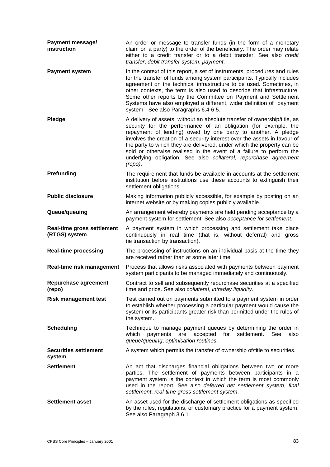| Payment message/<br>instruction             | An order or message to transfer funds (in the form of a monetary<br>claim on a party) to the order of the beneficiary. The order may relate<br>either to a credit transfer or to a debit transfer. See also credit<br>transfer, debit transfer system, payment.                                                                                                                                                                                                                                                           |
|---------------------------------------------|---------------------------------------------------------------------------------------------------------------------------------------------------------------------------------------------------------------------------------------------------------------------------------------------------------------------------------------------------------------------------------------------------------------------------------------------------------------------------------------------------------------------------|
| <b>Payment system</b>                       | In the context of this report, a set of instruments, procedures and rules<br>for the transfer of funds among system participants. Typically includes<br>agreement on the technical infrastructure to be used. Sometimes, in<br>other contexts, the term is also used to describe that infrastructure.<br>Some other reports by the Committee on Payment and Settlement<br>Systems have also employed a different, wider definition of "payment<br>system". See also Paragraphs 6.4-6.5.                                   |
| <b>Pledge</b>                               | A delivery of assets, without an absolute transfer of ownership/title, as<br>security for the performance of an obligation (for example, the<br>repayment of lending) owed by one party to another. A pledge<br>involves the creation of a security interest over the assets in favour of<br>the party to which they are delivered, under which the property can be<br>sold or otherwise realised in the event of a failure to perform the<br>underlying obligation. See also collateral, repurchase agreement<br>(repo). |
| Prefunding                                  | The requirement that funds be available in accounts at the settlement<br>institution before institutions use these accounts to extinguish their<br>settlement obligations.                                                                                                                                                                                                                                                                                                                                                |
| <b>Public disclosure</b>                    | Making information publicly accessible, for example by posting on an<br>internet website or by making copies publicly available.                                                                                                                                                                                                                                                                                                                                                                                          |
| Queue/queuing                               | An arrangement whereby payments are held pending acceptance by a<br>payment system for settlement. See also acceptance for settlement.                                                                                                                                                                                                                                                                                                                                                                                    |
| Real-time gross settlement<br>(RTGS) system | A payment system in which processing and settlement take place<br>continuously in real time (that is, without deferral) and gross<br>(ie transaction by transaction).                                                                                                                                                                                                                                                                                                                                                     |
| <b>Real-time processing</b>                 | The processing of instructions on an individual basis at the time they<br>are received rather than at some later time.                                                                                                                                                                                                                                                                                                                                                                                                    |
| Real-time risk management                   | Process that allows risks associated with payments between payment<br>system participants to be managed immediately and continuously.                                                                                                                                                                                                                                                                                                                                                                                     |
| <b>Repurchase agreement</b><br>(repo)       | Contract to sell and subsequently repurchase securities at a specified<br>time and price. See also collateral, intraday liquidity.                                                                                                                                                                                                                                                                                                                                                                                        |
| <b>Risk management test</b>                 | Test carried out on payments submitted to a payment system in order<br>to establish whether processing a particular payment would cause the<br>system or its participants greater risk than permitted under the rules of<br>the system.                                                                                                                                                                                                                                                                                   |
| <b>Scheduling</b>                           | Technique to manage payment queues by determining the order in<br>which<br>payments<br>accepted<br>for<br>settlement.<br>See<br>are<br>also<br>queue/queuing, optimisation routines.                                                                                                                                                                                                                                                                                                                                      |
| <b>Securities settlement</b><br>system      | A system which permits the transfer of ownership of/title to securities.                                                                                                                                                                                                                                                                                                                                                                                                                                                  |
| <b>Settlement</b>                           | An act that discharges financial obligations between two or more<br>parties. The settlement of payments between participants in a<br>payment system is the context in which the term is most commonly<br>used in the report. See also deferred net settlement system, final<br>settlement, real-time gross settlement system.                                                                                                                                                                                             |
| <b>Settlement asset</b>                     | An asset used for the discharge of settlement obligations as specified<br>by the rules, regulations, or customary practice for a payment system.<br>See also Paragraph 3.6.1.                                                                                                                                                                                                                                                                                                                                             |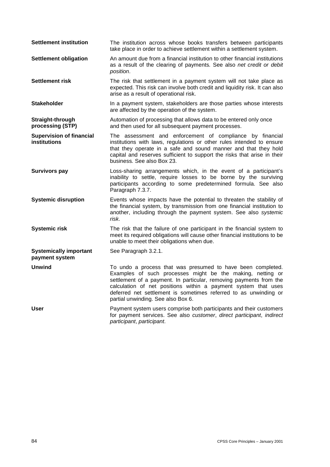| <b>Settlement institution</b>                   | The institution across whose books transfers between participants<br>take place in order to achieve settlement within a settlement system.                                                                                                                                                                                                                                  |
|-------------------------------------------------|-----------------------------------------------------------------------------------------------------------------------------------------------------------------------------------------------------------------------------------------------------------------------------------------------------------------------------------------------------------------------------|
| <b>Settlement obligation</b>                    | An amount due from a financial institution to other financial institutions<br>as a result of the clearing of payments. See also net credit or debit<br>position.                                                                                                                                                                                                            |
| <b>Settlement risk</b>                          | The risk that settlement in a payment system will not take place as<br>expected. This risk can involve both credit and liquidity risk. It can also<br>arise as a result of operational risk.                                                                                                                                                                                |
| <b>Stakeholder</b>                              | In a payment system, stakeholders are those parties whose interests<br>are affected by the operation of the system.                                                                                                                                                                                                                                                         |
| Straight-through<br>processing (STP)            | Automation of processing that allows data to be entered only once<br>and then used for all subsequent payment processes.                                                                                                                                                                                                                                                    |
| <b>Supervision of financial</b><br>institutions | The assessment and enforcement of compliance by financial<br>institutions with laws, regulations or other rules intended to ensure<br>that they operate in a safe and sound manner and that they hold<br>capital and reserves sufficient to support the risks that arise in their<br>business. See also Box 23.                                                             |
| <b>Survivors pay</b>                            | Loss-sharing arrangements which, in the event of a participant's<br>inability to settle, require losses to be borne by the surviving<br>participants according to some predetermined formula. See also<br>Paragraph 7.3.7.                                                                                                                                                  |
| <b>Systemic disruption</b>                      | Events whose impacts have the potential to threaten the stability of<br>the financial system, by transmission from one financial institution to<br>another, including through the payment system. See also systemic<br>risk.                                                                                                                                                |
| <b>Systemic risk</b>                            | The risk that the failure of one participant in the financial system to<br>meet its required obligations will cause other financial institutions to be<br>unable to meet their obligations when due.                                                                                                                                                                        |
| <b>Systemically important</b><br>payment system | See Paragraph 3.2.1.                                                                                                                                                                                                                                                                                                                                                        |
| <b>Unwind</b>                                   | To undo a process that was presumed to have been completed.<br>Examples of such processes might be the making, netting or<br>settlement of a payment. In particular, removing payments from the<br>calculation of net positions within a payment system that uses<br>deferred net settlement is sometimes referred to as unwinding or<br>partial unwinding. See also Box 6. |
| <b>User</b>                                     | Payment system users comprise both participants and their customers<br>for payment services. See also customer, direct participant, indirect<br>participant, participant.                                                                                                                                                                                                   |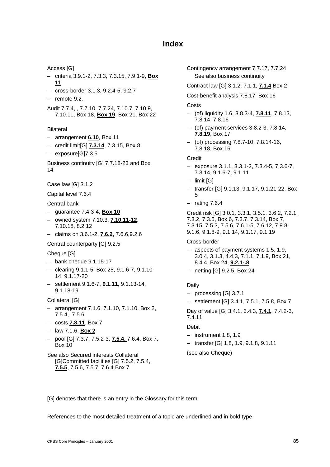# **Index**

Access [G] – criteria 3.9.1-2, 7.3.3, 7.3.15, 7.9.1-9, **Box 11** – cross-border 3.1.3, 9.2.4-5, 9.2.7 – remote 9.2. Audit 7.7.4, , 7.7.10, 7.7.24, 7.10.7, 7.10.9, 7.10.11, Box 18, **Box 19**, Box 21, Box 22 Bilateral – arrangement **6.10**, Box 11 – credit limit[G] **7.3.14**, 7.3.15, Box 8 – exposure[G]7.3.5 Business continuity [G] 7.7.18-23 and Box 14 Case law [G] 3.1.2 Capital level 7.6.4 Central bank – guarantee 7.4.3-4, **Box 10** – owned system 7.10.3, **7.10.11-12**, 7.10.18, 8.2.12 – claims on 3.6.1-2, **7.6.2**, 7.6.6,9.2.6 Central counterparty [G] 9.2.5 Cheque [G] – bank cheque 9.1.15-17 – clearing 9.1.1-5, Box 25, 9.1.6-7, 9.1.10- 14, 9.1.17-20 – settlement 9.1.6-7, **9.1.11**, 9.1.13-14, 9.1.18-19 Collateral [G] – arrangement 7.1.6, 7.1.10, 7.1.10, Box 2, 7.5.4, 7.5.6 – costs **7.8.11**, Box 7 – law 7.1.6, **Box 2** – pool [G] 7.3.7, 7.5.2-3, **7.5.4,** 7.6.4, Box 7, Box 10 See also Secured interests Collateral [G]Committed facilities [G] 7.5.2, 7.5.4, **7.5.5**, 7.5.6, 7.5.7, 7.6.4 Box 7

Contingency arrangement 7.7.17, 7.7.24 See also business continuity

Contract law [G] 3.1.2, 7.1.1, **7.1.4**,Box 2

Cost-benefit analysis 7.8.17, Box 16

# **Costs**

- (of) liquidity 1.6, 3.8.3-4, **7.8.11**, 7.8.13, 7.8.14, 7.8.16
- (of) payment services 3.8.2-3, 7.8.14, **7.8.19**, Box 17
- (of) processing 7.8.7-10, 7.8.14-16, 7.8.18, Box 16

### Credit

- exposure 3.1.1, 3.3.1-2, 7.3.4-5, 7.3.6-7, 7.3.14, 9.1.6-7, 9.1.11
- limit [G]
- transfer [G] 9.1.13, 9.1.17, 9.1.21-22, Box 5
- $-$  rating  $7.6.4$

Credit risk [G] 3.0.1, 3.3.1, 3.5.1, 3.6.2, 7.2.1, 7.3.2, 7.3.5, Box 6, 7.3.7, 7.3.14, Box 7, 7.3.15, 7.5.3, 7.5.6, 7.6.1-5, 7.6.12, 7.9.8, 9.1.6, 9.1.8-9, 9.1.14, 9.1.17, 9.1.19

# Cross-border

- aspects of payment systems 1.5, 1.9, 3.0.4, 3.1.3, 4.4.3, 7.1.1, 7.1.9, Box 21, 8.4.4, Box 24, **9.2.1-.8**
- netting [G] 9.2.5, Box 24

# Daily

- processing [G] 3.7.1
- settlement [G] 3.4.1, 7.5.1, 7.5.8, Box 7

Day of value [G] 3.4.1, 3.4.3, **7.4.1**, 7.4.2-3, 7.4.11

# Debit

- instrument 1.8, 1.9
- transfer [G] 1.8, 1.9, 9.1.8, 9.1.11
- (see also Cheque)

[G] denotes that there is an entry in the Glossary for this term.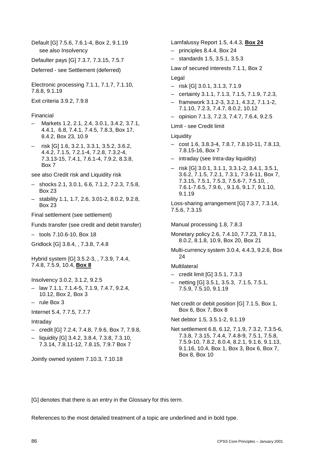- Default [G] 7.5.6, 7.6.1-4, Box 2, 9.1.19 see also Insolvency
- Defaulter pays [G] 7.3.7, 7.3.15, 7.5.7
- Deferred see Settlement (deferred)

Electronic processing 7.1.1, 7.1.7, 7.1.10, 7.8.8, 9.1.19

Exit criteria 3.9.2, 7.9.8

### Financial

- Markets 1.2, 2.1, 2.4, 3.0.1, 3.4.2, 3.7.1, 4.4.1, 6.8, 7.4.1, 7.4.5, 7.8.3, Box 17, 8.4.2, Box 23, 10.9
- risk [G] 1.6, 3.2.1, 3.3.1, 3.5.2, 3.6.2, 4.4.2, 7.1.5, 7.2.1-4, 7.2.8, 7.3.2-4, 7.3.13-15, 7.4.1, 7.6.1-4, 7.9.2, 8.3.8, Box 7

see also Credit risk and Liquidity risk

- shocks 2.1, 3.0.1, 6.6, 7.1.2, 7.2.3, 7.5.8, Box 23
- stability 1.1, 1.7, 2.6, 3.01-2, 8.0.2, 9.2.8, Box 23

Final settlement (see settlement)

Funds transfer (see credit and debit transfer)

– tools 7.10.6-10, Box 18

Gridlock [G] 3.8.4, , 7.3.8, 7.4.8

Hybrid system [G] 3.5.2-3, , 7.3.9, 7.4.4, 7.4.8, 7.5.9, 10.4, **Box 8**

Insolvency 3.0.2, 3.1.2, 9.2.5

- law 7.1.1, 7.1.4-5, 7.1.9, 7.4.7, 9.2.4, 10.12, Box 2, Box 3
- rule Box 3

Internet 5.4, 7.7.5, 7.7.7

# Intraday

- credit [G] 7.2.4, 7.4.8, 7.9.6, Box 7, 7.9.8,
- liquidity [G] 3.4.2, 3.8.4, 7.3.8, 7.3.10,
- 7.3.14, 7.8.11-12, 7.8.15, 7.9.7 Box 7

Jointly owned system 7.10.3, 7.10.18

Lamfalussy Report 1.5, 4.4.3, **Box 24**

- principles 8.4.4, Box 24
- standards 1.5, 3.5.1, 3.5.3

Law of secured interests 7.1.1, Box 2

Legal

- risk [G] 3.0.1, 3.1.3, 7.1.9
- certainty 3.1.1, 7.1.3, 7.1.5, 7.1.9, 7.2.3,
- framework 3.1.2-3, 3.2.1, 4.3.2, 7.1.1-2, 7.1.10, 7.2.3, 7.4.7, 8.0.2, 10.12
- opinion 7.1.3, 7.2.3, 7.4.7, 7.6.4, 9.2.5

Limit - see Credit limit

Liquidity

- cost 1.6, 3.8.3-4, 7.8.7, 7.8.10-11, 7.8.13, 7.8.15-16, Box 7
- intraday (see Intra-day liquidity)
- risk [G] 3.0.1, 3.1.1, 3.3.1-2, 3.4.1, 3.5.1, 3.6.2, 7.1.5, 7.2.1, 7.3.1, 7.3.6-11, Box 7, 7.3.15, 7.5.1, 7.5.3, 7.5.6-7, 7.5.10, , 7.6.1-7.6.5, 7.9.6, , 9.1.6, 9.1.7, 9.1.10, 9.1.19

Loss-sharing arrangement [G] 7.3.7, 7.3.14, 7.5.6, 7.3.15

Manual processing 1.8, 7.8.3

- Monetary policy 2.6, 7.4.10, 7.7.23, 7.8.11, 8.0.2, 8.1.8, 10.9, Box 20, Box 21
- Multi-currency system 3.0.4, 4.4.3, 9.2.6, Box 24

Multilateral

- credit limit [G] 3.5.1, 7.3.3
- netting [G] 3.5.1, 3.5.3, 7.1.5, 7.5.1, 7.5.9, 7.5.10, 9.1.19
- Net credit or debit position [G] 7.1.5, Box 1, Box 6, Box 7, Box 8

Net debtor 1.5, 3.5.1-2, 9.1.19

Net settlement 6.8, 6.12, 7.1.9, 7.3.2, 7.3.5-6, 7.3.8, 7.3.15, 7.4.4, 7.4.8-9, 7.5.1, 7.5.8, 7.5.9-10, 7.8.2, 8.0.4, 8.2.1, 9.1.6, 9.1.13, 9.1.16, 10.4, Box 1, Box 3, Box 6, Box 7, Box 8, Box 10

[G] denotes that there is an entry in the Glossary for this term.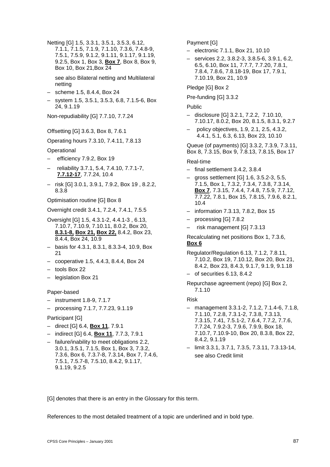Netting [G] 1.5, 3.3.1, 3.5.1, 3.5.3, 6.12, 7.1.1, 7.1.5, 7.1.9, 7.1.10, 7.3.6, 7.4.8-9, 7.5.1, 7.5.9, 9.1.2, 9.1.11, 9.1.17, 9.1.19, 9.2.5, Box 1, Box 3, **Box 7**, Box 8, Box 9, Box 10, Box 21,Box 24

see also Bilateral netting and Multilateral netting

- scheme 1.5, 8.4.4, Box 24
- system 1.5, 3.5.1, 3.5.3, 6.8, 7.1.5-6, Box 24, 9.1.19

Non-repudiability [G] 7.7.10, 7.7.24

# Offsetting [G] 3.6.3, Box 8, 7.6.1

Operating hours 7.3.10, 7.4.11, 7.8.13

**Operational** 

- efficiency 7.9.2, Box 19
- reliability 3.7.1, 5.4, 7.4.10, 7.7.1-7, **7.7.12-17**, 7.7.24, 10.4
- risk [G] 3.0.1, 3.9.1, 7.9.2, Box 19 , 8.2.2, 8.3.8

Optimisation routine [G] Box 8

Overnight credit 3.4.1, 7.2.4, 7.4.1, 7.5.5

- Oversight [G] 1.5, 4.3.1-2, 4.4.1-3 , 6.13, 7.10.7, 7.10.9, 7.10.11, 8.0.2, Box 20, **8.3.1-8, Box 21, Box 22,** 8.4.2, Box 23, 8.4.4, Box 24, 10.9
- basis for 4.3.1, 8.3.1, 8.3.3-4, 10.9, Box 21
- cooperative 1.5, 4.4.3, 8.4.4, Box 24
- tools Box 22
- legislation Box 21

#### Paper-based

- instrument 1.8-9, 7.1.7
- processing 7.1.7, 7.7.23, 9.1.19

#### Participant [G]

- direct [G] 6.4, **Box 11**, 7.9.1
- indirect [G] 6.4, **Box 11**, 7.7.3, 7.9.1
- failure/inability to meet obligations 2.2, 3.0.1, 3.5.1, 7.1.5, Box 1, Box 3, 7.3.2, 7.3.6, Box 6, 7.3.7-8, 7.3.14, Box 7, 7.4.6, 7.5.1, 7.5.7-8, 7.5.10, 8.4.2, 9.1.17, 9.1.19, 9.2.5

Payment [G]

- electronic 7.1.1, Box 21, 10.10
- services 2.2, 3.8.2-3, 3.8.5-6, 3.9.1, 6.2, 6.5, 6.10, Box 11, 7.7.7, 7.7.20, 7.8.1, 7.8.4, 7.8.6, 7.8.18-19, Box 17, 7.9.1, 7.10.19, Box 21, 10.9

Pledge [G] Box 2

Pre-funding [G] 3.3.2

Public

- disclosure [G] 3.2.1, 7.2.2, 7.10.10, 7.10.17, 8.0.2, Box 20, 8.1.5, 8.3.1, 9.2.7
- policy objectives, 1.9, 2.1, 2.5, 4.3.2, 4.4.1, 5.1, 6.3, 6.13, Box 23, 10.10

Queue (of payments) [G] 3.3.2, 7.3.9, 7.3.11, Box 8, 7.3.15, Box 9, 7.8.13, 7.8.15, Box 17

#### Real-time

- final settlement 3.4.2, 3.8.4
- gross settlement [G] 1.6, 3.5.2-3, 5.5, 7.1.5, Box 1, 7.3.2, 7.3.4, 7.3.8, 7.3.14, **Box 7**, 7.3.15, 7.4.4, 7.4.8, 7.5.9, 7.7.12, 7.7.22, 7.8.1, Box 15, 7.8.15, 7.9.6, 8.2.1, 10.4
- information 7.3.13, 7.8.2, Box 15
- processing [G] 7.8.2
- risk management [G] 7.3.13

Recalculating net positions Box 1, 7.3.6,

# **Box 6**

Regulator/Regulation 6.13, 7.1.2, 7.8.11, 7.10.2, Box 19, 7.10.12, Box 20, Box 21, 8.4.2, Box 23, 8.4.3, 9.1.7, 9.1.9, 9.1.18

– of securities 6.13, 8.4.2

Repurchase agreement (repo) [G] Box 2, 7.1.10

Risk

- management 3.3.1-2, 7.1.2, 7.1.4-6, 7.1.8, 7.1.10, 7.2.8, 7.3.1-2, 7.3.8, 7.3.13, 7.3.15, 7.41, 7.5.1-2, 7.6.4, 7.7.2, 7.7.6, 7.7.24, 7.9.2-3, 7.9.6, 7.9.9, Box 18, 7.10.7, 7.10.9-10, Box 20, 8.3.8, Box 22, 8.4.2, 9.1.19
- limit 3.3.1, 3.7.1, 7.3.5, 7.3.11, 7.3.13-14, see also Credit limit

[G] denotes that there is an entry in the Glossary for this term.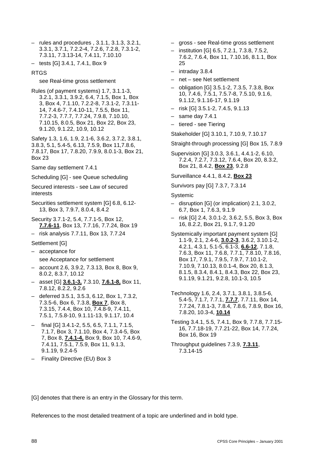- rules and procedures , 3.1.1, 3.1.3, 3.2.1, 3.3.1, 3.7.1, 7.2.2-4, 7.2.6, 7.2.8, 7.3.1-2, 7.3.11, 7.3.13-14, 7.4.11, 7.10.10
- tests [G] 3.4.1, 7.4.1, Box 9

### RTGS

### see Real-time gross settlement

Rules (of payment systems) 1.7, 3.1.1-3, 3.2.1, 3.3.1, 3.9.2, 6.4, 7.1.5, Box 1, Box 3, Box 4, 7.1.10, 7.2.2-8, 7.3.1-2, 7.3.11- 14, 7.4.6-7, 7.4.10-11, 7.5.5, Box 11, 7.7.2-3, 7.7.7, 7.7.24, 7.9.8, 7.10.10, 7.10.15, 8.0.5, Box 21, Box 22, Box 23, 9.1.20, 9.1.22, 10.9, 10.12

Safety 1.3, 1.6, 1.9, 2.1-6, 3.6.2, 3.7.2, 3.8.1, 3.8.3, 5.1, 5.4-5, 6.13, 7.5.9, Box 11,7.8.6, 7.8.17, Box 17, 7.8.20, 7.9.9, 8.0.1-3, Box 21, Box 23

- Same day settlement 7.4.1
- Scheduling [G] see Queue scheduling

Secured interests - see Law of secured interests

- Securities settlement system [G] 6.8, 6.12- 13, Box 3, 7.9.7, 8.0.4, 8.4.2
- Security 3.7.1-2, 5.4, 7.7.1-5, Box 12, **7.7.6-11**, Box 13, 7.7.16, 7.7.24, Box 19
- risk analysis 7.7.11, Box 13, 7.7.24
- Settlement [G]
- acceptance for see Acceptance for settlement
- account 2.6, 3.9.2, 7.3.13, Box 8, Box 9, 8.0.2, 8.3.7, 10.12
- asset [G] **3.6.1-3,** 7.3.10, **7.6.1-8,** Box 11, 7.8.12, 8.2.2, 9.2.6
- deferred 3.5.1, 3.5.3, 6.12, Box 1, 7.3.2, 7.3.5-6, Box 6, 7.3.8, **Box 7**, Box 8, 7.3.15, 7.4.4, Box 10, 7.4.8-9, 7.4.11, 7.5.1, 7.5.8-10, 9.1.11-13, 9.1.17, 10.4
- $-$  final IGI 3.4.1-2, 5.5, 6.5, 7.1.1, 7.1.5, 7.1.7, Box 3, 7.1.10, Box 4, 7.3.4-5, Box 7, Box 8, **7.4.1-4,** Box 9, Box 10, 7.4.6-9, 7.4.11, 7.5.1, 7.5.9, Box 11, 9.1.3, 9.1.19, 9.2.4-5
- Finality Directive (EU) Box 3
- gross see Real-time gross settlement
- institution [G] 6.5, 7.2.1, 7.3.8, 7.5.2, 7.6.2, 7.6.4, Box 11, 7.10.16, 8.1.1, Box 25
- intraday 3.8.4
- net see Net settlement
- obligation [G] 3.5.1-2, 7.3.5, 7.3.8, Box 10, 7.4.6, 7.5.1, 7.5.7-8, 7.5.10, 9.1.6, 9.1.12, 9.1.16-17, 9.1.19
- risk [G] 3.5.1-2, 7.4.5, 9.1.13
- same day 7.4.1
- tiered see Tiering

Stakeholder [G] 3.10.1, 7.10.9, 7.10.17

Straight-through processing [G] Box 15, 7.8.9

Supervision [G] 3.0.3, 3.6.1, 4.4.1-2, 6.10, 7.2.4, 7.2.7, 7.3.12, 7.6.4, Box 20, 8.3.2, Box 21, 8.4.2, **Box 23**, 9.2.8

Surveillance 4.4.1, 8.4.2, **Box 23**

Survivors pay [G] 7.3.7, 7.3.14

Systemic

- disruption [G] (or implication) 2.1, 3.0.2, 6.7, Box 1, 7.6.3, 9.1.9
- risk [G] 2.4, 3.0.1-2, 3.6.2, 5.5, Box 3, Box 16, 8.2.2, Box 21, 9.1.7, 9.1.20
- Systemically important payment system [G] 1.1-9, 2.1, 2.4-6, **3.0.2-3**, 3.6.2, 3.10.1-2, 4.2.1, 4.3.1, 5.1-5, 6.1-3, **6.6-12**, 7.1.8, 7.6.3, Box 11, 7.6.8, 7.7.1, 7.8.10, 7.8.16, Box 17, 7.9.1, 7.9.5, 7.9.7, 7.10.1-2, 7.10.9, 7.10.13, 8.0.1-4, Box 20, 8.1.3, 8.1.5, 8.3.4, 8.4.1, 8.4.3, Box 22, Box 23, 9.1.19, 9.1.21, 9.2.8, 10.1-3, 10.5
- Technology 1.6, 2.4, 3.7.1, 3.8.1, 3.8.5-6, 5.4-5, 7.1.7, 7.7.1, **7.7.7**, 7.7.11, Box 14, 7.7.24, 7.8.1-3, 7.8.4, 7.8.6, 7.8.9, Box 16, 7.8.20, 10.3-4, **10.14**
- Testing 3.4.1, 5.5, 7.4.1, Box 9, 7.7.8, 7.7.15- 16, 7.7.18-19, 7.7.21-22, Box 14, 7.7.24, Box 16, Box 19
- Throughput guidelines 7.3.9, **7.3.11**, 7.3.14-15

[G] denotes that there is an entry in the Glossary for this term.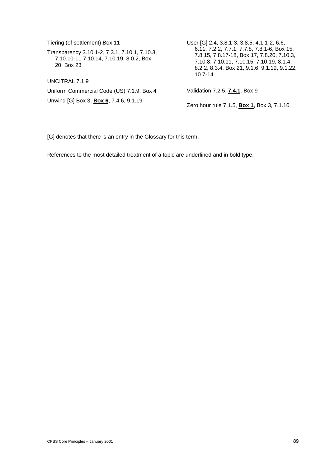Tiering (of settlement) Box 11

Transparency 3.10.1-2, 7.3.1, 7.10.1, 7.10.3, 7.10.10-11 7.10.14, 7.10.19, 8.0.2, Box 20, Box 23

UNCITRAL 7.1.9

Uniform Commercial Code (US) 7.1.9, Box 4 Unwind [G] Box 3, **Box 6**, 7.4.6, 9.1.19

User [G] 2.4, 3.8.1-3, 3.8.5, 4.1.1-2, 6.6, 6.11, 7.2.2, 7.7.1, 7.7.8, 7.8.1-6, Box 15, 7.8.15, 7.8.17-18, Box 17, 7.8.20, 7.10.3, 7.10.8, 7.10.11, 7.10.15, 7.10.19, 8.1.4, 8.2.2, 8.3.4, Box 21, 9.1.6, 9.1.19, 9.1.22, 10.7-14

Validation 7.2.5, **7.4.1**, Box 9

Zero hour rule 7.1.5, **Box 1**, Box 3, 7.1.10

[G] denotes that there is an entry in the Glossary for this term.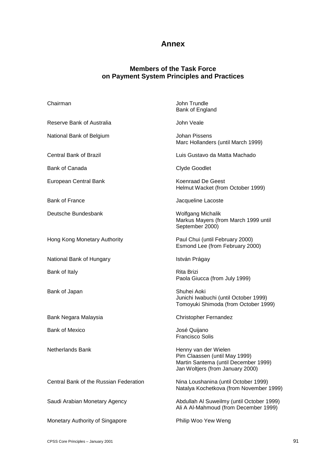# **Annex**

# **Members of the Task Force on Payment System Principles and Practices**

| Chairman                               | John Trundle<br>Bank of England                                                                                                   |
|----------------------------------------|-----------------------------------------------------------------------------------------------------------------------------------|
| Reserve Bank of Australia              | John Veale                                                                                                                        |
| National Bank of Belgium               | <b>Johan Pissens</b><br>Marc Hollanders (until March 1999)                                                                        |
| <b>Central Bank of Brazil</b>          | Luis Gustavo da Matta Machado                                                                                                     |
| <b>Bank of Canada</b>                  | Clyde Goodlet                                                                                                                     |
| European Central Bank                  | Koenraad De Geest<br>Helmut Wacket (from October 1999)                                                                            |
| <b>Bank of France</b>                  | Jacqueline Lacoste                                                                                                                |
| Deutsche Bundesbank                    | Wolfgang Michalik<br>Markus Mayers (from March 1999 until<br>September 2000)                                                      |
| Hong Kong Monetary Authority           | Paul Chui (until February 2000)<br>Esmond Lee (from February 2000)                                                                |
| National Bank of Hungary               | István Prágay                                                                                                                     |
| Bank of Italy                          | Rita Brizi<br>Paola Giucca (from July 1999)                                                                                       |
| Bank of Japan                          | Shuhei Aoki<br>Junichi Iwabuchi (until October 1999)<br>Tomoyuki Shimoda (from October 1999)                                      |
| Bank Negara Malaysia                   | <b>Christopher Fernandez</b>                                                                                                      |
| <b>Bank of Mexico</b>                  | José Quijano<br><b>Francisco Solis</b>                                                                                            |
| Netherlands Bank                       | Henny van der Wielen<br>Pim Claassen (until May 1999)<br>Martin Santema (until December 1999)<br>Jan Woltjers (from January 2000) |
| Central Bank of the Russian Federation | Nina Loushanina (until October 1999)<br>Natalya Kochetkova (from November 1999)                                                   |
| Saudi Arabian Monetary Agency          | Abdullah Al Suweilmy (until October 1999)<br>Ali A Al-Mahmoud (from December 1999)                                                |
| Monetary Authority of Singapore        | Philip Woo Yew Weng                                                                                                               |
|                                        |                                                                                                                                   |